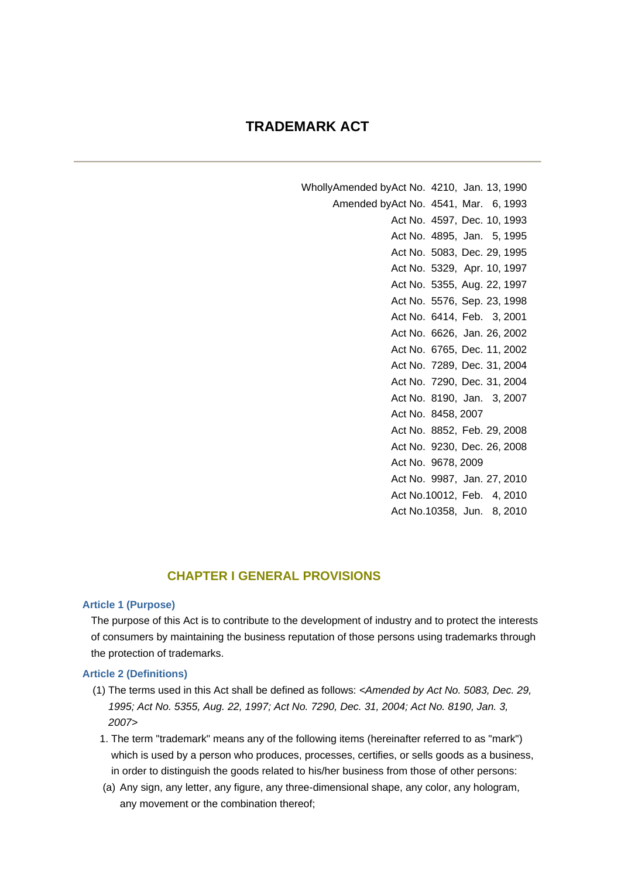## **TRADEMARK ACT**

WhollyAmended byAct No. 4210, Jan. 13, 1990 Amended byAct No. 4541, Mar. 6, 1993 Act No. 4597, Dec. 10, 1993 Act No. 4895, Jan. 5, 1995 Act No. 5083, Dec. 29, 1995 Act No. 5329, Apr. 10, 1997 Act No. 5355, Aug. 22, 1997 Act No. 5576, Sep. 23, 1998 Act No. 6414, Feb. 3, 2001 Act No. 6626, Jan. 26, 2002 Act No. 6765, Dec. 11, 2002 Act No. 7289, Dec. 31, 2004 Act No. 7290, Dec. 31, 2004 Act No. 8190, Jan. 3, 2007 Act No. 8458, 2007 Act No. 8852, Feb. 29, 2008 Act No. 9230, Dec. 26, 2008 Act No. 9678, 2009 Act No. 9987, Jan. 27, 2010 Act No.10012, Feb. 4, 2010 Act No.10358, Jun. 8, 2010

## **CHAPTER I GENERAL PROVISIONS**

#### **Article 1 (Purpose)**

The purpose of this Act is to contribute to the development of industry and to protect the interests of consumers by maintaining the business reputation of those persons using trademarks through the protection of trademarks.

### **Article 2 (Definitions)**

- (1) The terms used in this Act shall be defined as follows: *<Amended by Act No. 5083, Dec. 29, 1995; Act No. 5355, Aug. 22, 1997; Act No. 7290, Dec. 31, 2004; Act No. 8190, Jan. 3, 2007>*
	- 1. The term "trademark" means any of the following items (hereinafter referred to as "mark") which is used by a person who produces, processes, certifies, or sells goods as a business, in order to distinguish the goods related to his/her business from those of other persons:
	- (a) Any sign, any letter, any figure, any three-dimensional shape, any color, any hologram, any movement or the combination thereof;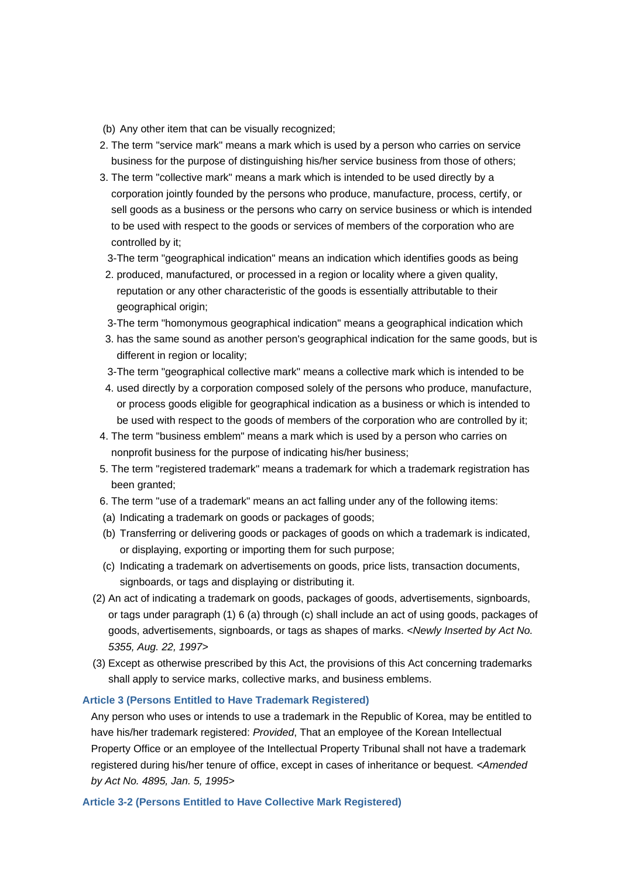(b) Any other item that can be visually recognized;

- 2. The term "service mark" means a mark which is used by a person who carries on service business for the purpose of distinguishing his/her service business from those of others;
- 3. The term "collective mark" means a mark which is intended to be used directly by a corporation jointly founded by the persons who produce, manufacture, process, certify, or sell goods as a business or the persons who carry on service business or which is intended to be used with respect to the goods or services of members of the corporation who are controlled by it;
- 3- The term "geographical indication" means an indication which identifies goods as being
	- 2. produced, manufactured, or processed in a region or locality where a given quality, reputation or any other characteristic of the goods is essentially attributable to their geographical origin;
- 3- The term "homonymous geographical indication" means a geographical indication which
	- 3. has the same sound as another person's geographical indication for the same goods, but is different in region or locality;
- 3- The term "geographical collective mark" means a collective mark which is intended to be
- 4. used directly by a corporation composed solely of the persons who produce, manufacture, or process goods eligible for geographical indication as a business or which is intended to be used with respect to the goods of members of the corporation who are controlled by it;
- 4. The term "business emblem" means a mark which is used by a person who carries on nonprofit business for the purpose of indicating his/her business;
- 5. The term "registered trademark" means a trademark for which a trademark registration has been granted;
- 6. The term "use of a trademark" means an act falling under any of the following items:
- (a) Indicating a trademark on goods or packages of goods;
- (b) Transferring or delivering goods or packages of goods on which a trademark is indicated, or displaying, exporting or importing them for such purpose;
- (c) Indicating a trademark on advertisements on goods, price lists, transaction documents, signboards, or tags and displaying or distributing it.
- (2) An act of indicating a trademark on goods, packages of goods, advertisements, signboards, or tags under paragraph (1) 6 (a) through (c) shall include an act of using goods, packages of goods, advertisements, signboards, or tags as shapes of marks. *<Newly Inserted by Act No. 5355, Aug. 22, 1997>*
- (3) Except as otherwise prescribed by this Act, the provisions of this Act concerning trademarks shall apply to service marks, collective marks, and business emblems.

#### **Article 3 (Persons Entitled to Have Trademark Registered)**

Any person who uses or intends to use a trademark in the Republic of Korea, may be entitled to have his/her trademark registered: *Provided*, That an employee of the Korean Intellectual Property Office or an employee of the Intellectual Property Tribunal shall not have a trademark registered during his/her tenure of office, except in cases of inheritance or bequest. *<Amended by Act No. 4895, Jan. 5, 1995>*

**Article 3-2 (Persons Entitled to Have Collective Mark Registered)**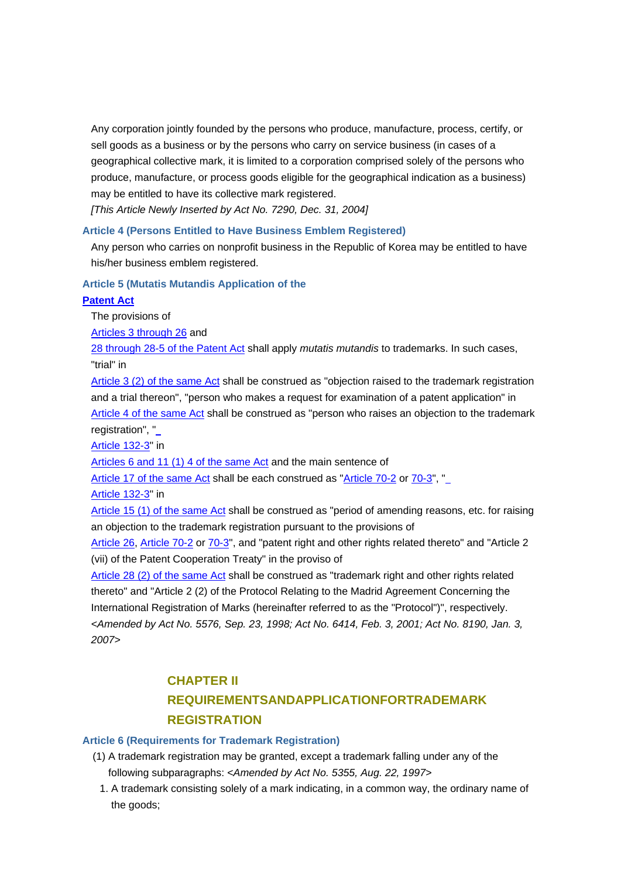Any corporation jointly founded by the persons who produce, manufacture, process, certify, or sell goods as a business or by the persons who carry on service business (in cases of a geographical collective mark, it is limited to a corporation comprised solely of the persons who produce, manufacture, or process goods eligible for the geographical indication as a business) may be entitled to have its collective mark registered.

*[This Article Newly Inserted by Act No. 7290, Dec. 31, 2004]*

## **Article 4 (Persons Entitled to Have Business Emblem Registered)**

Any person who carries on nonprofit business in the Republic of Korea may be entitled to have his/her business emblem registered.

### **Article 5 (Mutatis Mutandis Application of the**

### **Patent Act**

The provisions of

Articles 3 through 26 and

28 through 28-5 of the Patent Act shall apply *mutatis mutandis* to trademarks. In such cases, "trial" in

Article 3 (2) of the same Act shall be construed as "objection raised to the trademark registration and a trial thereon", "person who makes a request for examination of a patent application" in Article 4 of the same Act shall be construed as "person who raises an objection to the trademark registration", "

Article 132-3" in

Articles 6 and 11 (1) 4 of the same Act and the main sentence of

Article 17 of the same Act shall be each construed as "Article 70-2 or 70-3", " Article 132-3" in

Article 15 (1) of the same Act shall be construed as "period of amending reasons, etc. for raising an objection to the trademark registration pursuant to the provisions of

Article 26, Article 70-2 or 70-3", and "patent right and other rights related thereto" and "Article 2 (vii) of the Patent Cooperation Treaty" in the proviso of

Article 28 (2) of the same Act shall be construed as "trademark right and other rights related thereto" and "Article 2 (2) of the Protocol Relating to the Madrid Agreement Concerning the International Registration of Marks (hereinafter referred to as the "Protocol")", respectively. *<Amended by Act No. 5576, Sep. 23, 1998; Act No. 6414, Feb. 3, 2001; Act No. 8190, Jan. 3, 2007>*

## **CHAPTER II REQUIREMENTSANDAPPLICATIONFORTRADEMARK REGISTRATION**

### **Article 6 (Requirements for Trademark Registration)**

- (1) A trademark registration may be granted, except a trademark falling under any of the following subparagraphs: *<Amended by Act No. 5355, Aug. 22, 1997>*
	- 1. A trademark consisting solely of a mark indicating, in a common way, the ordinary name of the goods;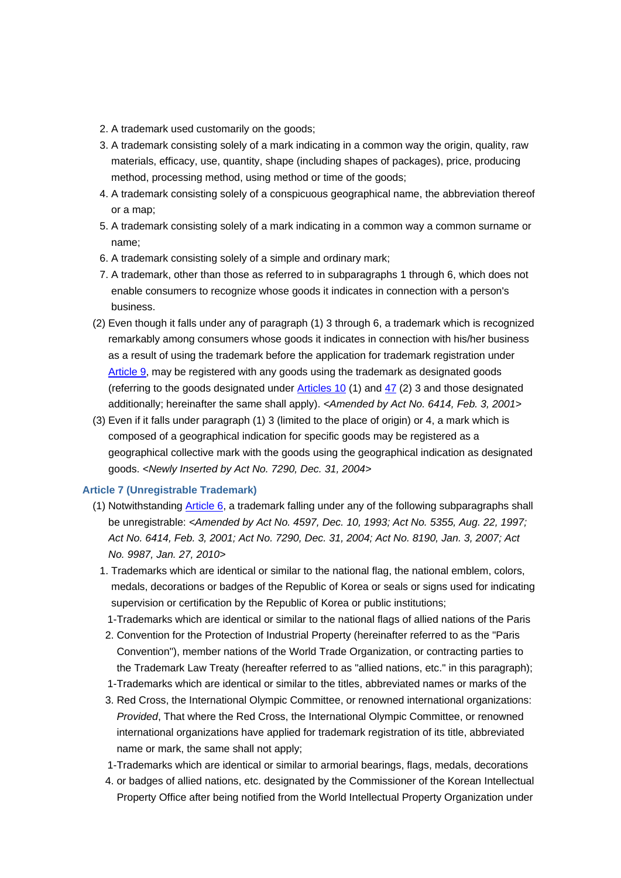- 2. A trademark used customarily on the goods;
- 3. A trademark consisting solely of a mark indicating in a common way the origin, quality, raw materials, efficacy, use, quantity, shape (including shapes of packages), price, producing method, processing method, using method or time of the goods;
- 4. A trademark consisting solely of a conspicuous geographical name, the abbreviation thereof or a map;
- 5. A trademark consisting solely of a mark indicating in a common way a common surname or name;
- 6. A trademark consisting solely of a simple and ordinary mark;
- 7. A trademark, other than those as referred to in subparagraphs 1 through 6, which does not enable consumers to recognize whose goods it indicates in connection with a person's business.
- (2) Even though it falls under any of paragraph (1) 3 through 6, a trademark which is recognized remarkably among consumers whose goods it indicates in connection with his/her business as a result of using the trademark before the application for trademark registration under Article 9, may be registered with any goods using the trademark as designated goods (referring to the goods designated under Articles 10 (1) and 47 (2) 3 and those designated additionally; hereinafter the same shall apply). *<Amended by Act No. 6414, Feb. 3, 2001>*
- (3) Even if it falls under paragraph (1) 3 (limited to the place of origin) or 4, a mark which is composed of a geographical indication for specific goods may be registered as a geographical collective mark with the goods using the geographical indication as designated goods. *<Newly Inserted by Act No. 7290, Dec. 31, 2004>*

### **Article 7 (Unregistrable Trademark)**

- (1) Notwithstanding Article 6, a trademark falling under any of the following subparagraphs shall be unregistrable: *<Amended by Act No. 4597, Dec. 10, 1993; Act No. 5355, Aug. 22, 1997; Act No. 6414, Feb. 3, 2001; Act No. 7290, Dec. 31, 2004; Act No. 8190, Jan. 3, 2007; Act No. 9987, Jan. 27, 2010>*
	- 1. Trademarks which are identical or similar to the national flag, the national emblem, colors, medals, decorations or badges of the Republic of Korea or seals or signs used for indicating supervision or certification by the Republic of Korea or public institutions;
- 1- Trademarks which are identical or similar to the national flags of allied nations of the Paris
	- 2. Convention for the Protection of Industrial Property (hereinafter referred to as the "Paris Convention"), member nations of the World Trade Organization, or contracting parties to the Trademark Law Treaty (hereafter referred to as "allied nations, etc." in this paragraph);
- 1- Trademarks which are identical or similar to the titles, abbreviated names or marks of the
	- 3. Red Cross, the International Olympic Committee, or renowned international organizations: *Provided*, That where the Red Cross, the International Olympic Committee, or renowned international organizations have applied for trademark registration of its title, abbreviated name or mark, the same shall not apply;
- 1- Trademarks which are identical or similar to armorial bearings, flags, medals, decorations
	- 4. or badges of allied nations, etc. designated by the Commissioner of the Korean Intellectual Property Office after being notified from the World Intellectual Property Organization under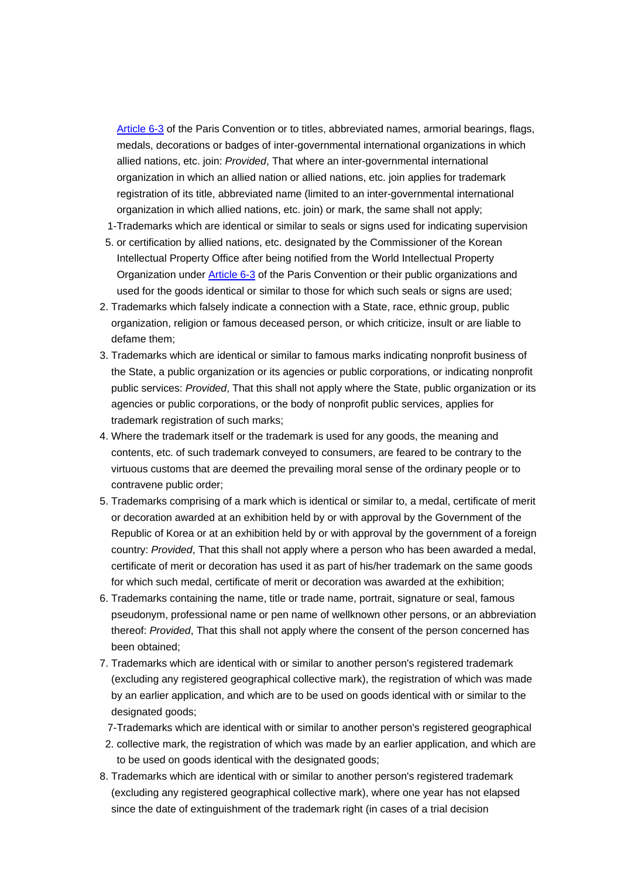Article 6-3 of the Paris Convention or to titles, abbreviated names, armorial bearings, flags, medals, decorations or badges of inter-governmental international organizations in which allied nations, etc. join: *Provided*, That where an inter-governmental international organization in which an allied nation or allied nations, etc. join applies for trademark registration of its title, abbreviated name (limited to an inter-governmental international organization in which allied nations, etc. join) or mark, the same shall not apply;

- 1- Trademarks which are identical or similar to seals or signs used for indicating supervision
	- 5. or certification by allied nations, etc. designated by the Commissioner of the Korean Intellectual Property Office after being notified from the World Intellectual Property Organization under Article 6-3 of the Paris Convention or their public organizations and used for the goods identical or similar to those for which such seals or signs are used;
- 2. Trademarks which falsely indicate a connection with a State, race, ethnic group, public organization, religion or famous deceased person, or which criticize, insult or are liable to defame them;
- 3. Trademarks which are identical or similar to famous marks indicating nonprofit business of the State, a public organization or its agencies or public corporations, or indicating nonprofit public services: *Provided*, That this shall not apply where the State, public organization or its agencies or public corporations, or the body of nonprofit public services, applies for trademark registration of such marks;
- 4. Where the trademark itself or the trademark is used for any goods, the meaning and contents, etc. of such trademark conveyed to consumers, are feared to be contrary to the virtuous customs that are deemed the prevailing moral sense of the ordinary people or to contravene public order;
- 5. Trademarks comprising of a mark which is identical or similar to, a medal, certificate of merit or decoration awarded at an exhibition held by or with approval by the Government of the Republic of Korea or at an exhibition held by or with approval by the government of a foreign country: *Provided*, That this shall not apply where a person who has been awarded a medal, certificate of merit or decoration has used it as part of his/her trademark on the same goods for which such medal, certificate of merit or decoration was awarded at the exhibition;
- 6. Trademarks containing the name, title or trade name, portrait, signature or seal, famous pseudonym, professional name or pen name of wellknown other persons, or an abbreviation thereof: *Provided*, That this shall not apply where the consent of the person concerned has been obtained;
- 7. Trademarks which are identical with or similar to another person's registered trademark (excluding any registered geographical collective mark), the registration of which was made by an earlier application, and which are to be used on goods identical with or similar to the designated goods;
- 7- Trademarks which are identical with or similar to another person's registered geographical
	- 2. collective mark, the registration of which was made by an earlier application, and which are to be used on goods identical with the designated goods;
- 8. Trademarks which are identical with or similar to another person's registered trademark (excluding any registered geographical collective mark), where one year has not elapsed since the date of extinguishment of the trademark right (in cases of a trial decision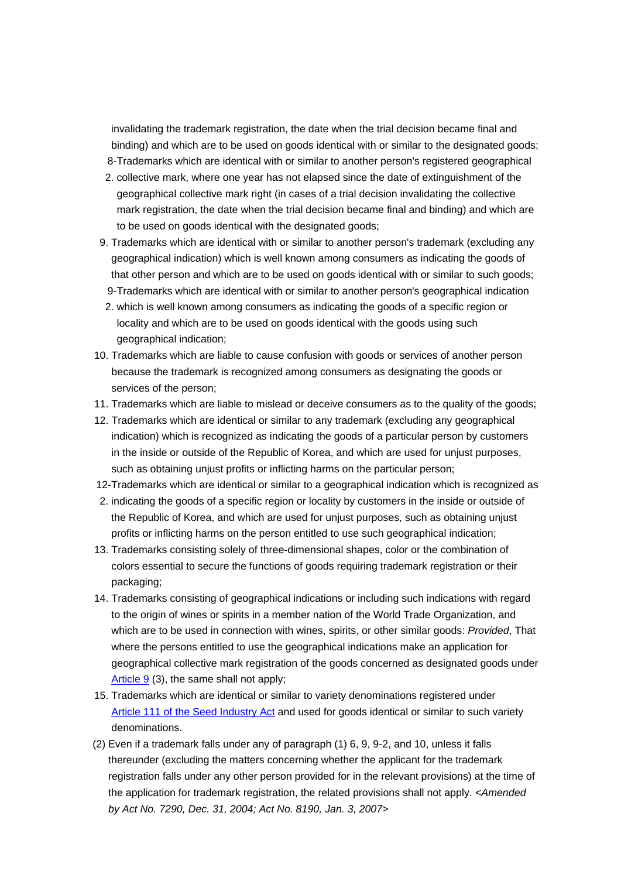invalidating the trademark registration, the date when the trial decision became final and binding) and which are to be used on goods identical with or similar to the designated goods; 8- Trademarks which are identical with or similar to another person's registered geographical

- 2. collective mark, where one year has not elapsed since the date of extinguishment of the geographical collective mark right (in cases of a trial decision invalidating the collective mark registration, the date when the trial decision became final and binding) and which are to be used on goods identical with the designated goods;
- 9. Trademarks which are identical with or similar to another person's trademark (excluding any geographical indication) which is well known among consumers as indicating the goods of that other person and which are to be used on goods identical with or similar to such goods; 9- Trademarks which are identical with or similar to another person's geographical indication
	- 2. which is well known among consumers as indicating the goods of a specific region or locality and which are to be used on goods identical with the goods using such geographical indication;
- 10. Trademarks which are liable to cause confusion with goods or services of another person because the trademark is recognized among consumers as designating the goods or services of the person;
- 11. Trademarks which are liable to mislead or deceive consumers as to the quality of the goods;
- 12. Trademarks which are identical or similar to any trademark (excluding any geographical indication) which is recognized as indicating the goods of a particular person by customers in the inside or outside of the Republic of Korea, and which are used for unjust purposes, such as obtaining unjust profits or inflicting harms on the particular person;
- 12- Trademarks which are identical or similar to a geographical indication which is recognized as
- 2. indicating the goods of a specific region or locality by customers in the inside or outside of the Republic of Korea, and which are used for unjust purposes, such as obtaining unjust profits or inflicting harms on the person entitled to use such geographical indication;
- 13. Trademarks consisting solely of three-dimensional shapes, color or the combination of colors essential to secure the functions of goods requiring trademark registration or their packaging;
- 14. Trademarks consisting of geographical indications or including such indications with regard to the origin of wines or spirits in a member nation of the World Trade Organization, and which are to be used in connection with wines, spirits, or other similar goods: *Provided*, That where the persons entitled to use the geographical indications make an application for geographical collective mark registration of the goods concerned as designated goods under Article 9 (3), the same shall not apply;
- 15. Trademarks which are identical or similar to variety denominations registered under Article 111 of the Seed Industry Act and used for goods identical or similar to such variety denominations.
- (2) Even if a trademark falls under any of paragraph (1) 6, 9, 9-2, and 10, unless it falls thereunder (excluding the matters concerning whether the applicant for the trademark registration falls under any other person provided for in the relevant provisions) at the time of the application for trademark registration, the related provisions shall not apply. *<Amended by Act No. 7290, Dec. 31, 2004; Act No. 8190, Jan. 3, 2007>*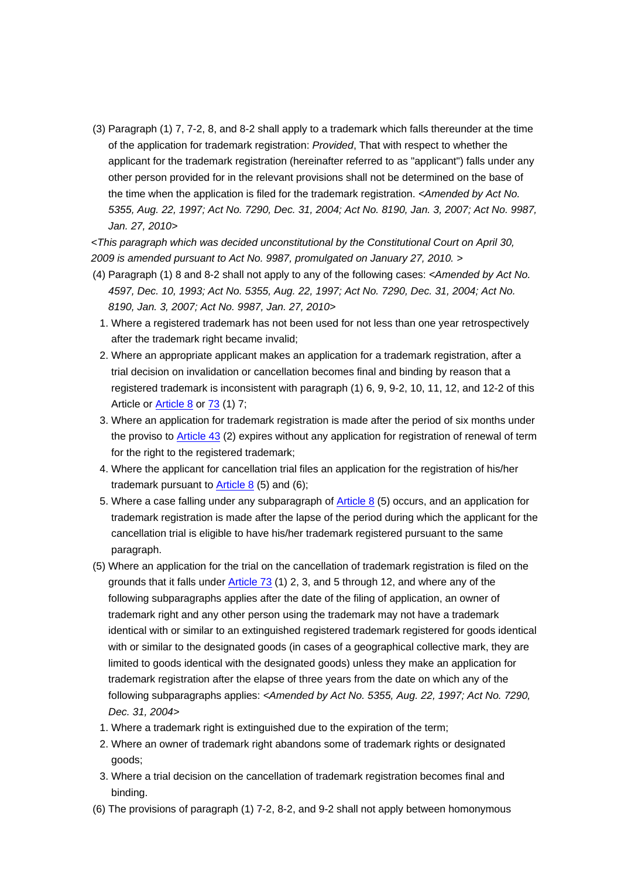(3) Paragraph (1) 7, 7-2, 8, and 8-2 shall apply to a trademark which falls thereunder at the time of the application for trademark registration: *Provided*, That with respect to whether the applicant for the trademark registration (hereinafter referred to as "applicant") falls under any other person provided for in the relevant provisions shall not be determined on the base of the time when the application is filed for the trademark registration. *<Amended by Act No. 5355, Aug. 22, 1997; Act No. 7290, Dec. 31, 2004; Act No. 8190, Jan. 3, 2007; Act No. 9987, Jan. 27, 2010>*

*<This paragraph which was decided unconstitutional by the Constitutional Court on April 30, 2009 is amended pursuant to Act No. 9987, promulgated on January 27, 2010. >*

- (4) Paragraph (1) 8 and 8-2 shall not apply to any of the following cases: *<Amended by Act No. 4597, Dec. 10, 1993; Act No. 5355, Aug. 22, 1997; Act No. 7290, Dec. 31, 2004; Act No. 8190, Jan. 3, 2007; Act No. 9987, Jan. 27, 2010>*
	- 1. Where a registered trademark has not been used for not less than one year retrospectively after the trademark right became invalid;
	- 2. Where an appropriate applicant makes an application for a trademark registration, after a trial decision on invalidation or cancellation becomes final and binding by reason that a registered trademark is inconsistent with paragraph (1) 6, 9, 9-2, 10, 11, 12, and 12-2 of this Article or **Article 8** or **73** (1) 7;
	- 3. Where an application for trademark registration is made after the period of six months under the proviso to Article 43 (2) expires without any application for registration of renewal of term for the right to the registered trademark;
	- 4. Where the applicant for cancellation trial files an application for the registration of his/her trademark pursuant to Article  $8$  (5) and (6);
	- 5. Where a case falling under any subparagraph of Article 8 (5) occurs, and an application for trademark registration is made after the lapse of the period during which the applicant for the cancellation trial is eligible to have his/her trademark registered pursuant to the same paragraph.
- (5) Where an application for the trial on the cancellation of trademark registration is filed on the grounds that it falls under Article 73 (1) 2, 3, and 5 through 12, and where any of the following subparagraphs applies after the date of the filing of application, an owner of trademark right and any other person using the trademark may not have a trademark identical with or similar to an extinguished registered trademark registered for goods identical with or similar to the designated goods (in cases of a geographical collective mark, they are limited to goods identical with the designated goods) unless they make an application for trademark registration after the elapse of three years from the date on which any of the following subparagraphs applies: *<Amended by Act No. 5355, Aug. 22, 1997; Act No. 7290, Dec. 31, 2004>*
	- 1. Where a trademark right is extinguished due to the expiration of the term;
	- 2. Where an owner of trademark right abandons some of trademark rights or designated goods;
	- 3. Where a trial decision on the cancellation of trademark registration becomes final and binding.
- (6) The provisions of paragraph (1) 7-2, 8-2, and 9-2 shall not apply between homonymous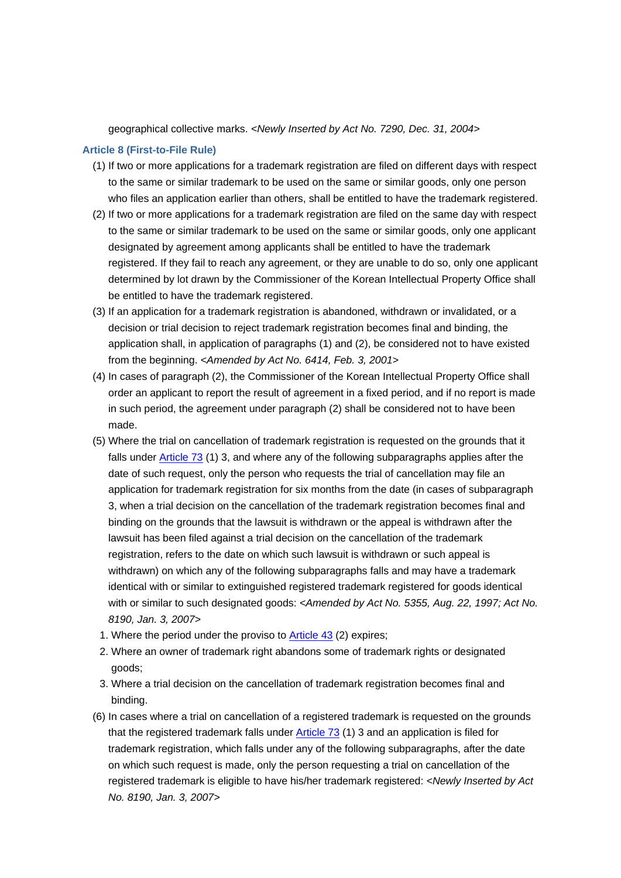geographical collective marks. *<Newly Inserted by Act No. 7290, Dec. 31, 2004>*

## **Article 8 (First-to-File Rule)**

- (1) If two or more applications for a trademark registration are filed on different days with respect to the same or similar trademark to be used on the same or similar goods, only one person who files an application earlier than others, shall be entitled to have the trademark registered.
- (2) If two or more applications for a trademark registration are filed on the same day with respect to the same or similar trademark to be used on the same or similar goods, only one applicant designated by agreement among applicants shall be entitled to have the trademark registered. If they fail to reach any agreement, or they are unable to do so, only one applicant determined by lot drawn by the Commissioner of the Korean Intellectual Property Office shall be entitled to have the trademark registered.
- (3) If an application for a trademark registration is abandoned, withdrawn or invalidated, or a decision or trial decision to reject trademark registration becomes final and binding, the application shall, in application of paragraphs (1) and (2), be considered not to have existed from the beginning. *<Amended by Act No. 6414, Feb. 3, 2001>*
- (4) In cases of paragraph (2), the Commissioner of the Korean Intellectual Property Office shall order an applicant to report the result of agreement in a fixed period, and if no report is made in such period, the agreement under paragraph (2) shall be considered not to have been made.
- (5) Where the trial on cancellation of trademark registration is requested on the grounds that it falls under Article 73 (1) 3, and where any of the following subparagraphs applies after the date of such request, only the person who requests the trial of cancellation may file an application for trademark registration for six months from the date (in cases of subparagraph 3, when a trial decision on the cancellation of the trademark registration becomes final and binding on the grounds that the lawsuit is withdrawn or the appeal is withdrawn after the lawsuit has been filed against a trial decision on the cancellation of the trademark registration, refers to the date on which such lawsuit is withdrawn or such appeal is withdrawn) on which any of the following subparagraphs falls and may have a trademark identical with or similar to extinguished registered trademark registered for goods identical with or similar to such designated goods: *<Amended by Act No. 5355, Aug. 22, 1997; Act No. 8190, Jan. 3, 2007>*
	- 1. Where the period under the proviso to Article 43 (2) expires;
	- 2. Where an owner of trademark right abandons some of trademark rights or designated goods;
	- 3. Where a trial decision on the cancellation of trademark registration becomes final and binding.
- (6) In cases where a trial on cancellation of a registered trademark is requested on the grounds that the registered trademark falls under Article 73 (1) 3 and an application is filed for trademark registration, which falls under any of the following subparagraphs, after the date on which such request is made, only the person requesting a trial on cancellation of the registered trademark is eligible to have his/her trademark registered: *<Newly Inserted by Act No. 8190, Jan. 3, 2007>*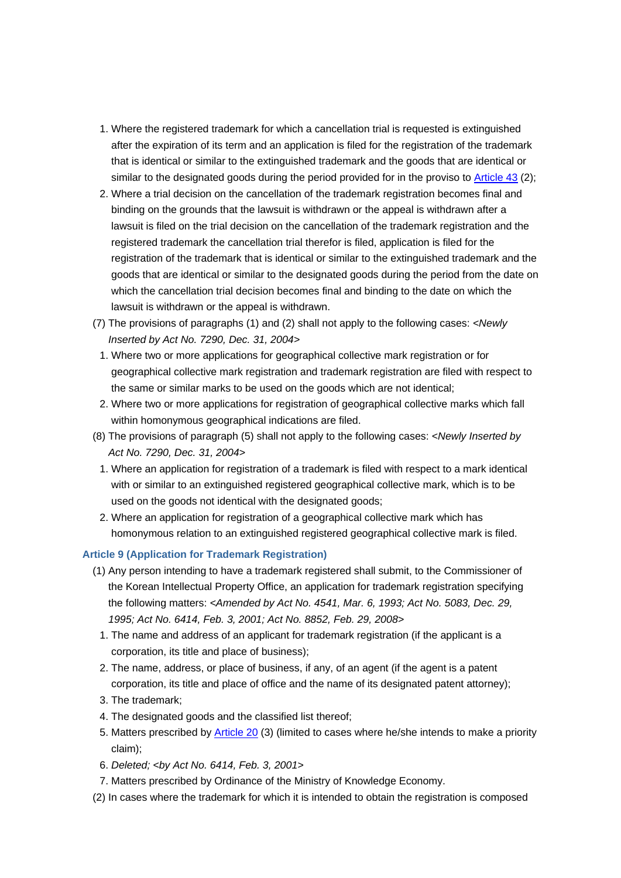- 1. Where the registered trademark for which a cancellation trial is requested is extinguished after the expiration of its term and an application is filed for the registration of the trademark that is identical or similar to the extinguished trademark and the goods that are identical or similar to the designated goods during the period provided for in the proviso to Article 43 (2);
- 2. Where a trial decision on the cancellation of the trademark registration becomes final and binding on the grounds that the lawsuit is withdrawn or the appeal is withdrawn after a lawsuit is filed on the trial decision on the cancellation of the trademark registration and the registered trademark the cancellation trial therefor is filed, application is filed for the registration of the trademark that is identical or similar to the extinguished trademark and the goods that are identical or similar to the designated goods during the period from the date on which the cancellation trial decision becomes final and binding to the date on which the lawsuit is withdrawn or the appeal is withdrawn.
- (7) The provisions of paragraphs (1) and (2) shall not apply to the following cases: *<Newly Inserted by Act No. 7290, Dec. 31, 2004>*
	- 1. Where two or more applications for geographical collective mark registration or for geographical collective mark registration and trademark registration are filed with respect to the same or similar marks to be used on the goods which are not identical;
- 2. Where two or more applications for registration of geographical collective marks which fall within homonymous geographical indications are filed.
- (8) The provisions of paragraph (5) shall not apply to the following cases: *<Newly Inserted by Act No. 7290, Dec. 31, 2004>*
	- 1. Where an application for registration of a trademark is filed with respect to a mark identical with or similar to an extinguished registered geographical collective mark, which is to be used on the goods not identical with the designated goods;
	- 2. Where an application for registration of a geographical collective mark which has homonymous relation to an extinguished registered geographical collective mark is filed.

## **Article 9 (Application for Trademark Registration)**

- (1) Any person intending to have a trademark registered shall submit, to the Commissioner of the Korean Intellectual Property Office, an application for trademark registration specifying the following matters: *<Amended by Act No. 4541, Mar. 6, 1993; Act No. 5083, Dec. 29, 1995; Act No. 6414, Feb. 3, 2001; Act No. 8852, Feb. 29, 2008>*
	- 1. The name and address of an applicant for trademark registration (if the applicant is a corporation, its title and place of business);
	- 2. The name, address, or place of business, if any, of an agent (if the agent is a patent corporation, its title and place of office and the name of its designated patent attorney);
	- 3. The trademark;
	- 4. The designated goods and the classified list thereof;
	- 5. Matters prescribed by **Article 20** (3) (limited to cases where he/she intends to make a priority claim);
	- 6. *Deleted; <by Act No. 6414, Feb. 3, 2001>*
- 7. Matters prescribed by Ordinance of the Ministry of Knowledge Economy.
- (2) In cases where the trademark for which it is intended to obtain the registration is composed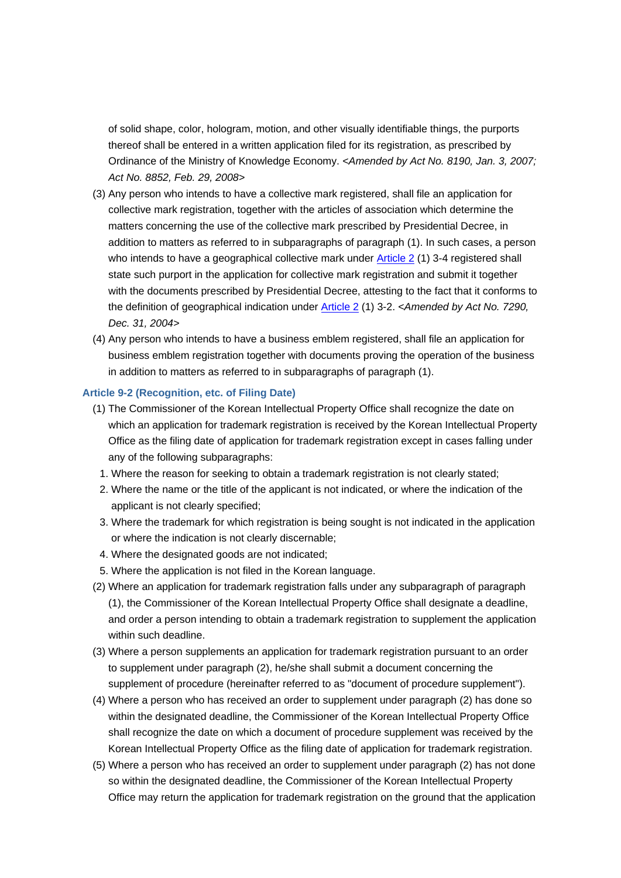of solid shape, color, hologram, motion, and other visually identifiable things, the purports thereof shall be entered in a written application filed for its registration, as prescribed by Ordinance of the Ministry of Knowledge Economy. *<Amended by Act No. 8190, Jan. 3, 2007; Act No. 8852, Feb. 29, 2008>*

- (3) Any person who intends to have a collective mark registered, shall file an application for collective mark registration, together with the articles of association which determine the matters concerning the use of the collective mark prescribed by Presidential Decree, in addition to matters as referred to in subparagraphs of paragraph (1). In such cases, a person who intends to have a geographical collective mark under **Article 2** (1) 3-4 registered shall state such purport in the application for collective mark registration and submit it together with the documents prescribed by Presidential Decree, attesting to the fact that it conforms to the definition of geographical indication under Article 2 (1) 3-2. *<Amended by Act No. 7290, Dec. 31, 2004>*
- (4) Any person who intends to have a business emblem registered, shall file an application for business emblem registration together with documents proving the operation of the business in addition to matters as referred to in subparagraphs of paragraph (1).

## **Article 9-2 (Recognition, etc. of Filing Date)**

- (1) The Commissioner of the Korean Intellectual Property Office shall recognize the date on which an application for trademark registration is received by the Korean Intellectual Property Office as the filing date of application for trademark registration except in cases falling under any of the following subparagraphs:
- 1. Where the reason for seeking to obtain a trademark registration is not clearly stated;
- 2. Where the name or the title of the applicant is not indicated, or where the indication of the applicant is not clearly specified;
- 3. Where the trademark for which registration is being sought is not indicated in the application or where the indication is not clearly discernable;
- 4. Where the designated goods are not indicated;
- 5. Where the application is not filed in the Korean language.
- (2) Where an application for trademark registration falls under any subparagraph of paragraph (1), the Commissioner of the Korean Intellectual Property Office shall designate a deadline, and order a person intending to obtain a trademark registration to supplement the application within such deadline.
- (3) Where a person supplements an application for trademark registration pursuant to an order to supplement under paragraph (2), he/she shall submit a document concerning the supplement of procedure (hereinafter referred to as "document of procedure supplement").
- (4) Where a person who has received an order to supplement under paragraph (2) has done so within the designated deadline, the Commissioner of the Korean Intellectual Property Office shall recognize the date on which a document of procedure supplement was received by the Korean Intellectual Property Office as the filing date of application for trademark registration.
- (5) Where a person who has received an order to supplement under paragraph (2) has not done so within the designated deadline, the Commissioner of the Korean Intellectual Property Office may return the application for trademark registration on the ground that the application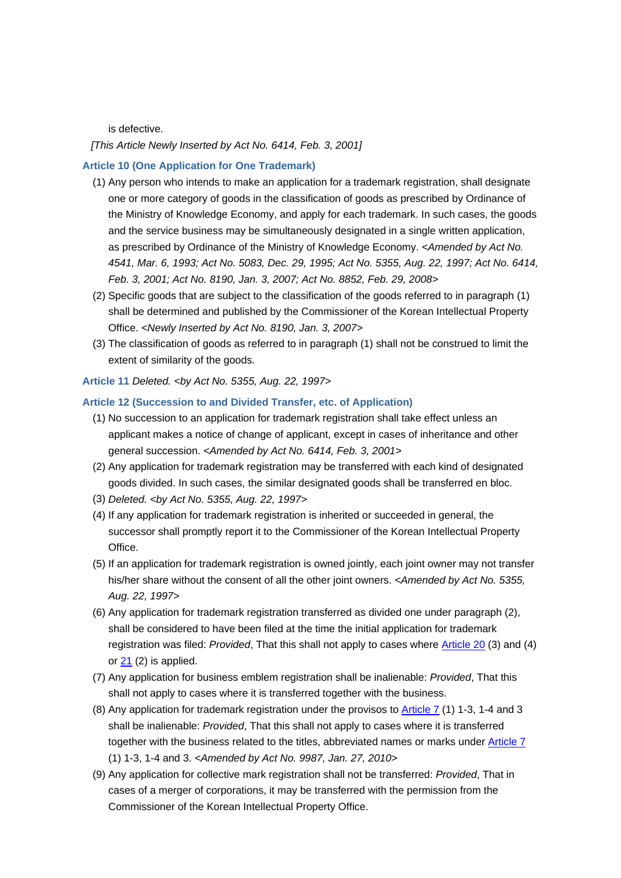is defective.

*[This Article Newly Inserted by Act No. 6414, Feb. 3, 2001]*

#### **Article 10 (One Application for One Trademark)**

- (1) Any person who intends to make an application for a trademark registration, shall designate one or more category of goods in the classification of goods as prescribed by Ordinance of the Ministry of Knowledge Economy, and apply for each trademark. In such cases, the goods and the service business may be simultaneously designated in a single written application, as prescribed by Ordinance of the Ministry of Knowledge Economy. *<Amended by Act No. 4541, Mar. 6, 1993; Act No. 5083, Dec. 29, 1995; Act No. 5355, Aug. 22, 1997; Act No. 6414, Feb. 3, 2001; Act No. 8190, Jan. 3, 2007; Act No. 8852, Feb. 29, 2008>*
- (2) Specific goods that are subject to the classification of the goods referred to in paragraph (1) shall be determined and published by the Commissioner of the Korean Intellectual Property Office. *<Newly Inserted by Act No. 8190, Jan. 3, 2007>*
- (3) The classification of goods as referred to in paragraph (1) shall not be construed to limit the extent of similarity of the goods.

**Article 11** *Deleted. <by Act No. 5355, Aug. 22, 1997>*

## **Article 12 (Succession to and Divided Transfer, etc. of Application)**

- (1) No succession to an application for trademark registration shall take effect unless an applicant makes a notice of change of applicant, except in cases of inheritance and other general succession. *<Amended by Act No. 6414, Feb. 3, 2001>*
- (2) Any application for trademark registration may be transferred with each kind of designated goods divided. In such cases, the similar designated goods shall be transferred en bloc.
- (3) *Deleted. <by Act No. 5355, Aug. 22, 1997>*
- (4) If any application for trademark registration is inherited or succeeded in general, the successor shall promptly report it to the Commissioner of the Korean Intellectual Property Office.
- (5) If an application for trademark registration is owned jointly, each joint owner may not transfer his/her share without the consent of all the other joint owners. *<Amended by Act No. 5355, Aug. 22, 1997>*
- (6) Any application for trademark registration transferred as divided one under paragraph (2), shall be considered to have been filed at the time the initial application for trademark registration was filed: *Provided*, That this shall not apply to cases where Article 20 (3) and (4) or 21 (2) is applied.
- (7) Any application for business emblem registration shall be inalienable: *Provided*, That this shall not apply to cases where it is transferred together with the business.
- (8) Any application for trademark registration under the provisos to Article 7 (1) 1-3, 1-4 and 3 shall be inalienable: *Provided*, That this shall not apply to cases where it is transferred together with the business related to the titles, abbreviated names or marks under Article 7 (1) 1-3, 1-4 and 3. *<Amended by Act No. 9987, Jan. 27, 2010>*
- (9) Any application for collective mark registration shall not be transferred: *Provided*, That in cases of a merger of corporations, it may be transferred with the permission from the Commissioner of the Korean Intellectual Property Office.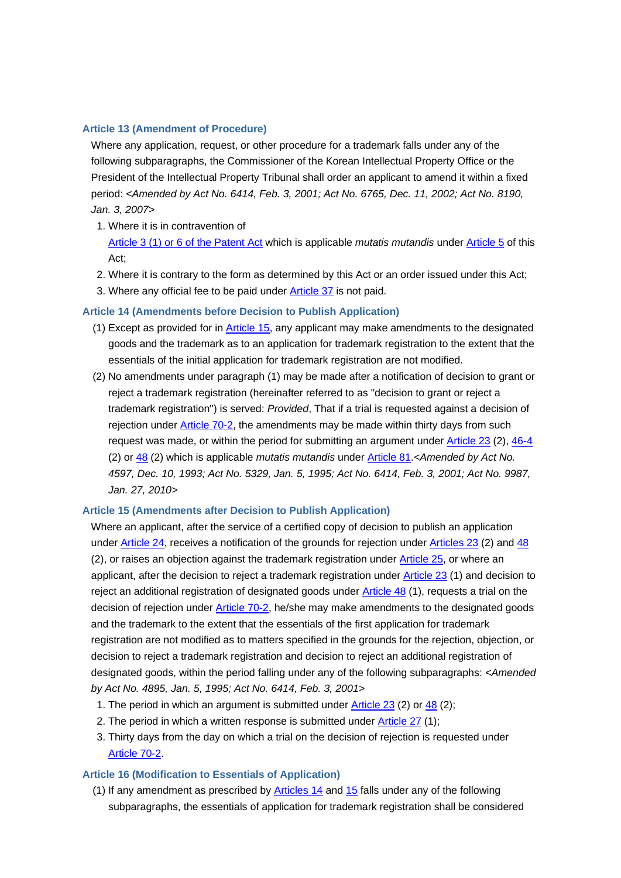#### **Article 13 (Amendment of Procedure)**

Where any application, request, or other procedure for a trademark falls under any of the following subparagraphs, the Commissioner of the Korean Intellectual Property Office or the President of the Intellectual Property Tribunal shall order an applicant to amend it within a fixed period: *<Amended by Act No. 6414, Feb. 3, 2001; Act No. 6765, Dec. 11, 2002; Act No. 8190, Jan. 3, 2007>*

- 1. Where it is in contravention of Article 3 (1) or 6 of the Patent Act which is applicable *mutatis mutandis* under Article 5 of this Act;
- 2. Where it is contrary to the form as determined by this Act or an order issued under this Act;
- 3. Where any official fee to be paid under Article 37 is not paid.

### **Article 14 (Amendments before Decision to Publish Application)**

- (1) Except as provided for in Article 15, any applicant may make amendments to the designated goods and the trademark as to an application for trademark registration to the extent that the essentials of the initial application for trademark registration are not modified.
- (2) No amendments under paragraph (1) may be made after a notification of decision to grant or reject a trademark registration (hereinafter referred to as "decision to grant or reject a trademark registration") is served: *Provided*, That if a trial is requested against a decision of rejection under Article 70-2, the amendments may be made within thirty days from such request was made, or within the period for submitting an argument under Article 23 (2), 46-4 (2) or 48 (2) which is applicable *mutatis mutandis* under Article 81.*<Amended by Act No. 4597, Dec. 10, 1993; Act No. 5329, Jan. 5, 1995; Act No. 6414, Feb. 3, 2001; Act No. 9987, Jan. 27, 2010>*

## **Article 15 (Amendments after Decision to Publish Application)**

Where an applicant, after the service of a certified copy of decision to publish an application under Article 24, receives a notification of the grounds for rejection under Articles 23 (2) and 48 (2), or raises an objection against the trademark registration under Article 25, or where an applicant, after the decision to reject a trademark registration under Article 23 (1) and decision to reject an additional registration of designated goods under **Article 48** (1), requests a trial on the decision of rejection under **Article 70-2**, he/she may make amendments to the designated goods and the trademark to the extent that the essentials of the first application for trademark registration are not modified as to matters specified in the grounds for the rejection, objection, or decision to reject a trademark registration and decision to reject an additional registration of designated goods, within the period falling under any of the following subparagraphs: *<Amended by Act No. 4895, Jan. 5, 1995; Act No. 6414, Feb. 3, 2001>*

- 1. The period in which an argument is submitted under Article 23 (2) or 48 (2);
- 2. The period in which a written response is submitted under Article 27 (1);
- 3. Thirty days from the day on which a trial on the decision of rejection is requested under Article 70-2.

### **Article 16 (Modification to Essentials of Application)**

(1) If any amendment as prescribed by Articles 14 and 15 falls under any of the following subparagraphs, the essentials of application for trademark registration shall be considered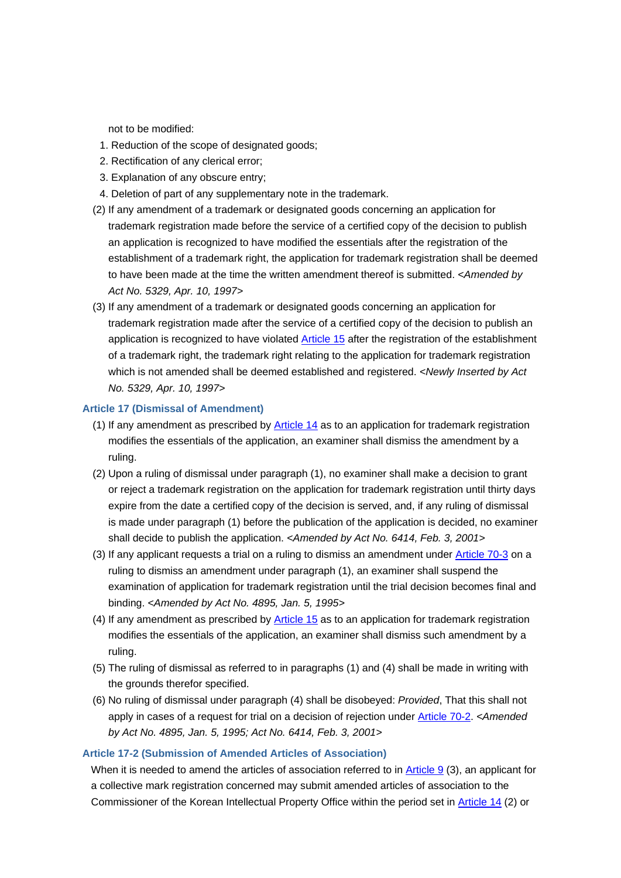not to be modified:

- 1. Reduction of the scope of designated goods;
- 2. Rectification of any clerical error;
- 3. Explanation of any obscure entry;
- 4. Deletion of part of any supplementary note in the trademark.
- (2) If any amendment of a trademark or designated goods concerning an application for trademark registration made before the service of a certified copy of the decision to publish an application is recognized to have modified the essentials after the registration of the establishment of a trademark right, the application for trademark registration shall be deemed to have been made at the time the written amendment thereof is submitted. *<Amended by Act No. 5329, Apr. 10, 1997>*
- (3) If any amendment of a trademark or designated goods concerning an application for trademark registration made after the service of a certified copy of the decision to publish an application is recognized to have violated Article 15 after the registration of the establishment of a trademark right, the trademark right relating to the application for trademark registration which is not amended shall be deemed established and registered. *<Newly Inserted by Act No. 5329, Apr. 10, 1997>*

### **Article 17 (Dismissal of Amendment)**

- (1) If any amendment as prescribed by Article 14 as to an application for trademark registration modifies the essentials of the application, an examiner shall dismiss the amendment by a ruling.
- (2) Upon a ruling of dismissal under paragraph (1), no examiner shall make a decision to grant or reject a trademark registration on the application for trademark registration until thirty days expire from the date a certified copy of the decision is served, and, if any ruling of dismissal is made under paragraph (1) before the publication of the application is decided, no examiner shall decide to publish the application. *<Amended by Act No. 6414, Feb. 3, 2001>*
- (3) If any applicant requests a trial on a ruling to dismiss an amendment under Article 70-3 on a ruling to dismiss an amendment under paragraph (1), an examiner shall suspend the examination of application for trademark registration until the trial decision becomes final and binding. *<Amended by Act No. 4895, Jan. 5, 1995>*
- (4) If any amendment as prescribed by Article 15 as to an application for trademark registration modifies the essentials of the application, an examiner shall dismiss such amendment by a ruling.
- (5) The ruling of dismissal as referred to in paragraphs (1) and (4) shall be made in writing with the grounds therefor specified.
- (6) No ruling of dismissal under paragraph (4) shall be disobeyed: *Provided*, That this shall not apply in cases of a request for trial on a decision of rejection under Article 70-2. *<Amended by Act No. 4895, Jan. 5, 1995; Act No. 6414, Feb. 3, 2001>*

#### **Article 17-2 (Submission of Amended Articles of Association)**

When it is needed to amend the articles of association referred to in Article 9 (3), an applicant for a collective mark registration concerned may submit amended articles of association to the Commissioner of the Korean Intellectual Property Office within the period set in Article 14 (2) or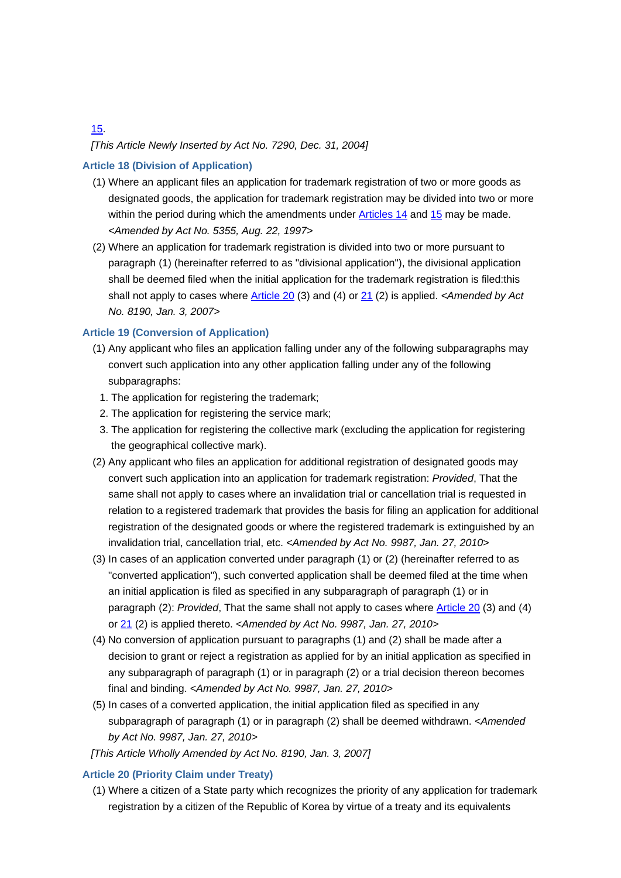# *[This Article Newly Inserted by Act No. 7290, Dec. 31, 2004]*

## **Article 18 (Division of Application)**

- (1) Where an applicant files an application for trademark registration of two or more goods as designated goods, the application for trademark registration may be divided into two or more within the period during which the amendments under Articles 14 and 15 may be made. *<Amended by Act No. 5355, Aug. 22, 1997>*
- (2) Where an application for trademark registration is divided into two or more pursuant to paragraph (1) (hereinafter referred to as "divisional application"), the divisional application shall be deemed filed when the initial application for the trademark registration is filed:this shall not apply to cases where Article 20 (3) and (4) or 21 (2) is applied. *<Amended by Act No. 8190, Jan. 3, 2007>*

## **Article 19 (Conversion of Application)**

- (1) Any applicant who files an application falling under any of the following subparagraphs may convert such application into any other application falling under any of the following subparagraphs:
	- 1. The application for registering the trademark;
	- 2. The application for registering the service mark;
- 3. The application for registering the collective mark (excluding the application for registering the geographical collective mark).
- (2) Any applicant who files an application for additional registration of designated goods may convert such application into an application for trademark registration: *Provided*, That the same shall not apply to cases where an invalidation trial or cancellation trial is requested in relation to a registered trademark that provides the basis for filing an application for additional registration of the designated goods or where the registered trademark is extinguished by an invalidation trial, cancellation trial, etc. *<Amended by Act No. 9987, Jan. 27, 2010>*
- (3) In cases of an application converted under paragraph (1) or (2) (hereinafter referred to as "converted application"), such converted application shall be deemed filed at the time when an initial application is filed as specified in any subparagraph of paragraph (1) or in paragraph (2): *Provided*, That the same shall not apply to cases where Article 20 (3) and (4) or 21 (2) is applied thereto. *<Amended by Act No. 9987, Jan. 27, 2010>*
- (4) No conversion of application pursuant to paragraphs (1) and (2) shall be made after a decision to grant or reject a registration as applied for by an initial application as specified in any subparagraph of paragraph (1) or in paragraph (2) or a trial decision thereon becomes final and binding. *<Amended by Act No. 9987, Jan. 27, 2010>*
- (5) In cases of a converted application, the initial application filed as specified in any subparagraph of paragraph (1) or in paragraph (2) shall be deemed withdrawn. *<Amended by Act No. 9987, Jan. 27, 2010>*
- *[This Article Wholly Amended by Act No. 8190, Jan. 3, 2007]*

## **Article 20 (Priority Claim under Treaty)**

(1) Where a citizen of a State party which recognizes the priority of any application for trademark registration by a citizen of the Republic of Korea by virtue of a treaty and its equivalents

15.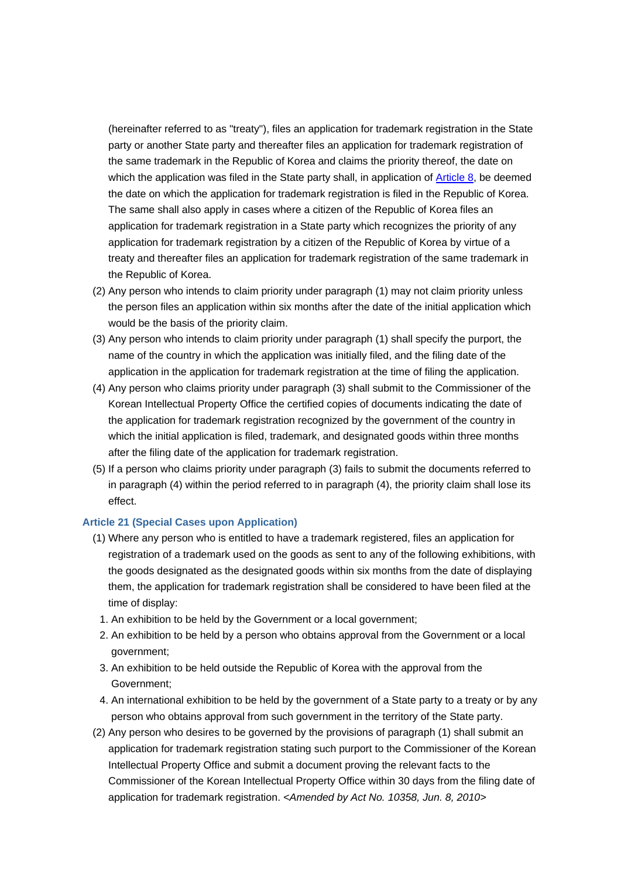(hereinafter referred to as "treaty"), files an application for trademark registration in the State party or another State party and thereafter files an application for trademark registration of the same trademark in the Republic of Korea and claims the priority thereof, the date on which the application was filed in the State party shall, in application of Article 8, be deemed the date on which the application for trademark registration is filed in the Republic of Korea. The same shall also apply in cases where a citizen of the Republic of Korea files an application for trademark registration in a State party which recognizes the priority of any application for trademark registration by a citizen of the Republic of Korea by virtue of a treaty and thereafter files an application for trademark registration of the same trademark in the Republic of Korea.

- (2) Any person who intends to claim priority under paragraph (1) may not claim priority unless the person files an application within six months after the date of the initial application which would be the basis of the priority claim.
- (3) Any person who intends to claim priority under paragraph (1) shall specify the purport, the name of the country in which the application was initially filed, and the filing date of the application in the application for trademark registration at the time of filing the application.
- (4) Any person who claims priority under paragraph (3) shall submit to the Commissioner of the Korean Intellectual Property Office the certified copies of documents indicating the date of the application for trademark registration recognized by the government of the country in which the initial application is filed, trademark, and designated goods within three months after the filing date of the application for trademark registration.
- (5) If a person who claims priority under paragraph (3) fails to submit the documents referred to in paragraph (4) within the period referred to in paragraph (4), the priority claim shall lose its effect.

## **Article 21 (Special Cases upon Application)**

- (1) Where any person who is entitled to have a trademark registered, files an application for registration of a trademark used on the goods as sent to any of the following exhibitions, with the goods designated as the designated goods within six months from the date of displaying them, the application for trademark registration shall be considered to have been filed at the time of display:
	- 1. An exhibition to be held by the Government or a local government;
	- 2. An exhibition to be held by a person who obtains approval from the Government or a local government;
	- 3. An exhibition to be held outside the Republic of Korea with the approval from the Government;
- 4. An international exhibition to be held by the government of a State party to a treaty or by any person who obtains approval from such government in the territory of the State party.
- (2) Any person who desires to be governed by the provisions of paragraph (1) shall submit an application for trademark registration stating such purport to the Commissioner of the Korean Intellectual Property Office and submit a document proving the relevant facts to the Commissioner of the Korean Intellectual Property Office within 30 days from the filing date of application for trademark registration. *<Amended by Act No. 10358, Jun. 8, 2010>*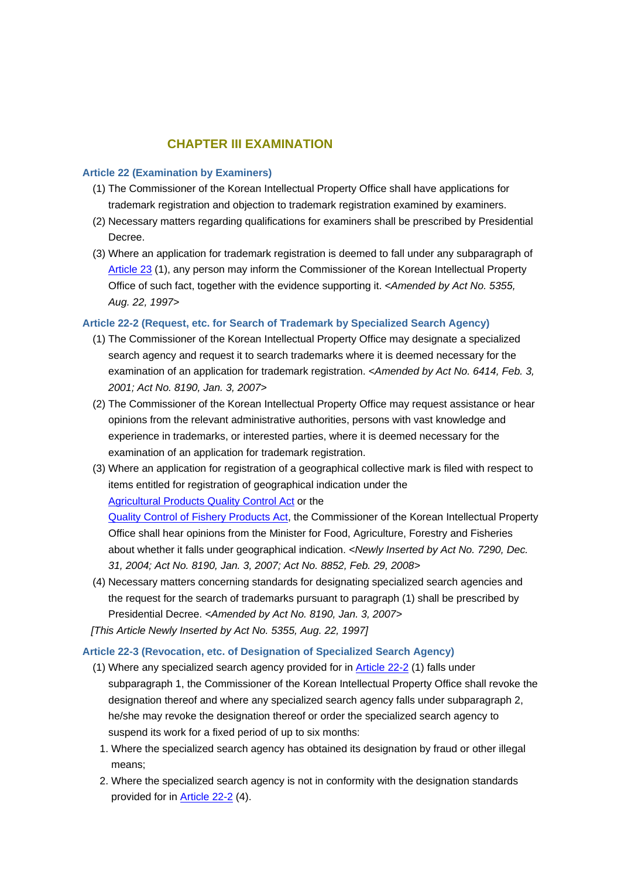## **CHAPTER III EXAMINATION**

#### **Article 22 (Examination by Examiners)**

- (1) The Commissioner of the Korean Intellectual Property Office shall have applications for trademark registration and objection to trademark registration examined by examiners.
- (2) Necessary matters regarding qualifications for examiners shall be prescribed by Presidential Decree.
- (3) Where an application for trademark registration is deemed to fall under any subparagraph of Article 23 (1), any person may inform the Commissioner of the Korean Intellectual Property Office of such fact, together with the evidence supporting it. *<Amended by Act No. 5355, Aug. 22, 1997>*

### **Article 22-2 (Request, etc. for Search of Trademark by Specialized Search Agency)**

- (1) The Commissioner of the Korean Intellectual Property Office may designate a specialized search agency and request it to search trademarks where it is deemed necessary for the examination of an application for trademark registration. *<Amended by Act No. 6414, Feb. 3, 2001; Act No. 8190, Jan. 3, 2007>*
- (2) The Commissioner of the Korean Intellectual Property Office may request assistance or hear opinions from the relevant administrative authorities, persons with vast knowledge and experience in trademarks, or interested parties, where it is deemed necessary for the examination of an application for trademark registration.
- (3) Where an application for registration of a geographical collective mark is filed with respect to items entitled for registration of geographical indication under the Agricultural Products Quality Control Act or the

Quality Control of Fishery Products Act, the Commissioner of the Korean Intellectual Property Office shall hear opinions from the Minister for Food, Agriculture, Forestry and Fisheries about whether it falls under geographical indication. *<Newly Inserted by Act No. 7290, Dec. 31, 2004; Act No. 8190, Jan. 3, 2007; Act No. 8852, Feb. 29, 2008>*

(4) Necessary matters concerning standards for designating specialized search agencies and the request for the search of trademarks pursuant to paragraph (1) shall be prescribed by Presidential Decree. *<Amended by Act No. 8190, Jan. 3, 2007>*

*[This Article Newly Inserted by Act No. 5355, Aug. 22, 1997]*

## **Article 22-3 (Revocation, etc. of Designation of Specialized Search Agency)**

- (1) Where any specialized search agency provided for in Article 22-2 (1) falls under subparagraph 1, the Commissioner of the Korean Intellectual Property Office shall revoke the designation thereof and where any specialized search agency falls under subparagraph 2, he/she may revoke the designation thereof or order the specialized search agency to suspend its work for a fixed period of up to six months:
	- 1. Where the specialized search agency has obtained its designation by fraud or other illegal means;
	- 2. Where the specialized search agency is not in conformity with the designation standards provided for in Article 22-2 (4).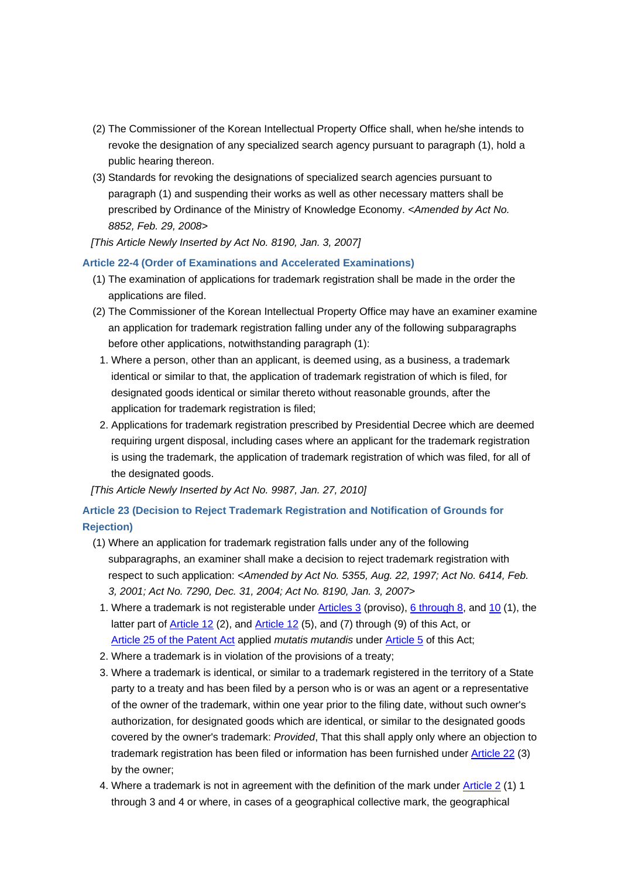- (2) The Commissioner of the Korean Intellectual Property Office shall, when he/she intends to revoke the designation of any specialized search agency pursuant to paragraph (1), hold a public hearing thereon.
- (3) Standards for revoking the designations of specialized search agencies pursuant to paragraph (1) and suspending their works as well as other necessary matters shall be prescribed by Ordinance of the Ministry of Knowledge Economy. *<Amended by Act No. 8852, Feb. 29, 2008>*
- *[This Article Newly Inserted by Act No. 8190, Jan. 3, 2007]*

## **Article 22-4 (Order of Examinations and Accelerated Examinations)**

- (1) The examination of applications for trademark registration shall be made in the order the applications are filed.
- (2) The Commissioner of the Korean Intellectual Property Office may have an examiner examine an application for trademark registration falling under any of the following subparagraphs before other applications, notwithstanding paragraph (1):
	- 1. Where a person, other than an applicant, is deemed using, as a business, a trademark identical or similar to that, the application of trademark registration of which is filed, for designated goods identical or similar thereto without reasonable grounds, after the application for trademark registration is filed;
	- 2. Applications for trademark registration prescribed by Presidential Decree which are deemed requiring urgent disposal, including cases where an applicant for the trademark registration is using the trademark, the application of trademark registration of which was filed, for all of the designated goods.

*[This Article Newly Inserted by Act No. 9987, Jan. 27, 2010]*

## **Article 23 (Decision to Reject Trademark Registration and Notification of Grounds for Rejection)**

- (1) Where an application for trademark registration falls under any of the following subparagraphs, an examiner shall make a decision to reject trademark registration with respect to such application: *<Amended by Act No. 5355, Aug. 22, 1997; Act No. 6414, Feb. 3, 2001; Act No. 7290, Dec. 31, 2004; Act No. 8190, Jan. 3, 2007>*
	- 1. Where a trademark is not registerable under Articles 3 (proviso), 6 through 8, and 10 (1), the latter part of **Article 12** (2), and **Article 12** (5), and (7) through (9) of this Act, or Article 25 of the Patent Act applied *mutatis mutandis* under Article 5 of this Act;
- 2. Where a trademark is in violation of the provisions of a treaty;
- 3. Where a trademark is identical, or similar to a trademark registered in the territory of a State party to a treaty and has been filed by a person who is or was an agent or a representative of the owner of the trademark, within one year prior to the filing date, without such owner's authorization, for designated goods which are identical, or similar to the designated goods covered by the owner's trademark: *Provided*, That this shall apply only where an objection to trademark registration has been filed or information has been furnished under Article 22 (3) by the owner;
- 4. Where a trademark is not in agreement with the definition of the mark under Article 2 (1) 1 through 3 and 4 or where, in cases of a geographical collective mark, the geographical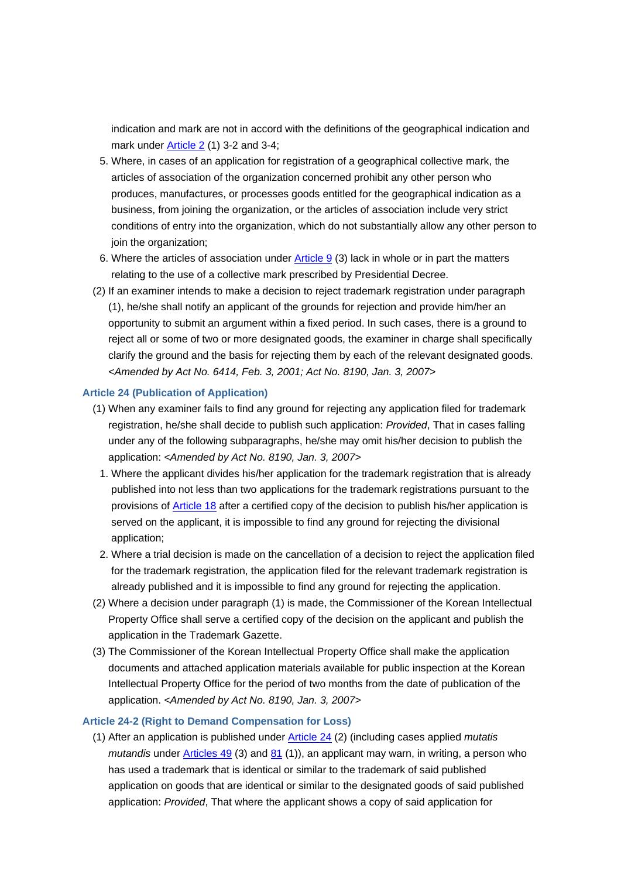indication and mark are not in accord with the definitions of the geographical indication and mark under Article 2 (1) 3-2 and 3-4;

- 5. Where, in cases of an application for registration of a geographical collective mark, the articles of association of the organization concerned prohibit any other person who produces, manufactures, or processes goods entitled for the geographical indication as a business, from joining the organization, or the articles of association include very strict conditions of entry into the organization, which do not substantially allow any other person to join the organization;
- 6. Where the articles of association under  $\frac{\text{Article 9}}{3}$  ack in whole or in part the matters relating to the use of a collective mark prescribed by Presidential Decree.
- (2) If an examiner intends to make a decision to reject trademark registration under paragraph (1), he/she shall notify an applicant of the grounds for rejection and provide him/her an opportunity to submit an argument within a fixed period. In such cases, there is a ground to reject all or some of two or more designated goods, the examiner in charge shall specifically clarify the ground and the basis for rejecting them by each of the relevant designated goods. *<Amended by Act No. 6414, Feb. 3, 2001; Act No. 8190, Jan. 3, 2007>*

### **Article 24 (Publication of Application)**

- (1) When any examiner fails to find any ground for rejecting any application filed for trademark registration, he/she shall decide to publish such application: *Provided*, That in cases falling under any of the following subparagraphs, he/she may omit his/her decision to publish the application: *<Amended by Act No. 8190, Jan. 3, 2007>*
	- 1. Where the applicant divides his/her application for the trademark registration that is already published into not less than two applications for the trademark registrations pursuant to the provisions of Article 18 after a certified copy of the decision to publish his/her application is served on the applicant, it is impossible to find any ground for rejecting the divisional application;
- 2. Where a trial decision is made on the cancellation of a decision to reject the application filed for the trademark registration, the application filed for the relevant trademark registration is already published and it is impossible to find any ground for rejecting the application.
- (2) Where a decision under paragraph (1) is made, the Commissioner of the Korean Intellectual Property Office shall serve a certified copy of the decision on the applicant and publish the application in the Trademark Gazette.
- (3) The Commissioner of the Korean Intellectual Property Office shall make the application documents and attached application materials available for public inspection at the Korean Intellectual Property Office for the period of two months from the date of publication of the application. *<Amended by Act No. 8190, Jan. 3, 2007>*

### **Article 24-2 (Right to Demand Compensation for Loss)**

(1) After an application is published under Article 24 (2) (including cases applied *mutatis mutandis* under Articles 49 (3) and 81 (1)), an applicant may warn, in writing, a person who has used a trademark that is identical or similar to the trademark of said published application on goods that are identical or similar to the designated goods of said published application: *Provided*, That where the applicant shows a copy of said application for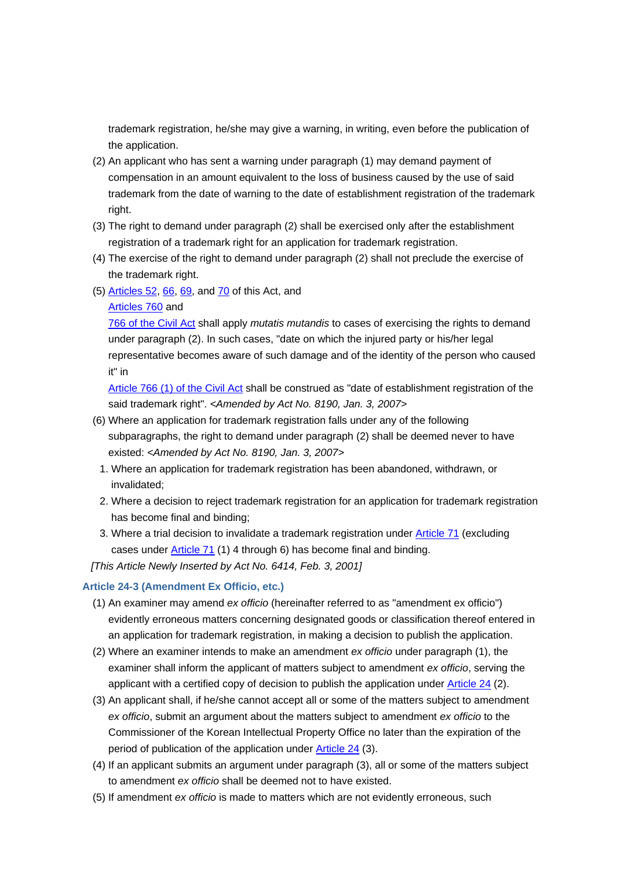trademark registration, he/she may give a warning, in writing, even before the publication of the application.

- (2) An applicant who has sent a warning under paragraph (1) may demand payment of compensation in an amount equivalent to the loss of business caused by the use of said trademark from the date of warning to the date of establishment registration of the trademark right.
- (3) The right to demand under paragraph (2) shall be exercised only after the establishment registration of a trademark right for an application for trademark registration.
- (4) The exercise of the right to demand under paragraph (2) shall not preclude the exercise of the trademark right.
- (5) Articles 52, 66, 69, and 70 of this Act, and
	- Articles 760 and

766 of the Civil Act shall apply *mutatis mutandis* to cases of exercising the rights to demand under paragraph (2). In such cases, "date on which the injured party or his/her legal representative becomes aware of such damage and of the identity of the person who caused it" in

Article 766 (1) of the Civil Act shall be construed as "date of establishment registration of the said trademark right". *<Amended by Act No. 8190, Jan. 3, 2007>*

- (6) Where an application for trademark registration falls under any of the following subparagraphs, the right to demand under paragraph (2) shall be deemed never to have existed: *<Amended by Act No. 8190, Jan. 3, 2007>*
	- 1. Where an application for trademark registration has been abandoned, withdrawn, or invalidated;
	- 2. Where a decision to reject trademark registration for an application for trademark registration has become final and binding;
	- 3. Where a trial decision to invalidate a trademark registration under Article 71 (excluding cases under Article 71 (1) 4 through 6) has become final and binding.

*[This Article Newly Inserted by Act No. 6414, Feb. 3, 2001]*

### **Article 24-3 (Amendment Ex Officio, etc.)**

- (1) An examiner may amend *ex officio* (hereinafter referred to as "amendment ex officio") evidently erroneous matters concerning designated goods or classification thereof entered in an application for trademark registration, in making a decision to publish the application.
- (2) Where an examiner intends to make an amendment *ex officio* under paragraph (1), the examiner shall inform the applicant of matters subject to amendment *ex officio*, serving the applicant with a certified copy of decision to publish the application under Article 24 (2).
- (3) An applicant shall, if he/she cannot accept all or some of the matters subject to amendment *ex officio*, submit an argument about the matters subject to amendment *ex officio* to the Commissioner of the Korean Intellectual Property Office no later than the expiration of the period of publication of the application under Article 24 (3).
- (4) If an applicant submits an argument under paragraph (3), all or some of the matters subject to amendment *ex officio* shall be deemed not to have existed.
- (5) If amendment *ex officio* is made to matters which are not evidently erroneous, such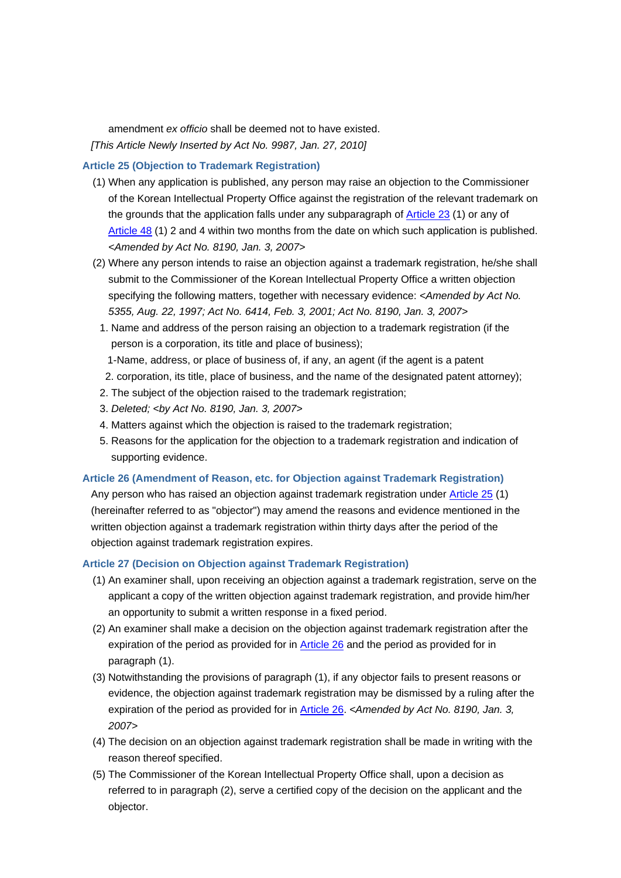amendment *ex officio* shall be deemed not to have existed. *[This Article Newly Inserted by Act No. 9987, Jan. 27, 2010]*

#### **Article 25 (Objection to Trademark Registration)**

- (1) When any application is published, any person may raise an objection to the Commissioner of the Korean Intellectual Property Office against the registration of the relevant trademark on the grounds that the application falls under any subparagraph of Article 23 (1) or any of Article 48 (1) 2 and 4 within two months from the date on which such application is published. *<Amended by Act No. 8190, Jan. 3, 2007>*
- (2) Where any person intends to raise an objection against a trademark registration, he/she shall submit to the Commissioner of the Korean Intellectual Property Office a written objection specifying the following matters, together with necessary evidence: *<Amended by Act No. 5355, Aug. 22, 1997; Act No. 6414, Feb. 3, 2001; Act No. 8190, Jan. 3, 2007>*
	- 1. Name and address of the person raising an objection to a trademark registration (if the person is a corporation, its title and place of business);
- 1- Name, address, or place of business of, if any, an agent (if the agent is a patent
	- 2. corporation, its title, place of business, and the name of the designated patent attorney);
- 2. The subject of the objection raised to the trademark registration;
- 3. *Deleted; <by Act No. 8190, Jan. 3, 2007>*
- 4. Matters against which the objection is raised to the trademark registration;
- 5. Reasons for the application for the objection to a trademark registration and indication of supporting evidence.

#### **Article 26 (Amendment of Reason, etc. for Objection against Trademark Registration)**

Any person who has raised an objection against trademark registration under Article 25 (1) (hereinafter referred to as "objector") may amend the reasons and evidence mentioned in the written objection against a trademark registration within thirty days after the period of the objection against trademark registration expires.

### **Article 27 (Decision on Objection against Trademark Registration)**

- (1) An examiner shall, upon receiving an objection against a trademark registration, serve on the applicant a copy of the written objection against trademark registration, and provide him/her an opportunity to submit a written response in a fixed period.
- (2) An examiner shall make a decision on the objection against trademark registration after the expiration of the period as provided for in Article 26 and the period as provided for in paragraph (1).
- (3) Notwithstanding the provisions of paragraph (1), if any objector fails to present reasons or evidence, the objection against trademark registration may be dismissed by a ruling after the expiration of the period as provided for in Article 26. *<Amended by Act No. 8190, Jan. 3, 2007>*
- (4) The decision on an objection against trademark registration shall be made in writing with the reason thereof specified.
- (5) The Commissioner of the Korean Intellectual Property Office shall, upon a decision as referred to in paragraph (2), serve a certified copy of the decision on the applicant and the objector.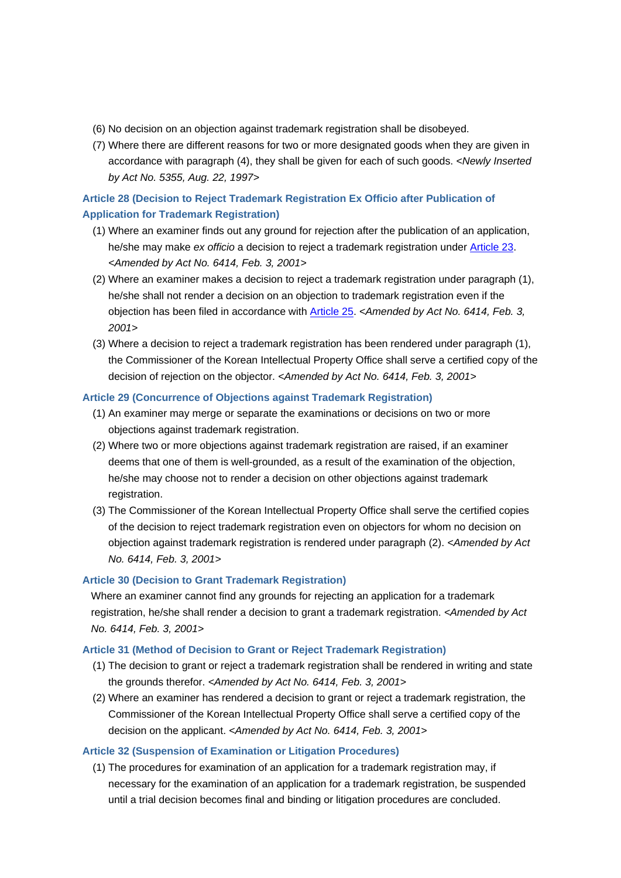- (6) No decision on an objection against trademark registration shall be disobeyed.
- (7) Where there are different reasons for two or more designated goods when they are given in accordance with paragraph (4), they shall be given for each of such goods. *<Newly Inserted by Act No. 5355, Aug. 22, 1997>*

## **Article 28 (Decision to Reject Trademark Registration Ex Officio after Publication of Application for Trademark Registration)**

- (1) Where an examiner finds out any ground for rejection after the publication of an application, he/she may make *ex officio* a decision to reject a trademark registration under Article 23. *<Amended by Act No. 6414, Feb. 3, 2001>*
- (2) Where an examiner makes a decision to reject a trademark registration under paragraph (1), he/she shall not render a decision on an objection to trademark registration even if the objection has been filed in accordance with Article 25. *<Amended by Act No. 6414, Feb. 3, 2001>*
- (3) Where a decision to reject a trademark registration has been rendered under paragraph (1), the Commissioner of the Korean Intellectual Property Office shall serve a certified copy of the decision of rejection on the objector. *<Amended by Act No. 6414, Feb. 3, 2001>*

## **Article 29 (Concurrence of Objections against Trademark Registration)**

- (1) An examiner may merge or separate the examinations or decisions on two or more objections against trademark registration.
- (2) Where two or more objections against trademark registration are raised, if an examiner deems that one of them is well-grounded, as a result of the examination of the objection, he/she may choose not to render a decision on other objections against trademark registration.
- (3) The Commissioner of the Korean Intellectual Property Office shall serve the certified copies of the decision to reject trademark registration even on objectors for whom no decision on objection against trademark registration is rendered under paragraph (2). *<Amended by Act No. 6414, Feb. 3, 2001>*

## **Article 30 (Decision to Grant Trademark Registration)**

Where an examiner cannot find any grounds for rejecting an application for a trademark registration, he/she shall render a decision to grant a trademark registration. *<Amended by Act No. 6414, Feb. 3, 2001>*

## **Article 31 (Method of Decision to Grant or Reject Trademark Registration)**

- (1) The decision to grant or reject a trademark registration shall be rendered in writing and state the grounds therefor. *<Amended by Act No. 6414, Feb. 3, 2001>*
- (2) Where an examiner has rendered a decision to grant or reject a trademark registration, the Commissioner of the Korean Intellectual Property Office shall serve a certified copy of the decision on the applicant. *<Amended by Act No. 6414, Feb. 3, 2001>*

## **Article 32 (Suspension of Examination or Litigation Procedures)**

(1) The procedures for examination of an application for a trademark registration may, if necessary for the examination of an application for a trademark registration, be suspended until a trial decision becomes final and binding or litigation procedures are concluded.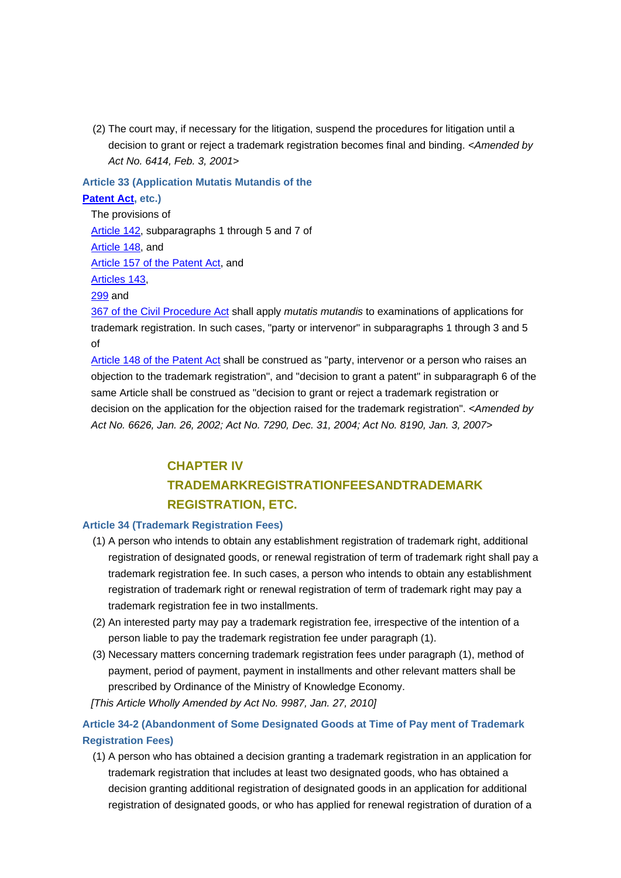(2) The court may, if necessary for the litigation, suspend the procedures for litigation until a decision to grant or reject a trademark registration becomes final and binding. *<Amended by Act No. 6414, Feb. 3, 2001>*

## **Article 33 (Application Mutatis Mutandis of the Patent Act, etc.)**

The provisions of Article 142, subparagraphs 1 through 5 and 7 of Article 148, and Article 157 of the Patent Act, and Articles 143, 299 and

367 of the Civil Procedure Act shall apply *mutatis mutandis* to examinations of applications for trademark registration. In such cases, "party or intervenor" in subparagraphs 1 through 3 and 5 of

Article 148 of the Patent Act shall be construed as "party, intervenor or a person who raises an objection to the trademark registration", and "decision to grant a patent" in subparagraph 6 of the same Article shall be construed as "decision to grant or reject a trademark registration or decision on the application for the objection raised for the trademark registration". *<Amended by Act No. 6626, Jan. 26, 2002; Act No. 7290, Dec. 31, 2004; Act No. 8190, Jan. 3, 2007>*

## **CHAPTER IV TRADEMARKREGISTRATIONFEESANDTRADEMARK REGISTRATION, ETC.**

## **Article 34 (Trademark Registration Fees)**

- (1) A person who intends to obtain any establishment registration of trademark right, additional registration of designated goods, or renewal registration of term of trademark right shall pay a trademark registration fee. In such cases, a person who intends to obtain any establishment registration of trademark right or renewal registration of term of trademark right may pay a trademark registration fee in two installments.
- (2) An interested party may pay a trademark registration fee, irrespective of the intention of a person liable to pay the trademark registration fee under paragraph (1).
- (3) Necessary matters concerning trademark registration fees under paragraph (1), method of payment, period of payment, payment in installments and other relevant matters shall be prescribed by Ordinance of the Ministry of Knowledge Economy.

*[This Article Wholly Amended by Act No. 9987, Jan. 27, 2010]*

## **Article 34-2 (Abandonment of Some Designated Goods at Time of Pay ment of Trademark Registration Fees)**

(1) A person who has obtained a decision granting a trademark registration in an application for trademark registration that includes at least two designated goods, who has obtained a decision granting additional registration of designated goods in an application for additional registration of designated goods, or who has applied for renewal registration of duration of a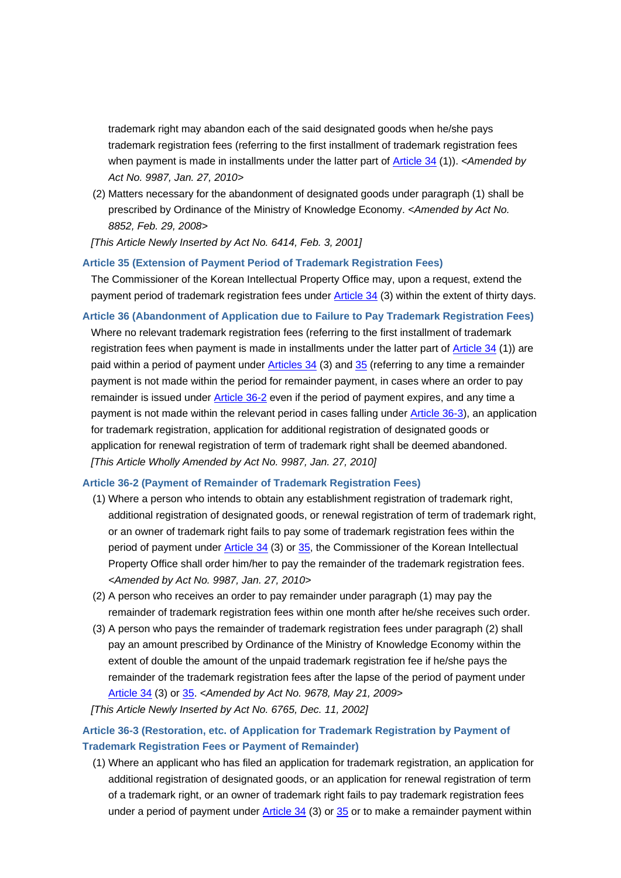trademark right may abandon each of the said designated goods when he/she pays trademark registration fees (referring to the first installment of trademark registration fees when payment is made in installments under the latter part of Article 34 (1)). *<Amended by Act No. 9987, Jan. 27, 2010>*

(2) Matters necessary for the abandonment of designated goods under paragraph (1) shall be prescribed by Ordinance of the Ministry of Knowledge Economy. *<Amended by Act No. 8852, Feb. 29, 2008>*

*[This Article Newly Inserted by Act No. 6414, Feb. 3, 2001]*

#### **Article 35 (Extension of Payment Period of Trademark Registration Fees)**

The Commissioner of the Korean Intellectual Property Office may, upon a request, extend the payment period of trademark registration fees under Article 34 (3) within the extent of thirty days.

**Article 36 (Abandonment of Application due to Failure to Pay Trademark Registration Fees)** Where no relevant trademark registration fees (referring to the first installment of trademark registration fees when payment is made in installments under the latter part of Article 34 (1)) are paid within a period of payment under Articles 34 (3) and 35 (referring to any time a remainder payment is not made within the period for remainder payment, in cases where an order to pay remainder is issued under Article 36-2 even if the period of payment expires, and any time a payment is not made within the relevant period in cases falling under Article 36-3), an application for trademark registration, application for additional registration of designated goods or application for renewal registration of term of trademark right shall be deemed abandoned. *[This Article Wholly Amended by Act No. 9987, Jan. 27, 2010]*

#### **Article 36-2 (Payment of Remainder of Trademark Registration Fees)**

- (1) Where a person who intends to obtain any establishment registration of trademark right, additional registration of designated goods, or renewal registration of term of trademark right, or an owner of trademark right fails to pay some of trademark registration fees within the period of payment under Article 34 (3) or 35, the Commissioner of the Korean Intellectual Property Office shall order him/her to pay the remainder of the trademark registration fees. *<Amended by Act No. 9987, Jan. 27, 2010>*
- (2) A person who receives an order to pay remainder under paragraph (1) may pay the remainder of trademark registration fees within one month after he/she receives such order.
- (3) A person who pays the remainder of trademark registration fees under paragraph (2) shall pay an amount prescribed by Ordinance of the Ministry of Knowledge Economy within the extent of double the amount of the unpaid trademark registration fee if he/she pays the remainder of the trademark registration fees after the lapse of the period of payment under Article 34 (3) or 35. *<Amended by Act No. 9678, May 21, 2009>*

*[This Article Newly Inserted by Act No. 6765, Dec. 11, 2002]*

**Article 36-3 (Restoration, etc. of Application for Trademark Registration by Payment of Trademark Registration Fees or Payment of Remainder)**

(1) Where an applicant who has filed an application for trademark registration, an application for additional registration of designated goods, or an application for renewal registration of term of a trademark right, or an owner of trademark right fails to pay trademark registration fees under a period of payment under  $\frac{\text{Article 34}}{\text{3}}$  (3) or  $\frac{35}{2}$  or to make a remainder payment within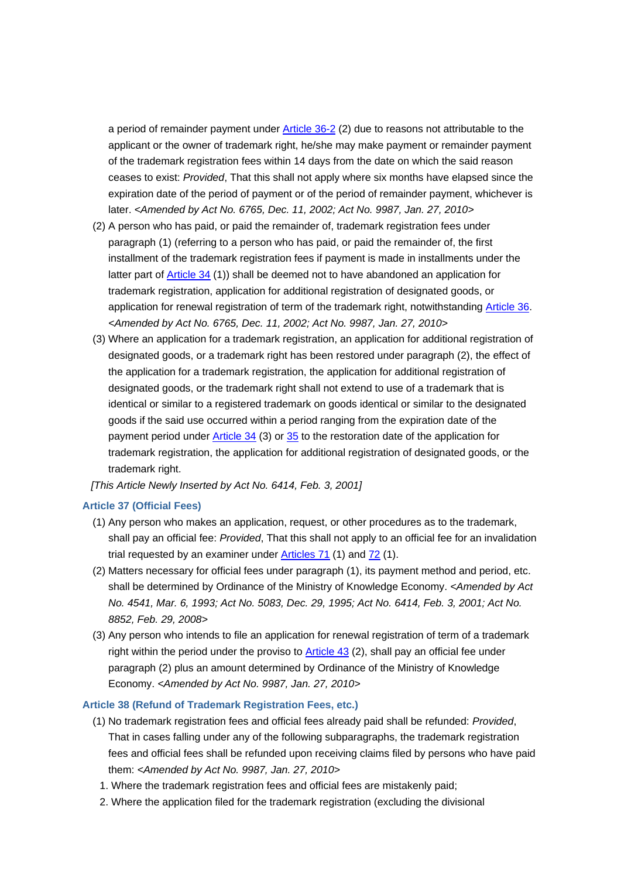a period of remainder payment under Article 36-2 (2) due to reasons not attributable to the applicant or the owner of trademark right, he/she may make payment or remainder payment of the trademark registration fees within 14 days from the date on which the said reason ceases to exist: *Provided*, That this shall not apply where six months have elapsed since the expiration date of the period of payment or of the period of remainder payment, whichever is later. *<Amended by Act No. 6765, Dec. 11, 2002; Act No. 9987, Jan. 27, 2010>*

- (2) A person who has paid, or paid the remainder of, trademark registration fees under paragraph (1) (referring to a person who has paid, or paid the remainder of, the first installment of the trademark registration fees if payment is made in installments under the latter part of Article 34 (1)) shall be deemed not to have abandoned an application for trademark registration, application for additional registration of designated goods, or application for renewal registration of term of the trademark right, notwithstanding Article 36. *<Amended by Act No. 6765, Dec. 11, 2002; Act No. 9987, Jan. 27, 2010>*
- (3) Where an application for a trademark registration, an application for additional registration of designated goods, or a trademark right has been restored under paragraph (2), the effect of the application for a trademark registration, the application for additional registration of designated goods, or the trademark right shall not extend to use of a trademark that is identical or similar to a registered trademark on goods identical or similar to the designated goods if the said use occurred within a period ranging from the expiration date of the payment period under Article 34 (3) or 35 to the restoration date of the application for trademark registration, the application for additional registration of designated goods, or the trademark right.

*[This Article Newly Inserted by Act No. 6414, Feb. 3, 2001]*

### **Article 37 (Official Fees)**

- (1) Any person who makes an application, request, or other procedures as to the trademark, shall pay an official fee: *Provided*, That this shall not apply to an official fee for an invalidation trial requested by an examiner under Articles 71 (1) and 72 (1).
- (2) Matters necessary for official fees under paragraph (1), its payment method and period, etc. shall be determined by Ordinance of the Ministry of Knowledge Economy. *<Amended by Act No. 4541, Mar. 6, 1993; Act No. 5083, Dec. 29, 1995; Act No. 6414, Feb. 3, 2001; Act No. 8852, Feb. 29, 2008>*
- (3) Any person who intends to file an application for renewal registration of term of a trademark right within the period under the proviso to Article 43 (2), shall pay an official fee under paragraph (2) plus an amount determined by Ordinance of the Ministry of Knowledge Economy. *<Amended by Act No. 9987, Jan. 27, 2010>*

#### **Article 38 (Refund of Trademark Registration Fees, etc.)**

- (1) No trademark registration fees and official fees already paid shall be refunded: *Provided*, That in cases falling under any of the following subparagraphs, the trademark registration fees and official fees shall be refunded upon receiving claims filed by persons who have paid them: *<Amended by Act No. 9987, Jan. 27, 2010>*
	- 1. Where the trademark registration fees and official fees are mistakenly paid;
	- 2. Where the application filed for the trademark registration (excluding the divisional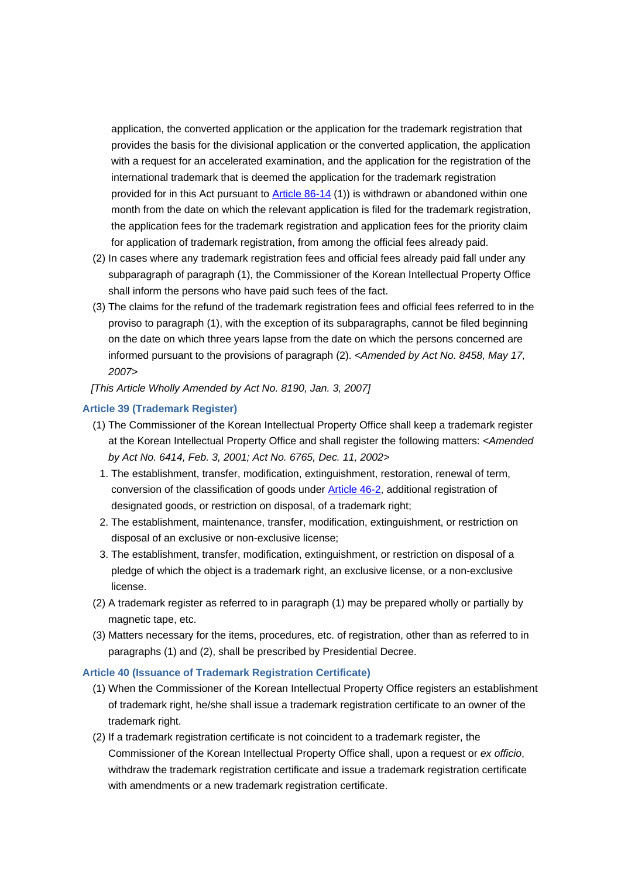application, the converted application or the application for the trademark registration that provides the basis for the divisional application or the converted application, the application with a request for an accelerated examination, and the application for the registration of the international trademark that is deemed the application for the trademark registration provided for in this Act pursuant to Article 86-14 (1)) is withdrawn or abandoned within one month from the date on which the relevant application is filed for the trademark registration, the application fees for the trademark registration and application fees for the priority claim for application of trademark registration, from among the official fees already paid.

- (2) In cases where any trademark registration fees and official fees already paid fall under any subparagraph of paragraph (1), the Commissioner of the Korean Intellectual Property Office shall inform the persons who have paid such fees of the fact.
- (3) The claims for the refund of the trademark registration fees and official fees referred to in the proviso to paragraph (1), with the exception of its subparagraphs, cannot be filed beginning on the date on which three years lapse from the date on which the persons concerned are informed pursuant to the provisions of paragraph (2). *<Amended by Act No. 8458, May 17, 2007>*
- *[This Article Wholly Amended by Act No. 8190, Jan. 3, 2007]*

## **Article 39 (Trademark Register)**

- (1) The Commissioner of the Korean Intellectual Property Office shall keep a trademark register at the Korean Intellectual Property Office and shall register the following matters: *<Amended by Act No. 6414, Feb. 3, 2001; Act No. 6765, Dec. 11, 2002>*
	- 1. The establishment, transfer, modification, extinguishment, restoration, renewal of term, conversion of the classification of goods under Article 46-2, additional registration of designated goods, or restriction on disposal, of a trademark right;
	- 2. The establishment, maintenance, transfer, modification, extinguishment, or restriction on disposal of an exclusive or non-exclusive license;
- 3. The establishment, transfer, modification, extinguishment, or restriction on disposal of a pledge of which the object is a trademark right, an exclusive license, or a non-exclusive license.
- (2) A trademark register as referred to in paragraph (1) may be prepared wholly or partially by magnetic tape, etc.
- (3) Matters necessary for the items, procedures, etc. of registration, other than as referred to in paragraphs (1) and (2), shall be prescribed by Presidential Decree.

### **Article 40 (Issuance of Trademark Registration Certificate)**

- (1) When the Commissioner of the Korean Intellectual Property Office registers an establishment of trademark right, he/she shall issue a trademark registration certificate to an owner of the trademark right.
- (2) If a trademark registration certificate is not coincident to a trademark register, the Commissioner of the Korean Intellectual Property Office shall, upon a request or *ex officio*, withdraw the trademark registration certificate and issue a trademark registration certificate with amendments or a new trademark registration certificate.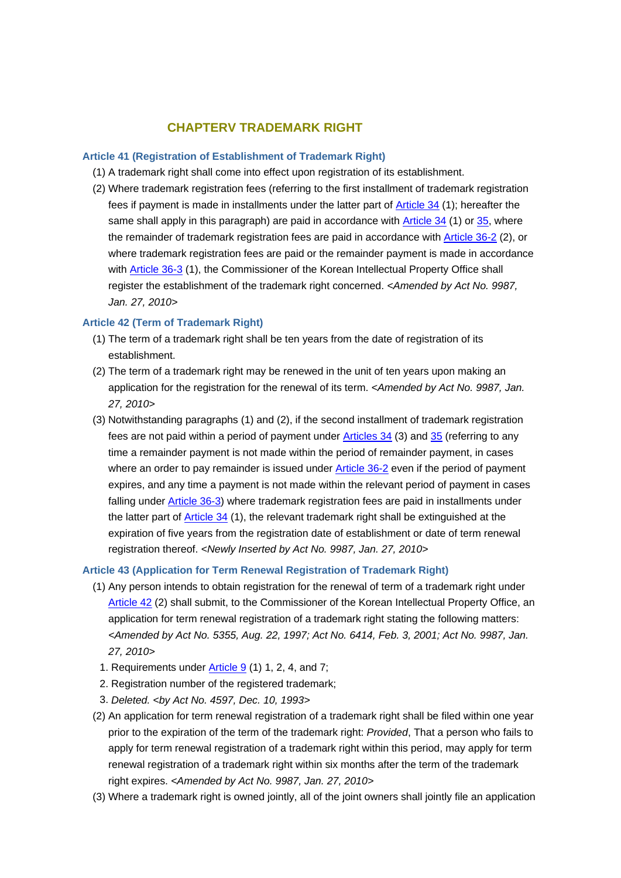## **CHAPTERV TRADEMARK RIGHT**

#### **Article 41 (Registration of Establishment of Trademark Right)**

- (1) A trademark right shall come into effect upon registration of its establishment.
- (2) Where trademark registration fees (referring to the first installment of trademark registration fees if payment is made in installments under the latter part of Article 34 (1); hereafter the same shall apply in this paragraph) are paid in accordance with Article 34 (1) or 35, where the remainder of trademark registration fees are paid in accordance with **Article 36-2** (2), or where trademark registration fees are paid or the remainder payment is made in accordance with Article 36-3 (1), the Commissioner of the Korean Intellectual Property Office shall register the establishment of the trademark right concerned. *<Amended by Act No. 9987, Jan. 27, 2010>*

### **Article 42 (Term of Trademark Right)**

- (1) The term of a trademark right shall be ten years from the date of registration of its establishment.
- (2) The term of a trademark right may be renewed in the unit of ten years upon making an application for the registration for the renewal of its term. *<Amended by Act No. 9987, Jan. 27, 2010>*
- (3) Notwithstanding paragraphs (1) and (2), if the second installment of trademark registration fees are not paid within a period of payment under Articles 34 (3) and 35 (referring to any time a remainder payment is not made within the period of remainder payment, in cases where an order to pay remainder is issued under Article 36-2 even if the period of payment expires, and any time a payment is not made within the relevant period of payment in cases falling under Article 36-3) where trademark registration fees are paid in installments under the latter part of Article 34 (1), the relevant trademark right shall be extinguished at the expiration of five years from the registration date of establishment or date of term renewal registration thereof. *<Newly Inserted by Act No. 9987, Jan. 27, 2010>*

#### **Article 43 (Application for Term Renewal Registration of Trademark Right)**

- (1) Any person intends to obtain registration for the renewal of term of a trademark right under Article 42 (2) shall submit, to the Commissioner of the Korean Intellectual Property Office, an application for term renewal registration of a trademark right stating the following matters: *<Amended by Act No. 5355, Aug. 22, 1997; Act No. 6414, Feb. 3, 2001; Act No. 9987, Jan. 27, 2010>*
	- 1. Requirements under Article 9 (1) 1, 2, 4, and 7;
	- 2. Registration number of the registered trademark;
	- 3. *Deleted. <by Act No. 4597, Dec. 10, 1993>*
- (2) An application for term renewal registration of a trademark right shall be filed within one year prior to the expiration of the term of the trademark right: *Provided*, That a person who fails to apply for term renewal registration of a trademark right within this period, may apply for term renewal registration of a trademark right within six months after the term of the trademark right expires. *<Amended by Act No. 9987, Jan. 27, 2010>*
- (3) Where a trademark right is owned jointly, all of the joint owners shall jointly file an application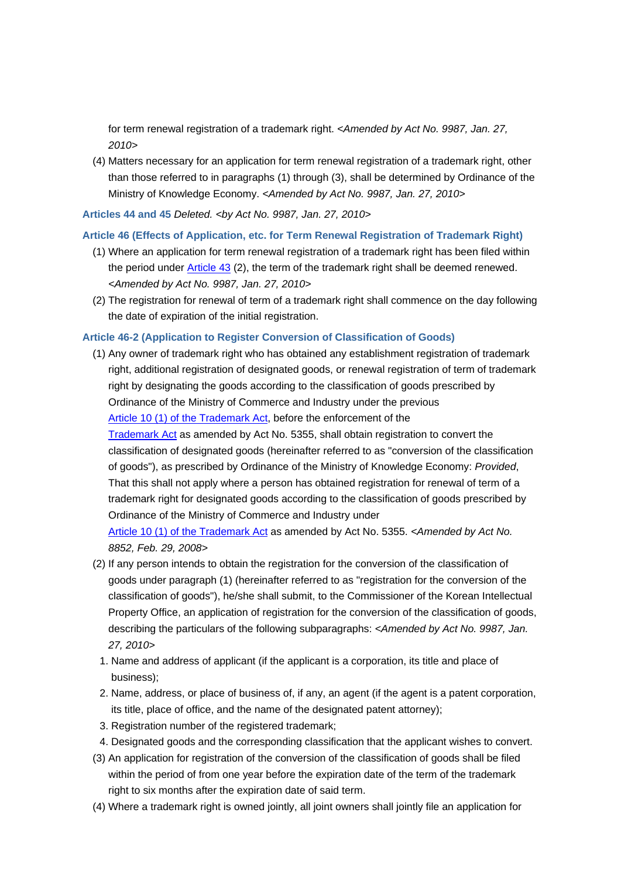for term renewal registration of a trademark right. *<Amended by Act No. 9987, Jan. 27, 2010>*

(4) Matters necessary for an application for term renewal registration of a trademark right, other than those referred to in paragraphs (1) through (3), shall be determined by Ordinance of the Ministry of Knowledge Economy. *<Amended by Act No. 9987, Jan. 27, 2010>*

### **Articles 44 and 45** *Deleted. <by Act No. 9987, Jan. 27, 2010>*

### **Article 46 (Effects of Application, etc. for Term Renewal Registration of Trademark Right)**

- (1) Where an application for term renewal registration of a trademark right has been filed within the period under Article 43 (2), the term of the trademark right shall be deemed renewed. *<Amended by Act No. 9987, Jan. 27, 2010>*
- (2) The registration for renewal of term of a trademark right shall commence on the day following the date of expiration of the initial registration.

### **Article 46-2 (Application to Register Conversion of Classification of Goods)**

- (1) Any owner of trademark right who has obtained any establishment registration of trademark right, additional registration of designated goods, or renewal registration of term of trademark right by designating the goods according to the classification of goods prescribed by Ordinance of the Ministry of Commerce and Industry under the previous Article 10 (1) of the Trademark Act, before the enforcement of the Trademark Act as amended by Act No. 5355, shall obtain registration to convert the classification of designated goods (hereinafter referred to as "conversion of the classification of goods"), as prescribed by Ordinance of the Ministry of Knowledge Economy: *Provided*, That this shall not apply where a person has obtained registration for renewal of term of a trademark right for designated goods according to the classification of goods prescribed by Ordinance of the Ministry of Commerce and Industry under Article 10 (1) of the Trademark Act as amended by Act No. 5355. *<Amended by Act No. 8852, Feb. 29, 2008>*
- (2) If any person intends to obtain the registration for the conversion of the classification of goods under paragraph (1) (hereinafter referred to as "registration for the conversion of the classification of goods"), he/she shall submit, to the Commissioner of the Korean Intellectual Property Office, an application of registration for the conversion of the classification of goods, describing the particulars of the following subparagraphs: *<Amended by Act No. 9987, Jan. 27, 2010>*
	- 1. Name and address of applicant (if the applicant is a corporation, its title and place of business);
	- 2. Name, address, or place of business of, if any, an agent (if the agent is a patent corporation, its title, place of office, and the name of the designated patent attorney);
	- 3. Registration number of the registered trademark;
	- 4. Designated goods and the corresponding classification that the applicant wishes to convert.
- (3) An application for registration of the conversion of the classification of goods shall be filed within the period of from one year before the expiration date of the term of the trademark right to six months after the expiration date of said term.
- (4) Where a trademark right is owned jointly, all joint owners shall jointly file an application for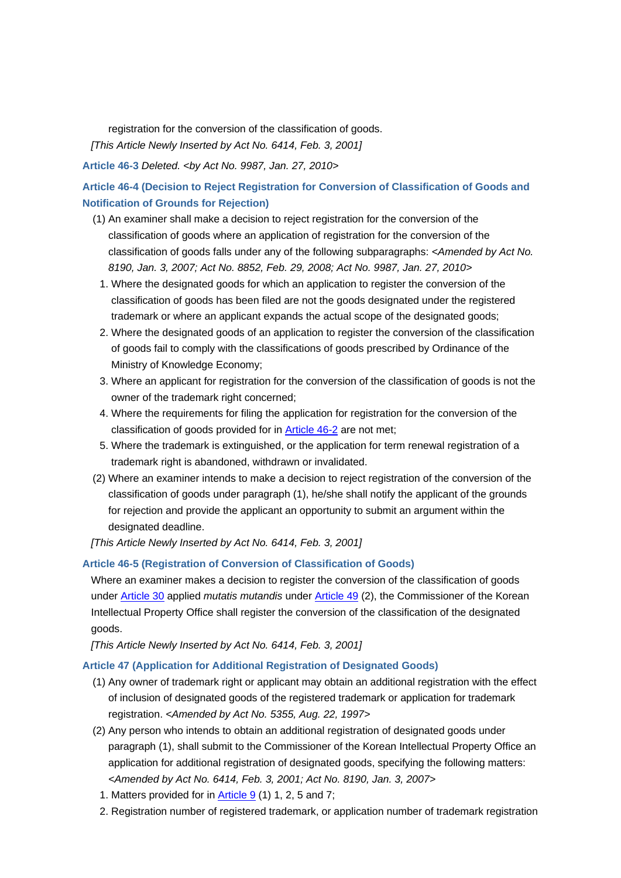registration for the conversion of the classification of goods. *[This Article Newly Inserted by Act No. 6414, Feb. 3, 2001]*

**Article 46-3** *Deleted. <by Act No. 9987, Jan. 27, 2010>*

**Article 46-4 (Decision to Reject Registration for Conversion of Classification of Goods and Notification of Grounds for Rejection)**

- (1) An examiner shall make a decision to reject registration for the conversion of the classification of goods where an application of registration for the conversion of the classification of goods falls under any of the following subparagraphs: *<Amended by Act No. 8190, Jan. 3, 2007; Act No. 8852, Feb. 29, 2008; Act No. 9987, Jan. 27, 2010>*
	- 1. Where the designated goods for which an application to register the conversion of the classification of goods has been filed are not the goods designated under the registered trademark or where an applicant expands the actual scope of the designated goods;
	- 2. Where the designated goods of an application to register the conversion of the classification of goods fail to comply with the classifications of goods prescribed by Ordinance of the Ministry of Knowledge Economy;
	- 3. Where an applicant for registration for the conversion of the classification of goods is not the owner of the trademark right concerned;
- 4. Where the requirements for filing the application for registration for the conversion of the classification of goods provided for in Article 46-2 are not met;
- 5. Where the trademark is extinguished, or the application for term renewal registration of a trademark right is abandoned, withdrawn or invalidated.
- (2) Where an examiner intends to make a decision to reject registration of the conversion of the classification of goods under paragraph (1), he/she shall notify the applicant of the grounds for rejection and provide the applicant an opportunity to submit an argument within the designated deadline.

*[This Article Newly Inserted by Act No. 6414, Feb. 3, 2001]*

## **Article 46-5 (Registration of Conversion of Classification of Goods)**

Where an examiner makes a decision to register the conversion of the classification of goods under Article 30 applied *mutatis mutandis* under Article 49 (2), the Commissioner of the Korean Intellectual Property Office shall register the conversion of the classification of the designated goods.

*[This Article Newly Inserted by Act No. 6414, Feb. 3, 2001]*

### **Article 47 (Application for Additional Registration of Designated Goods)**

- (1) Any owner of trademark right or applicant may obtain an additional registration with the effect of inclusion of designated goods of the registered trademark or application for trademark registration. *<Amended by Act No. 5355, Aug. 22, 1997>*
- (2) Any person who intends to obtain an additional registration of designated goods under paragraph (1), shall submit to the Commissioner of the Korean Intellectual Property Office an application for additional registration of designated goods, specifying the following matters: *<Amended by Act No. 6414, Feb. 3, 2001; Act No. 8190, Jan. 3, 2007>*
	- 1. Matters provided for in Article 9 (1) 1, 2, 5 and 7;
	- 2. Registration number of registered trademark, or application number of trademark registration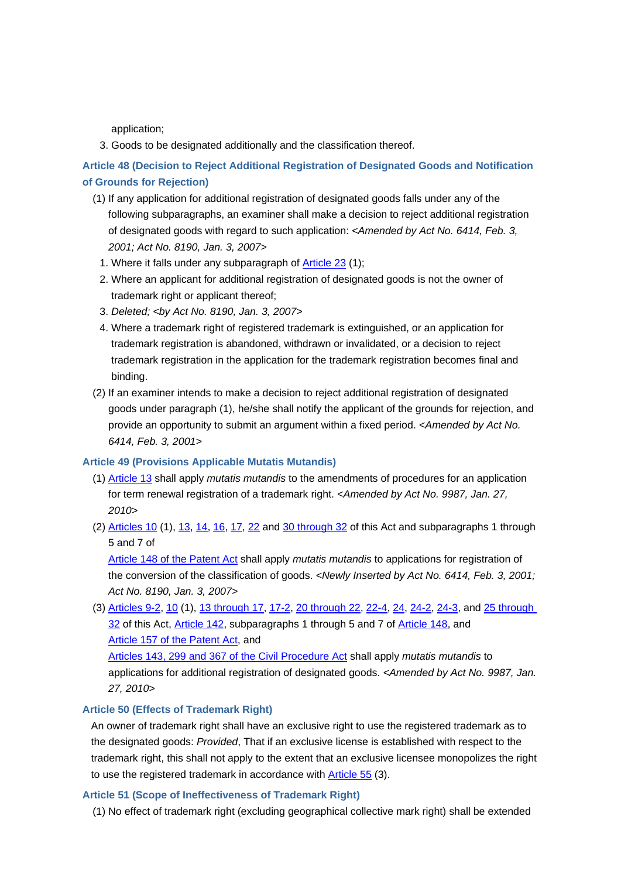application;

3. Goods to be designated additionally and the classification thereof.

**Article 48 (Decision to Reject Additional Registration of Designated Goods and Notification of Grounds for Rejection)**

- (1) If any application for additional registration of designated goods falls under any of the following subparagraphs, an examiner shall make a decision to reject additional registration of designated goods with regard to such application: *<Amended by Act No. 6414, Feb. 3, 2001; Act No. 8190, Jan. 3, 2007>*
	- 1. Where it falls under any subparagraph of Article 23 (1);
	- 2. Where an applicant for additional registration of designated goods is not the owner of trademark right or applicant thereof;
	- 3. *Deleted; <by Act No. 8190, Jan. 3, 2007>*
	- 4. Where a trademark right of registered trademark is extinguished, or an application for trademark registration is abandoned, withdrawn or invalidated, or a decision to reject trademark registration in the application for the trademark registration becomes final and binding.
- (2) If an examiner intends to make a decision to reject additional registration of designated goods under paragraph (1), he/she shall notify the applicant of the grounds for rejection, and provide an opportunity to submit an argument within a fixed period. *<Amended by Act No. 6414, Feb. 3, 2001>*

#### **Article 49 (Provisions Applicable Mutatis Mutandis)**

- (1) Article 13 shall apply *mutatis mutandis* to the amendments of procedures for an application for term renewal registration of a trademark right. *<Amended by Act No. 9987, Jan. 27, 2010>*
- (2) Articles 10 (1), 13, 14, 16, 17, 22 and 30 through 32 of this Act and subparagraphs 1 through 5 and 7 of

Article 148 of the Patent Act shall apply *mutatis mutandis* to applications for registration of the conversion of the classification of goods. *<Newly Inserted by Act No. 6414, Feb. 3, 2001; Act No. 8190, Jan. 3, 2007>*

(3) Articles 9-2, 10 (1), 13 through 17, 17-2, 20 through 22, 22-4, 24, 24-2, 24-3, and 25 through 32 of this Act, Article 142, subparagraphs 1 through 5 and 7 of Article 148, and Article 157 of the Patent Act, and

Articles 143, 299 and 367 of the Civil Procedure Act shall apply *mutatis mutandis* to applications for additional registration of designated goods. *<Amended by Act No. 9987, Jan. 27, 2010>*

## **Article 50 (Effects of Trademark Right)**

An owner of trademark right shall have an exclusive right to use the registered trademark as to the designated goods: *Provided*, That if an exclusive license is established with respect to the trademark right, this shall not apply to the extent that an exclusive licensee monopolizes the right to use the registered trademark in accordance with **Article 55** (3).

#### **Article 51 (Scope of Ineffectiveness of Trademark Right)**

(1) No effect of trademark right (excluding geographical collective mark right) shall be extended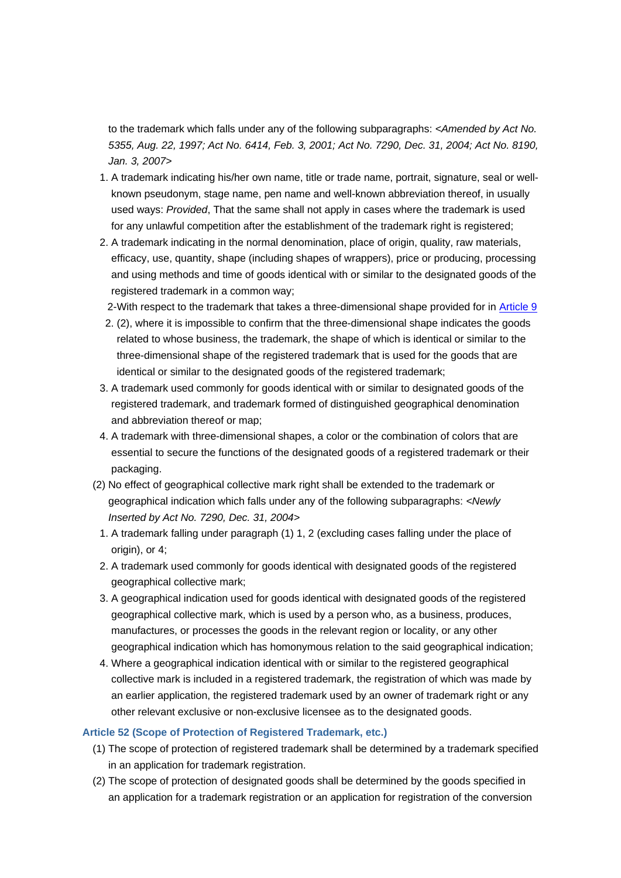to the trademark which falls under any of the following subparagraphs: *<Amended by Act No. 5355, Aug. 22, 1997; Act No. 6414, Feb. 3, 2001; Act No. 7290, Dec. 31, 2004; Act No. 8190, Jan. 3, 2007>*

- 1. A trademark indicating his/her own name, title or trade name, portrait, signature, seal or wellknown pseudonym, stage name, pen name and well-known abbreviation thereof, in usually used ways: *Provided*, That the same shall not apply in cases where the trademark is used for any unlawful competition after the establishment of the trademark right is registered;
- 2. A trademark indicating in the normal denomination, place of origin, quality, raw materials, efficacy, use, quantity, shape (including shapes of wrappers), price or producing, processing and using methods and time of goods identical with or similar to the designated goods of the registered trademark in a common way;
- 2-With respect to the trademark that takes a three-dimensional shape provided for in Article 9
	- 2. (2), where it is impossible to confirm that the three-dimensional shape indicates the goods related to whose business, the trademark, the shape of which is identical or similar to the three-dimensional shape of the registered trademark that is used for the goods that are identical or similar to the designated goods of the registered trademark;
- 3. A trademark used commonly for goods identical with or similar to designated goods of the registered trademark, and trademark formed of distinguished geographical denomination and abbreviation thereof or map;
- 4. A trademark with three-dimensional shapes, a color or the combination of colors that are essential to secure the functions of the designated goods of a registered trademark or their packaging.
- (2) No effect of geographical collective mark right shall be extended to the trademark or geographical indication which falls under any of the following subparagraphs: *<Newly Inserted by Act No. 7290, Dec. 31, 2004>*
	- 1. A trademark falling under paragraph (1) 1, 2 (excluding cases falling under the place of origin), or 4;
- 2. A trademark used commonly for goods identical with designated goods of the registered geographical collective mark;
- 3. A geographical indication used for goods identical with designated goods of the registered geographical collective mark, which is used by a person who, as a business, produces, manufactures, or processes the goods in the relevant region or locality, or any other geographical indication which has homonymous relation to the said geographical indication;
- 4. Where a geographical indication identical with or similar to the registered geographical collective mark is included in a registered trademark, the registration of which was made by an earlier application, the registered trademark used by an owner of trademark right or any other relevant exclusive or non-exclusive licensee as to the designated goods.

### **Article 52 (Scope of Protection of Registered Trademark, etc.)**

- (1) The scope of protection of registered trademark shall be determined by a trademark specified in an application for trademark registration.
- (2) The scope of protection of designated goods shall be determined by the goods specified in an application for a trademark registration or an application for registration of the conversion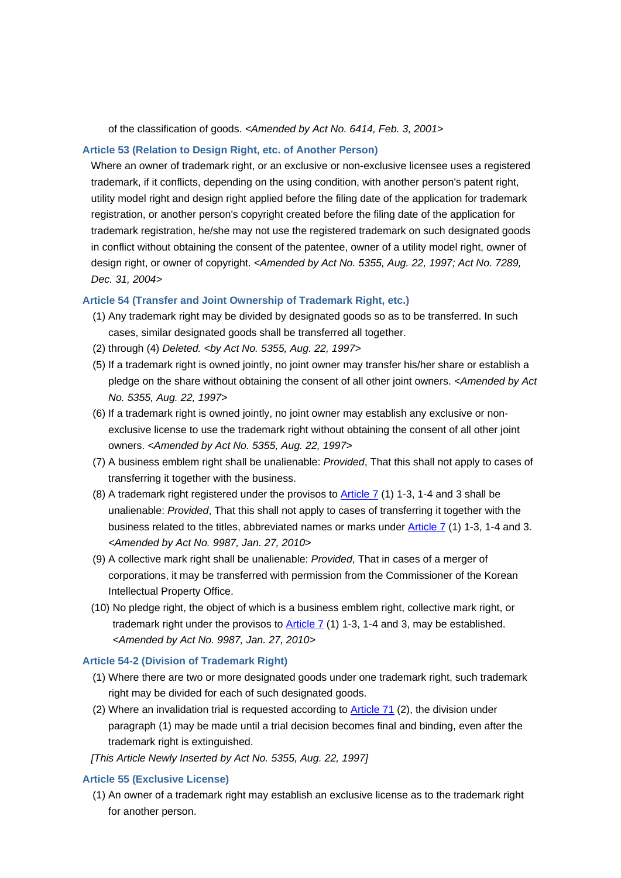of the classification of goods. *<Amended by Act No. 6414, Feb. 3, 2001>*

### **Article 53 (Relation to Design Right, etc. of Another Person)**

Where an owner of trademark right, or an exclusive or non-exclusive licensee uses a registered trademark, if it conflicts, depending on the using condition, with another person's patent right, utility model right and design right applied before the filing date of the application for trademark registration, or another person's copyright created before the filing date of the application for trademark registration, he/she may not use the registered trademark on such designated goods in conflict without obtaining the consent of the patentee, owner of a utility model right, owner of design right, or owner of copyright. *<Amended by Act No. 5355, Aug. 22, 1997; Act No. 7289, Dec. 31, 2004>*

#### **Article 54 (Transfer and Joint Ownership of Trademark Right, etc.)**

- (1) Any trademark right may be divided by designated goods so as to be transferred. In such cases, similar designated goods shall be transferred all together.
- (2) through (4) *Deleted. <by Act No. 5355, Aug. 22, 1997>*
- (5) If a trademark right is owned jointly, no joint owner may transfer his/her share or establish a pledge on the share without obtaining the consent of all other joint owners. *<Amended by Act No. 5355, Aug. 22, 1997>*
- (6) If a trademark right is owned jointly, no joint owner may establish any exclusive or nonexclusive license to use the trademark right without obtaining the consent of all other joint owners. *<Amended by Act No. 5355, Aug. 22, 1997>*
- (7) A business emblem right shall be unalienable: *Provided*, That this shall not apply to cases of transferring it together with the business.
- (8) A trademark right registered under the provisos to Article 7 (1) 1-3, 1-4 and 3 shall be unalienable: *Provided*, That this shall not apply to cases of transferring it together with the business related to the titles, abbreviated names or marks under Article 7 (1) 1-3, 1-4 and 3. *<Amended by Act No. 9987, Jan. 27, 2010>*
- (9) A collective mark right shall be unalienable: *Provided*, That in cases of a merger of corporations, it may be transferred with permission from the Commissioner of the Korean Intellectual Property Office.
- (10) No pledge right, the object of which is a business emblem right, collective mark right, or trademark right under the provisos to  $\frac{\text{Article 7}}{1}$  (1) 1-3, 1-4 and 3, may be established. *<Amended by Act No. 9987, Jan. 27, 2010>*

### **Article 54-2 (Division of Trademark Right)**

- (1) Where there are two or more designated goods under one trademark right, such trademark right may be divided for each of such designated goods.
- (2) Where an invalidation trial is requested according to Article 71 (2), the division under paragraph (1) may be made until a trial decision becomes final and binding, even after the trademark right is extinguished.

*[This Article Newly Inserted by Act No. 5355, Aug. 22, 1997]*

### **Article 55 (Exclusive License)**

(1) An owner of a trademark right may establish an exclusive license as to the trademark right for another person.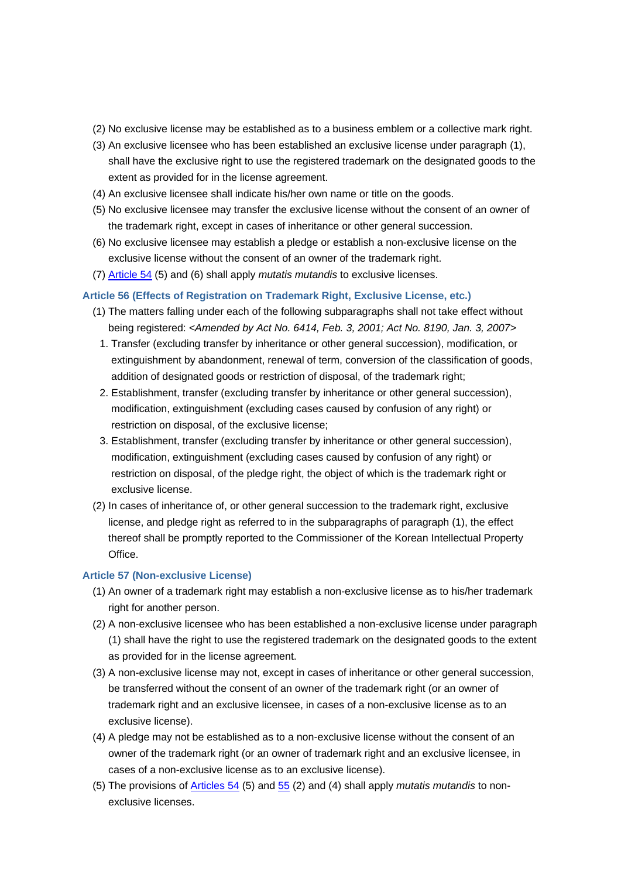- (2) No exclusive license may be established as to a business emblem or a collective mark right.
- (3) An exclusive licensee who has been established an exclusive license under paragraph (1), shall have the exclusive right to use the registered trademark on the designated goods to the extent as provided for in the license agreement.
- (4) An exclusive licensee shall indicate his/her own name or title on the goods.
- (5) No exclusive licensee may transfer the exclusive license without the consent of an owner of the trademark right, except in cases of inheritance or other general succession.
- (6) No exclusive licensee may establish a pledge or establish a non-exclusive license on the exclusive license without the consent of an owner of the trademark right.
- (7) Article 54 (5) and (6) shall apply *mutatis mutandis* to exclusive licenses.

## **Article 56 (Effects of Registration on Trademark Right, Exclusive License, etc.)**

- (1) The matters falling under each of the following subparagraphs shall not take effect without being registered: *<Amended by Act No. 6414, Feb. 3, 2001; Act No. 8190, Jan. 3, 2007>*
	- 1. Transfer (excluding transfer by inheritance or other general succession), modification, or extinguishment by abandonment, renewal of term, conversion of the classification of goods, addition of designated goods or restriction of disposal, of the trademark right;
	- 2. Establishment, transfer (excluding transfer by inheritance or other general succession), modification, extinguishment (excluding cases caused by confusion of any right) or restriction on disposal, of the exclusive license;
- 3. Establishment, transfer (excluding transfer by inheritance or other general succession), modification, extinguishment (excluding cases caused by confusion of any right) or restriction on disposal, of the pledge right, the object of which is the trademark right or exclusive license.
- (2) In cases of inheritance of, or other general succession to the trademark right, exclusive license, and pledge right as referred to in the subparagraphs of paragraph (1), the effect thereof shall be promptly reported to the Commissioner of the Korean Intellectual Property Office.

## **Article 57 (Non-exclusive License)**

- (1) An owner of a trademark right may establish a non-exclusive license as to his/her trademark right for another person.
- (2) A non-exclusive licensee who has been established a non-exclusive license under paragraph (1) shall have the right to use the registered trademark on the designated goods to the extent as provided for in the license agreement.
- (3) A non-exclusive license may not, except in cases of inheritance or other general succession, be transferred without the consent of an owner of the trademark right (or an owner of trademark right and an exclusive licensee, in cases of a non-exclusive license as to an exclusive license).
- (4) A pledge may not be established as to a non-exclusive license without the consent of an owner of the trademark right (or an owner of trademark right and an exclusive licensee, in cases of a non-exclusive license as to an exclusive license).
- (5) The provisions of Articles 54 (5) and 55 (2) and (4) shall apply *mutatis mutandis* to nonexclusive licenses.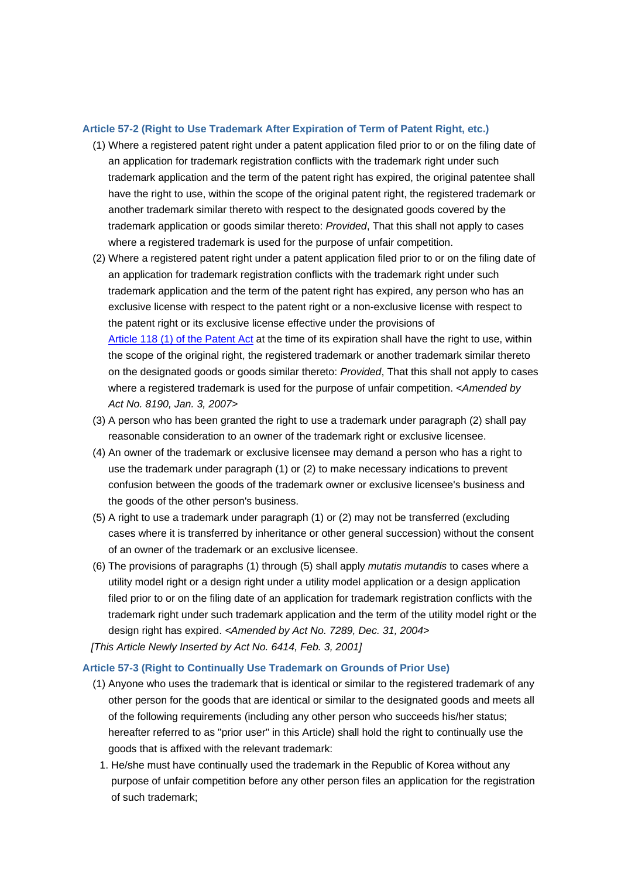#### **Article 57-2 (Right to Use Trademark After Expiration of Term of Patent Right, etc.)**

- (1) Where a registered patent right under a patent application filed prior to or on the filing date of an application for trademark registration conflicts with the trademark right under such trademark application and the term of the patent right has expired, the original patentee shall have the right to use, within the scope of the original patent right, the registered trademark or another trademark similar thereto with respect to the designated goods covered by the trademark application or goods similar thereto: *Provided*, That this shall not apply to cases where a registered trademark is used for the purpose of unfair competition.
- (2) Where a registered patent right under a patent application filed prior to or on the filing date of an application for trademark registration conflicts with the trademark right under such trademark application and the term of the patent right has expired, any person who has an exclusive license with respect to the patent right or a non-exclusive license with respect to the patent right or its exclusive license effective under the provisions of Article 118 (1) of the Patent Act at the time of its expiration shall have the right to use, within the scope of the original right, the registered trademark or another trademark similar thereto on the designated goods or goods similar thereto: *Provided*, That this shall not apply to cases where a registered trademark is used for the purpose of unfair competition. *<Amended by Act No. 8190, Jan. 3, 2007>*
- (3) A person who has been granted the right to use a trademark under paragraph (2) shall pay reasonable consideration to an owner of the trademark right or exclusive licensee.
- (4) An owner of the trademark or exclusive licensee may demand a person who has a right to use the trademark under paragraph (1) or (2) to make necessary indications to prevent confusion between the goods of the trademark owner or exclusive licensee's business and the goods of the other person's business.
- (5) A right to use a trademark under paragraph (1) or (2) may not be transferred (excluding cases where it is transferred by inheritance or other general succession) without the consent of an owner of the trademark or an exclusive licensee.
- (6) The provisions of paragraphs (1) through (5) shall apply *mutatis mutandis* to cases where a utility model right or a design right under a utility model application or a design application filed prior to or on the filing date of an application for trademark registration conflicts with the trademark right under such trademark application and the term of the utility model right or the design right has expired. *<Amended by Act No. 7289, Dec. 31, 2004>*
- *[This Article Newly Inserted by Act No. 6414, Feb. 3, 2001]*

### **Article 57-3 (Right to Continually Use Trademark on Grounds of Prior Use)**

- (1) Anyone who uses the trademark that is identical or similar to the registered trademark of any other person for the goods that are identical or similar to the designated goods and meets all of the following requirements (including any other person who succeeds his/her status; hereafter referred to as "prior user" in this Article) shall hold the right to continually use the goods that is affixed with the relevant trademark:
	- 1. He/she must have continually used the trademark in the Republic of Korea without any purpose of unfair competition before any other person files an application for the registration of such trademark;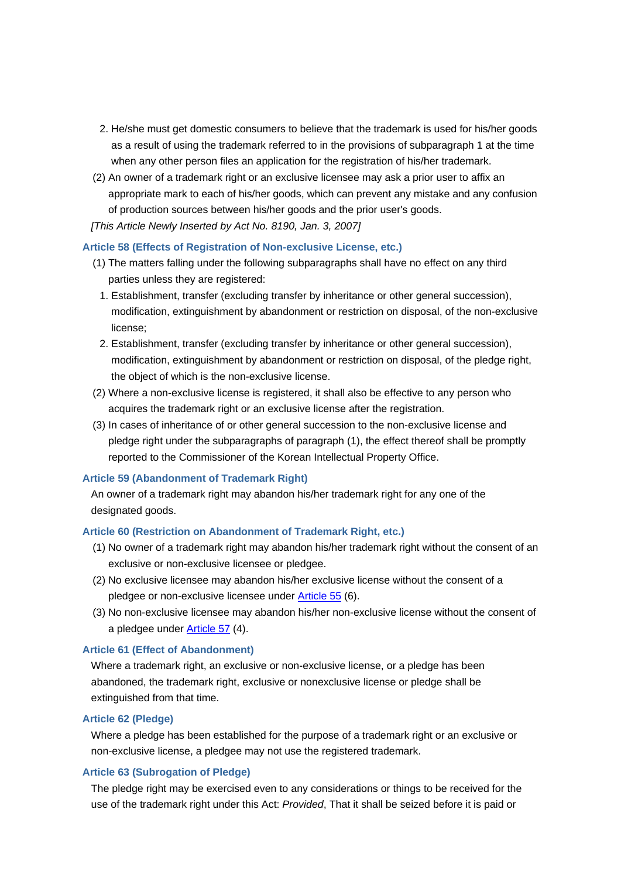- 2. He/she must get domestic consumers to believe that the trademark is used for his/her goods as a result of using the trademark referred to in the provisions of subparagraph 1 at the time when any other person files an application for the registration of his/her trademark.
- (2) An owner of a trademark right or an exclusive licensee may ask a prior user to affix an appropriate mark to each of his/her goods, which can prevent any mistake and any confusion of production sources between his/her goods and the prior user's goods.
- *[This Article Newly Inserted by Act No. 8190, Jan. 3, 2007]*

### **Article 58 (Effects of Registration of Non-exclusive License, etc.)**

- (1) The matters falling under the following subparagraphs shall have no effect on any third parties unless they are registered:
	- 1. Establishment, transfer (excluding transfer by inheritance or other general succession), modification, extinguishment by abandonment or restriction on disposal, of the non-exclusive license;
- 2. Establishment, transfer (excluding transfer by inheritance or other general succession), modification, extinguishment by abandonment or restriction on disposal, of the pledge right, the object of which is the non-exclusive license.
- (2) Where a non-exclusive license is registered, it shall also be effective to any person who acquires the trademark right or an exclusive license after the registration.
- (3) In cases of inheritance of or other general succession to the non-exclusive license and pledge right under the subparagraphs of paragraph (1), the effect thereof shall be promptly reported to the Commissioner of the Korean Intellectual Property Office.

### **Article 59 (Abandonment of Trademark Right)**

An owner of a trademark right may abandon his/her trademark right for any one of the designated goods.

#### **Article 60 (Restriction on Abandonment of Trademark Right, etc.)**

- (1) No owner of a trademark right may abandon his/her trademark right without the consent of an exclusive or non-exclusive licensee or pledgee.
- (2) No exclusive licensee may abandon his/her exclusive license without the consent of a pledgee or non-exclusive licensee under Article 55 (6).
- (3) No non-exclusive licensee may abandon his/her non-exclusive license without the consent of a pledgee under Article 57 (4).

### **Article 61 (Effect of Abandonment)**

Where a trademark right, an exclusive or non-exclusive license, or a pledge has been abandoned, the trademark right, exclusive or nonexclusive license or pledge shall be extinguished from that time.

#### **Article 62 (Pledge)**

Where a pledge has been established for the purpose of a trademark right or an exclusive or non-exclusive license, a pledgee may not use the registered trademark.

## **Article 63 (Subrogation of Pledge)**

The pledge right may be exercised even to any considerations or things to be received for the use of the trademark right under this Act: *Provided*, That it shall be seized before it is paid or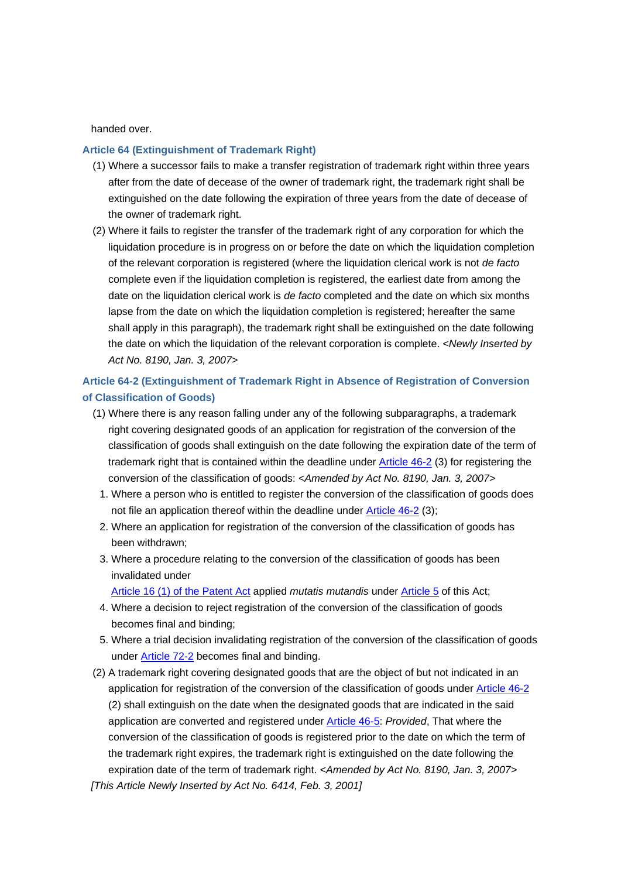handed over.

### **Article 64 (Extinguishment of Trademark Right)**

- (1) Where a successor fails to make a transfer registration of trademark right within three years after from the date of decease of the owner of trademark right, the trademark right shall be extinguished on the date following the expiration of three years from the date of decease of the owner of trademark right.
- (2) Where it fails to register the transfer of the trademark right of any corporation for which the liquidation procedure is in progress on or before the date on which the liquidation completion of the relevant corporation is registered (where the liquidation clerical work is not *de facto* complete even if the liquidation completion is registered, the earliest date from among the date on the liquidation clerical work is *de facto* completed and the date on which six months lapse from the date on which the liquidation completion is registered; hereafter the same shall apply in this paragraph), the trademark right shall be extinguished on the date following the date on which the liquidation of the relevant corporation is complete. *<Newly Inserted by Act No. 8190, Jan. 3, 2007>*

## **Article 64-2 (Extinguishment of Trademark Right in Absence of Registration of Conversion of Classification of Goods)**

- (1) Where there is any reason falling under any of the following subparagraphs, a trademark right covering designated goods of an application for registration of the conversion of the classification of goods shall extinguish on the date following the expiration date of the term of trademark right that is contained within the deadline under Article 46-2 (3) for registering the conversion of the classification of goods: *<Amended by Act No. 8190, Jan. 3, 2007>*
	- 1. Where a person who is entitled to register the conversion of the classification of goods does not file an application thereof within the deadline under Article 46-2 (3);
	- 2. Where an application for registration of the conversion of the classification of goods has been withdrawn;
	- 3. Where a procedure relating to the conversion of the classification of goods has been invalidated under

Article 16 (1) of the Patent Act applied *mutatis mutandis* under Article 5 of this Act;

- 4. Where a decision to reject registration of the conversion of the classification of goods becomes final and binding;
- 5. Where a trial decision invalidating registration of the conversion of the classification of goods under Article 72-2 becomes final and binding.
- (2) A trademark right covering designated goods that are the object of but not indicated in an application for registration of the conversion of the classification of goods under Article 46-2 (2) shall extinguish on the date when the designated goods that are indicated in the said application are converted and registered under Article 46-5: *Provided*, That where the conversion of the classification of goods is registered prior to the date on which the term of the trademark right expires, the trademark right is extinguished on the date following the expiration date of the term of trademark right. *<Amended by Act No. 8190, Jan. 3, 2007>*

*[This Article Newly Inserted by Act No. 6414, Feb. 3, 2001]*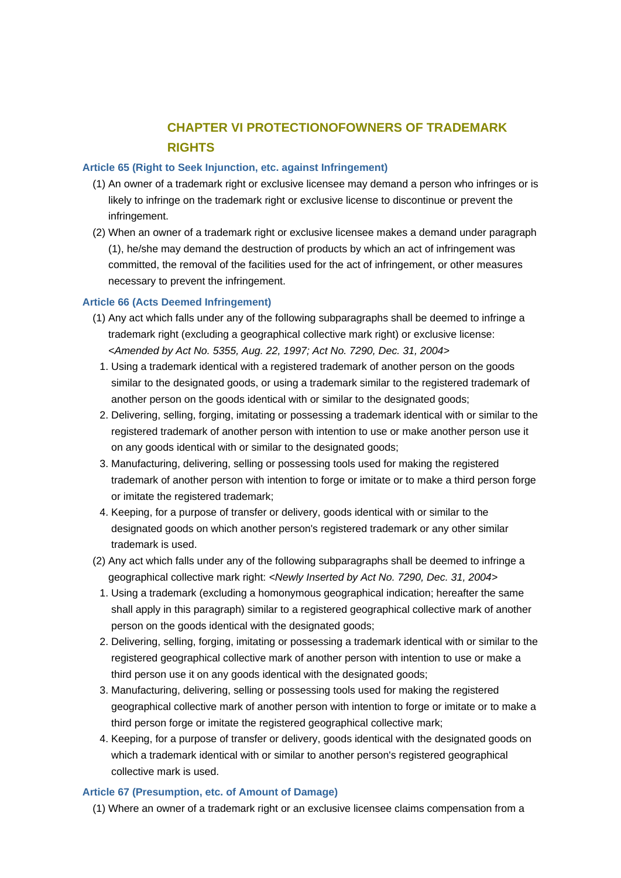## **CHAPTER VI PROTECTIONOFOWNERS OF TRADEMARK RIGHTS**

## **Article 65 (Right to Seek Injunction, etc. against Infringement)**

- (1) An owner of a trademark right or exclusive licensee may demand a person who infringes or is likely to infringe on the trademark right or exclusive license to discontinue or prevent the infringement.
- (2) When an owner of a trademark right or exclusive licensee makes a demand under paragraph (1), he/she may demand the destruction of products by which an act of infringement was committed, the removal of the facilities used for the act of infringement, or other measures necessary to prevent the infringement.

## **Article 66 (Acts Deemed Infringement)**

- (1) Any act which falls under any of the following subparagraphs shall be deemed to infringe a trademark right (excluding a geographical collective mark right) or exclusive license: *<Amended by Act No. 5355, Aug. 22, 1997; Act No. 7290, Dec. 31, 2004>*
	- 1. Using a trademark identical with a registered trademark of another person on the goods similar to the designated goods, or using a trademark similar to the registered trademark of another person on the goods identical with or similar to the designated goods;
	- 2. Delivering, selling, forging, imitating or possessing a trademark identical with or similar to the registered trademark of another person with intention to use or make another person use it on any goods identical with or similar to the designated goods;
	- 3. Manufacturing, delivering, selling or possessing tools used for making the registered trademark of another person with intention to forge or imitate or to make a third person forge or imitate the registered trademark;
- 4. Keeping, for a purpose of transfer or delivery, goods identical with or similar to the designated goods on which another person's registered trademark or any other similar trademark is used.
- (2) Any act which falls under any of the following subparagraphs shall be deemed to infringe a geographical collective mark right: *<Newly Inserted by Act No. 7290, Dec. 31, 2004>*
	- 1. Using a trademark (excluding a homonymous geographical indication; hereafter the same shall apply in this paragraph) similar to a registered geographical collective mark of another person on the goods identical with the designated goods;
	- 2. Delivering, selling, forging, imitating or possessing a trademark identical with or similar to the registered geographical collective mark of another person with intention to use or make a third person use it on any goods identical with the designated goods;
	- 3. Manufacturing, delivering, selling or possessing tools used for making the registered geographical collective mark of another person with intention to forge or imitate or to make a third person forge or imitate the registered geographical collective mark;
	- 4. Keeping, for a purpose of transfer or delivery, goods identical with the designated goods on which a trademark identical with or similar to another person's registered geographical collective mark is used.

### **Article 67 (Presumption, etc. of Amount of Damage)**

(1) Where an owner of a trademark right or an exclusive licensee claims compensation from a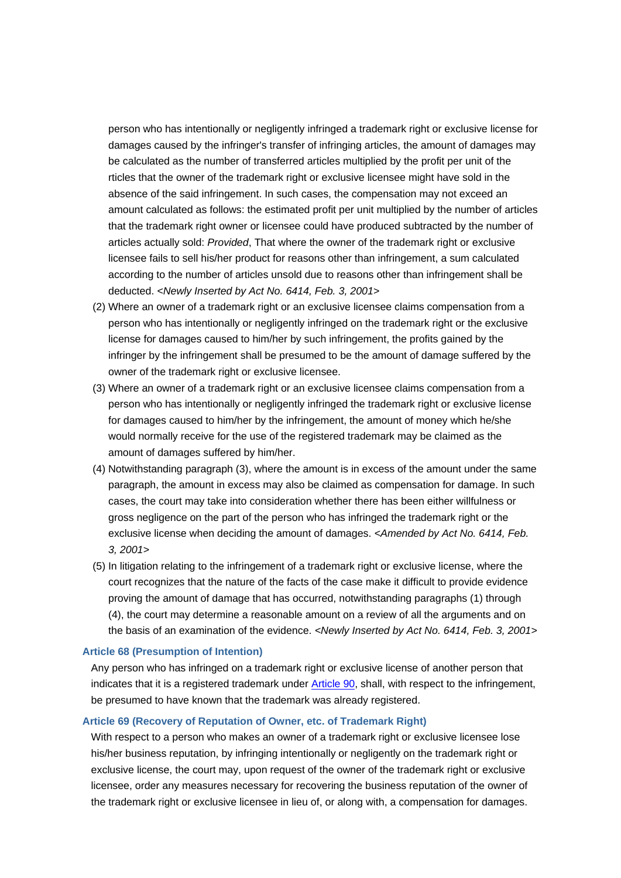person who has intentionally or negligently infringed a trademark right or exclusive license for damages caused by the infringer's transfer of infringing articles, the amount of damages may be calculated as the number of transferred articles multiplied by the profit per unit of the rticles that the owner of the trademark right or exclusive licensee might have sold in the absence of the said infringement. In such cases, the compensation may not exceed an amount calculated as follows: the estimated profit per unit multiplied by the number of articles that the trademark right owner or licensee could have produced subtracted by the number of articles actually sold: *Provided*, That where the owner of the trademark right or exclusive licensee fails to sell his/her product for reasons other than infringement, a sum calculated according to the number of articles unsold due to reasons other than infringement shall be deducted. *<Newly Inserted by Act No. 6414, Feb. 3, 2001>*

- (2) Where an owner of a trademark right or an exclusive licensee claims compensation from a person who has intentionally or negligently infringed on the trademark right or the exclusive license for damages caused to him/her by such infringement, the profits gained by the infringer by the infringement shall be presumed to be the amount of damage suffered by the owner of the trademark right or exclusive licensee.
- (3) Where an owner of a trademark right or an exclusive licensee claims compensation from a person who has intentionally or negligently infringed the trademark right or exclusive license for damages caused to him/her by the infringement, the amount of money which he/she would normally receive for the use of the registered trademark may be claimed as the amount of damages suffered by him/her.
- (4) Notwithstanding paragraph (3), where the amount is in excess of the amount under the same paragraph, the amount in excess may also be claimed as compensation for damage. In such cases, the court may take into consideration whether there has been either willfulness or gross negligence on the part of the person who has infringed the trademark right or the exclusive license when deciding the amount of damages. *<Amended by Act No. 6414, Feb. 3, 2001>*
- (5) In litigation relating to the infringement of a trademark right or exclusive license, where the court recognizes that the nature of the facts of the case make it difficult to provide evidence proving the amount of damage that has occurred, notwithstanding paragraphs (1) through (4), the court may determine a reasonable amount on a review of all the arguments and on the basis of an examination of the evidence. *<Newly Inserted by Act No. 6414, Feb. 3, 2001>*

#### **Article 68 (Presumption of Intention)**

Any person who has infringed on a trademark right or exclusive license of another person that indicates that it is a registered trademark under Article 90, shall, with respect to the infringement, be presumed to have known that the trademark was already registered.

#### **Article 69 (Recovery of Reputation of Owner, etc. of Trademark Right)**

With respect to a person who makes an owner of a trademark right or exclusive licensee lose his/her business reputation, by infringing intentionally or negligently on the trademark right or exclusive license, the court may, upon request of the owner of the trademark right or exclusive licensee, order any measures necessary for recovering the business reputation of the owner of the trademark right or exclusive licensee in lieu of, or along with, a compensation for damages.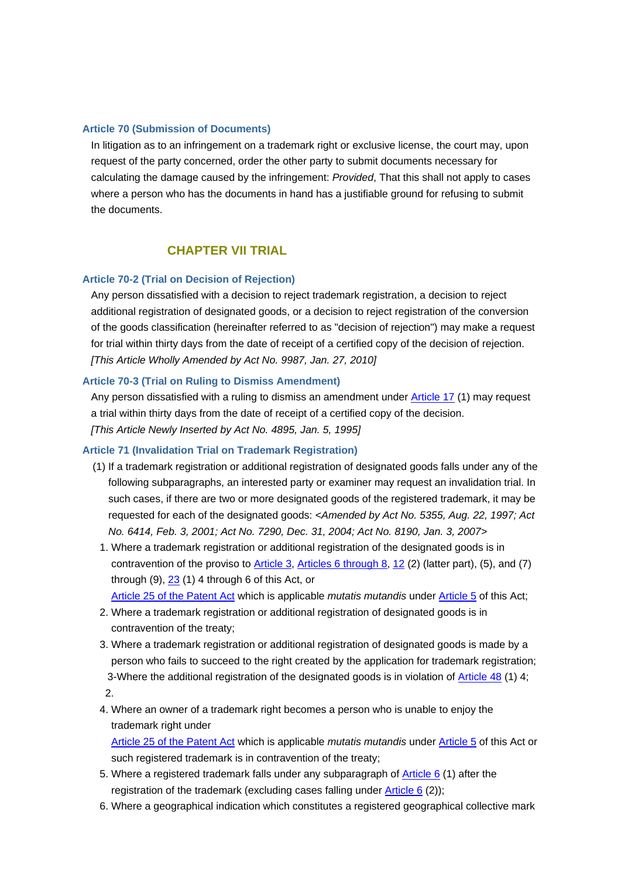#### **Article 70 (Submission of Documents)**

In litigation as to an infringement on a trademark right or exclusive license, the court may, upon request of the party concerned, order the other party to submit documents necessary for calculating the damage caused by the infringement: *Provided*, That this shall not apply to cases where a person who has the documents in hand has a justifiable ground for refusing to submit the documents.

## **CHAPTER VII TRIAL**

## **Article 70-2 (Trial on Decision of Rejection)**

Any person dissatisfied with a decision to reject trademark registration, a decision to reject additional registration of designated goods, or a decision to reject registration of the conversion of the goods classification (hereinafter referred to as "decision of rejection") may make a request for trial within thirty days from the date of receipt of a certified copy of the decision of rejection. *[This Article Wholly Amended by Act No. 9987, Jan. 27, 2010]*

### **Article 70-3 (Trial on Ruling to Dismiss Amendment)**

Any person dissatisfied with a ruling to dismiss an amendment under Article 17 (1) may request a trial within thirty days from the date of receipt of a certified copy of the decision. *[This Article Newly Inserted by Act No. 4895, Jan. 5, 1995]*

### **Article 71 (Invalidation Trial on Trademark Registration)**

- (1) If a trademark registration or additional registration of designated goods falls under any of the following subparagraphs, an interested party or examiner may request an invalidation trial. In such cases, if there are two or more designated goods of the registered trademark, it may be requested for each of the designated goods: *<Amended by Act No. 5355, Aug. 22, 1997; Act No. 6414, Feb. 3, 2001; Act No. 7290, Dec. 31, 2004; Act No. 8190, Jan. 3, 2007>*
	- 1. Where a trademark registration or additional registration of the designated goods is in contravention of the proviso to Article 3, Articles 6 through 8, 12 (2) (latter part), (5), and (7) through (9), 23 (1) 4 through 6 of this Act, or

Article 25 of the Patent Act which is applicable *mutatis mutandis* under Article 5 of this Act;

- 2. Where a trademark registration or additional registration of designated goods is in contravention of the treaty;
- 3. Where a trademark registration or additional registration of designated goods is made by a person who fails to succeed to the right created by the application for trademark registration; 3-Where the additional registration of the designated goods is in violation of Article 48 (1) 4; 2.
- 4. Where an owner of a trademark right becomes a person who is unable to enjoy the trademark right under

Article 25 of the Patent Act which is applicable *mutatis mutandis* under Article 5 of this Act or such registered trademark is in contravention of the treaty;

- 5. Where a registered trademark falls under any subparagraph of **Article 6** (1) after the registration of the trademark (excluding cases falling under Article 6 (2));
- 6. Where a geographical indication which constitutes a registered geographical collective mark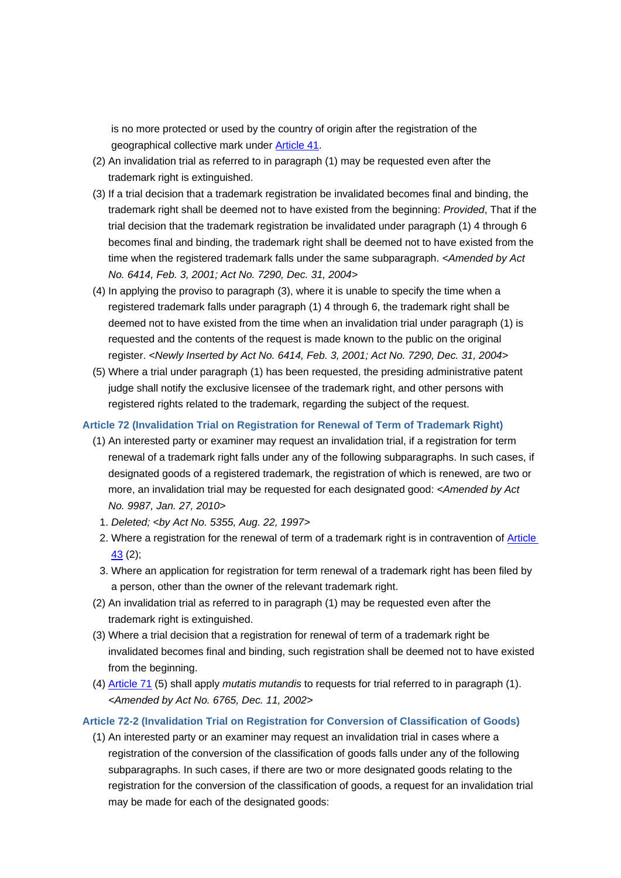is no more protected or used by the country of origin after the registration of the geographical collective mark under Article 41.

- (2) An invalidation trial as referred to in paragraph (1) may be requested even after the trademark right is extinguished.
- (3) If a trial decision that a trademark registration be invalidated becomes final and binding, the trademark right shall be deemed not to have existed from the beginning: *Provided*, That if the trial decision that the trademark registration be invalidated under paragraph (1) 4 through 6 becomes final and binding, the trademark right shall be deemed not to have existed from the time when the registered trademark falls under the same subparagraph. *<Amended by Act No. 6414, Feb. 3, 2001; Act No. 7290, Dec. 31, 2004>*
- (4) In applying the proviso to paragraph (3), where it is unable to specify the time when a registered trademark falls under paragraph (1) 4 through 6, the trademark right shall be deemed not to have existed from the time when an invalidation trial under paragraph (1) is requested and the contents of the request is made known to the public on the original register. *<Newly Inserted by Act No. 6414, Feb. 3, 2001; Act No. 7290, Dec. 31, 2004>*
- (5) Where a trial under paragraph (1) has been requested, the presiding administrative patent judge shall notify the exclusive licensee of the trademark right, and other persons with registered rights related to the trademark, regarding the subject of the request.

#### **Article 72 (Invalidation Trial on Registration for Renewal of Term of Trademark Right)**

- (1) An interested party or examiner may request an invalidation trial, if a registration for term renewal of a trademark right falls under any of the following subparagraphs. In such cases, if designated goods of a registered trademark, the registration of which is renewed, are two or more, an invalidation trial may be requested for each designated good: *<Amended by Act No. 9987, Jan. 27, 2010>*
	- 1. *Deleted; <by Act No. 5355, Aug. 22, 1997>*
	- 2. Where a registration for the renewal of term of a trademark right is in contravention of Article 43 (2);
- 3. Where an application for registration for term renewal of a trademark right has been filed by a person, other than the owner of the relevant trademark right.
- (2) An invalidation trial as referred to in paragraph (1) may be requested even after the trademark right is extinguished.
- (3) Where a trial decision that a registration for renewal of term of a trademark right be invalidated becomes final and binding, such registration shall be deemed not to have existed from the beginning.
- (4) Article 71 (5) shall apply *mutatis mutandis* to requests for trial referred to in paragraph (1). *<Amended by Act No. 6765, Dec. 11, 2002>*

### **Article 72-2 (Invalidation Trial on Registration for Conversion of Classification of Goods)**

(1) An interested party or an examiner may request an invalidation trial in cases where a registration of the conversion of the classification of goods falls under any of the following subparagraphs. In such cases, if there are two or more designated goods relating to the registration for the conversion of the classification of goods, a request for an invalidation trial may be made for each of the designated goods: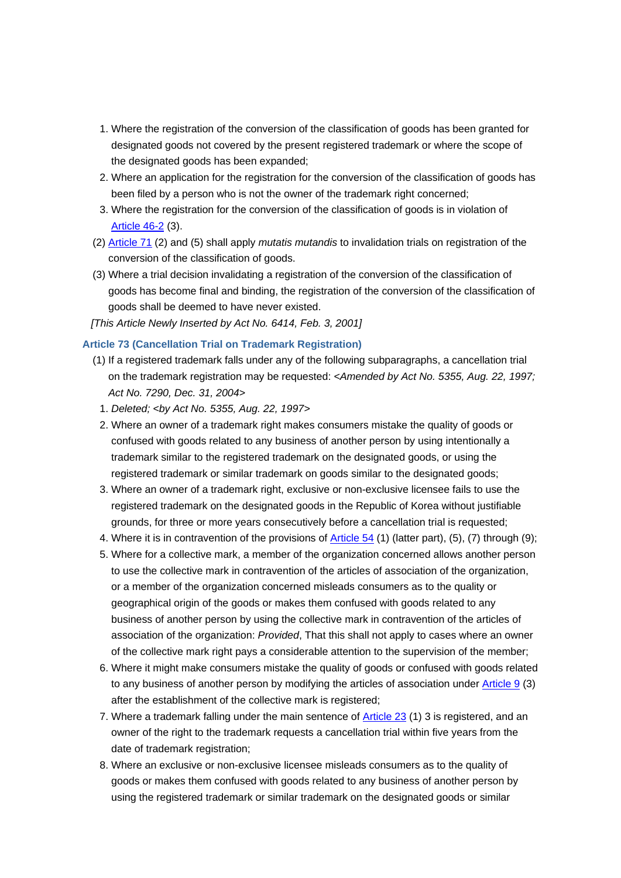- 1. Where the registration of the conversion of the classification of goods has been granted for designated goods not covered by the present registered trademark or where the scope of the designated goods has been expanded;
- 2. Where an application for the registration for the conversion of the classification of goods has been filed by a person who is not the owner of the trademark right concerned;
- 3. Where the registration for the conversion of the classification of goods is in violation of Article 46-2 (3).
- (2) Article 71 (2) and (5) shall apply *mutatis mutandis* to invalidation trials on registration of the conversion of the classification of goods.
- (3) Where a trial decision invalidating a registration of the conversion of the classification of goods has become final and binding, the registration of the conversion of the classification of goods shall be deemed to have never existed.
- *[This Article Newly Inserted by Act No. 6414, Feb. 3, 2001]*

#### **Article 73 (Cancellation Trial on Trademark Registration)**

- (1) If a registered trademark falls under any of the following subparagraphs, a cancellation trial on the trademark registration may be requested: *<Amended by Act No. 5355, Aug. 22, 1997; Act No. 7290, Dec. 31, 2004>*
	- 1. *Deleted; <by Act No. 5355, Aug. 22, 1997>*
	- 2. Where an owner of a trademark right makes consumers mistake the quality of goods or confused with goods related to any business of another person by using intentionally a trademark similar to the registered trademark on the designated goods, or using the registered trademark or similar trademark on goods similar to the designated goods;
	- 3. Where an owner of a trademark right, exclusive or non-exclusive licensee fails to use the registered trademark on the designated goods in the Republic of Korea without justifiable grounds, for three or more years consecutively before a cancellation trial is requested;
	- 4. Where it is in contravention of the provisions of Article 54 (1) (latter part), (5), (7) through (9);
- 5. Where for a collective mark, a member of the organization concerned allows another person to use the collective mark in contravention of the articles of association of the organization, or a member of the organization concerned misleads consumers as to the quality or geographical origin of the goods or makes them confused with goods related to any business of another person by using the collective mark in contravention of the articles of association of the organization: *Provided*, That this shall not apply to cases where an owner of the collective mark right pays a considerable attention to the supervision of the member;
- 6. Where it might make consumers mistake the quality of goods or confused with goods related to any business of another person by modifying the articles of association under Article 9 (3) after the establishment of the collective mark is registered;
- 7. Where a trademark falling under the main sentence of Article 23 (1) 3 is registered, and an owner of the right to the trademark requests a cancellation trial within five years from the date of trademark registration;
- 8. Where an exclusive or non-exclusive licensee misleads consumers as to the quality of goods or makes them confused with goods related to any business of another person by using the registered trademark or similar trademark on the designated goods or similar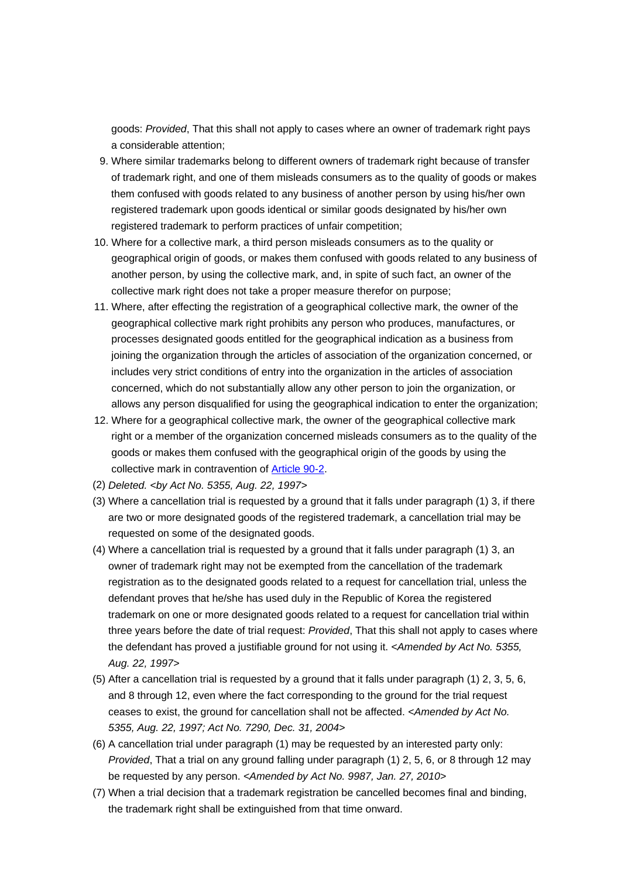goods: *Provided*, That this shall not apply to cases where an owner of trademark right pays a considerable attention;

- 9. Where similar trademarks belong to different owners of trademark right because of transfer of trademark right, and one of them misleads consumers as to the quality of goods or makes them confused with goods related to any business of another person by using his/her own registered trademark upon goods identical or similar goods designated by his/her own registered trademark to perform practices of unfair competition;
- 10. Where for a collective mark, a third person misleads consumers as to the quality or geographical origin of goods, or makes them confused with goods related to any business of another person, by using the collective mark, and, in spite of such fact, an owner of the collective mark right does not take a proper measure therefor on purpose;
- 11. Where, after effecting the registration of a geographical collective mark, the owner of the geographical collective mark right prohibits any person who produces, manufactures, or processes designated goods entitled for the geographical indication as a business from joining the organization through the articles of association of the organization concerned, or includes very strict conditions of entry into the organization in the articles of association concerned, which do not substantially allow any other person to join the organization, or allows any person disqualified for using the geographical indication to enter the organization;
- 12. Where for a geographical collective mark, the owner of the geographical collective mark right or a member of the organization concerned misleads consumers as to the quality of the goods or makes them confused with the geographical origin of the goods by using the collective mark in contravention of Article 90-2.
- (2) *Deleted. <by Act No. 5355, Aug. 22, 1997>*
- (3) Where a cancellation trial is requested by a ground that it falls under paragraph (1) 3, if there are two or more designated goods of the registered trademark, a cancellation trial may be requested on some of the designated goods.
- (4) Where a cancellation trial is requested by a ground that it falls under paragraph (1) 3, an owner of trademark right may not be exempted from the cancellation of the trademark registration as to the designated goods related to a request for cancellation trial, unless the defendant proves that he/she has used duly in the Republic of Korea the registered trademark on one or more designated goods related to a request for cancellation trial within three years before the date of trial request: *Provided*, That this shall not apply to cases where the defendant has proved a justifiable ground for not using it. *<Amended by Act No. 5355, Aug. 22, 1997>*
- (5) After a cancellation trial is requested by a ground that it falls under paragraph (1) 2, 3, 5, 6, and 8 through 12, even where the fact corresponding to the ground for the trial request ceases to exist, the ground for cancellation shall not be affected. *<Amended by Act No. 5355, Aug. 22, 1997; Act No. 7290, Dec. 31, 2004>*
- (6) A cancellation trial under paragraph (1) may be requested by an interested party only: *Provided*, That a trial on any ground falling under paragraph (1) 2, 5, 6, or 8 through 12 may be requested by any person. *<Amended by Act No. 9987, Jan. 27, 2010>*
- (7) When a trial decision that a trademark registration be cancelled becomes final and binding, the trademark right shall be extinguished from that time onward.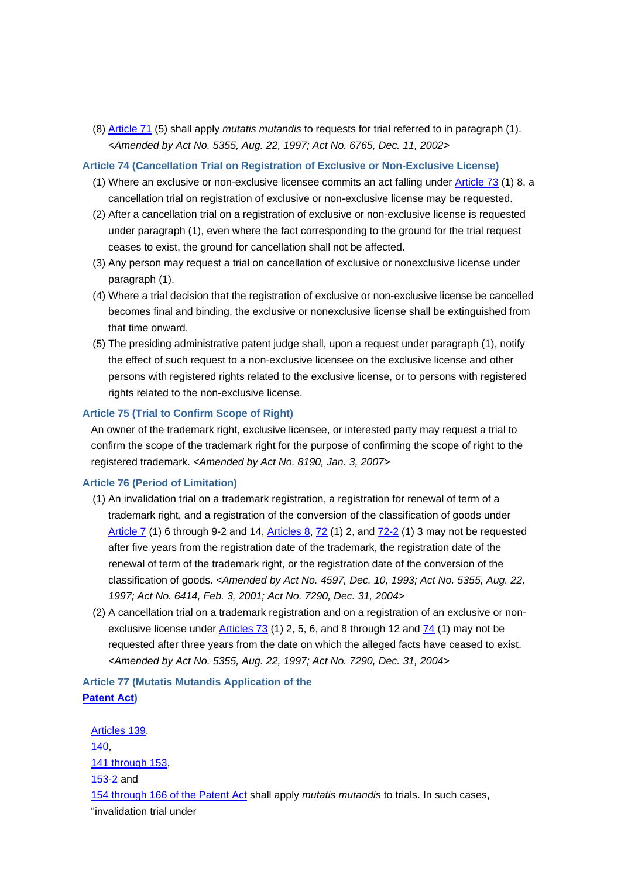(8) Article 71 (5) shall apply *mutatis mutandis* to requests for trial referred to in paragraph (1). *<Amended by Act No. 5355, Aug. 22, 1997; Act No. 6765, Dec. 11, 2002>*

**Article 74 (Cancellation Trial on Registration of Exclusive or Non-Exclusive License)**

- (1) Where an exclusive or non-exclusive licensee commits an act falling under Article 73 (1) 8, a cancellation trial on registration of exclusive or non-exclusive license may be requested.
- (2) After a cancellation trial on a registration of exclusive or non-exclusive license is requested under paragraph (1), even where the fact corresponding to the ground for the trial request ceases to exist, the ground for cancellation shall not be affected.
- (3) Any person may request a trial on cancellation of exclusive or nonexclusive license under paragraph (1).
- (4) Where a trial decision that the registration of exclusive or non-exclusive license be cancelled becomes final and binding, the exclusive or nonexclusive license shall be extinguished from that time onward.
- (5) The presiding administrative patent judge shall, upon a request under paragraph (1), notify the effect of such request to a non-exclusive licensee on the exclusive license and other persons with registered rights related to the exclusive license, or to persons with registered rights related to the non-exclusive license.

#### **Article 75 (Trial to Confirm Scope of Right)**

An owner of the trademark right, exclusive licensee, or interested party may request a trial to confirm the scope of the trademark right for the purpose of confirming the scope of right to the registered trademark. *<Amended by Act No. 8190, Jan. 3, 2007>*

#### **Article 76 (Period of Limitation)**

- (1) An invalidation trial on a trademark registration, a registration for renewal of term of a trademark right, and a registration of the conversion of the classification of goods under Article 7 (1) 6 through 9-2 and 14, Articles 8, 72 (1) 2, and 72-2 (1) 3 may not be requested after five years from the registration date of the trademark, the registration date of the renewal of term of the trademark right, or the registration date of the conversion of the classification of goods. *<Amended by Act No. 4597, Dec. 10, 1993; Act No. 5355, Aug. 22, 1997; Act No. 6414, Feb. 3, 2001; Act No. 7290, Dec. 31, 2004>*
- (2) A cancellation trial on a trademark registration and on a registration of an exclusive or nonexclusive license under Articles 73 (1) 2, 5, 6, and 8 through 12 and 74 (1) may not be requested after three years from the date on which the alleged facts have ceased to exist. *<Amended by Act No. 5355, Aug. 22, 1997; Act No. 7290, Dec. 31, 2004>*

## **Article 77 (Mutatis Mutandis Application of the Patent Act)**

Articles 139, 140, 141 through 153, 153-2 and 154 through 166 of the Patent Act shall apply *mutatis mutandis* to trials. In such cases, "invalidation trial under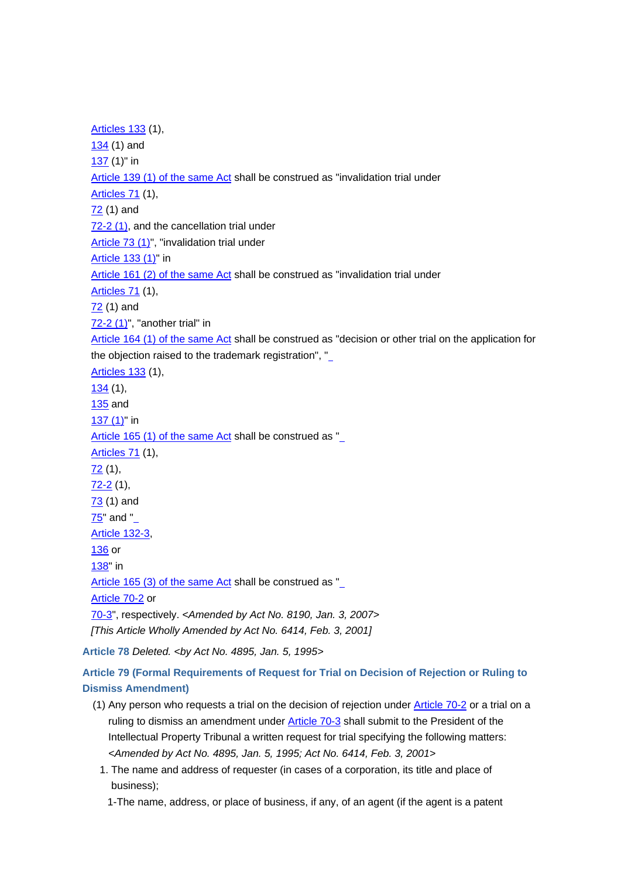Articles 133 (1), 134 (1) and 137 (1)" in Article 139 (1) of the same Act shall be construed as "invalidation trial under Articles 71 (1), 72 (1) and 72-2 (1), and the cancellation trial under Article 73 (1)", "invalidation trial under Article 133 (1)" in Article 161 (2) of the same Act shall be construed as "invalidation trial under Articles 71 (1), 72 (1) and 72-2 (1)", "another trial" in Article 164 (1) of the same Act shall be construed as "decision or other trial on the application for the objection raised to the trademark registration", " Articles 133 (1), 134 (1), 135 and 137 (1)" in Article 165 (1) of the same Act shall be construed as " Articles 71 (1), 72 (1), 72-2 (1), 73 (1) and 75" and " Article 132-3, 136 or 138" in Article 165 (3) of the same Act shall be construed as " Article 70-2 or 70-3", respectively. *<Amended by Act No. 8190, Jan. 3, 2007> [This Article Wholly Amended by Act No. 6414, Feb. 3, 2001]* **Article 78** *Deleted. <by Act No. 4895, Jan. 5, 1995>*

**Article 79 (Formal Requirements of Request for Trial on Decision of Rejection or Ruling to Dismiss Amendment)**

- (1) Any person who requests a trial on the decision of rejection under Article 70-2 or a trial on a ruling to dismiss an amendment under Article 70-3 shall submit to the President of the Intellectual Property Tribunal a written request for trial specifying the following matters: *<Amended by Act No. 4895, Jan. 5, 1995; Act No. 6414, Feb. 3, 2001>*
	- 1. The name and address of requester (in cases of a corporation, its title and place of business);

1-The name, address, or place of business, if any, of an agent (if the agent is a patent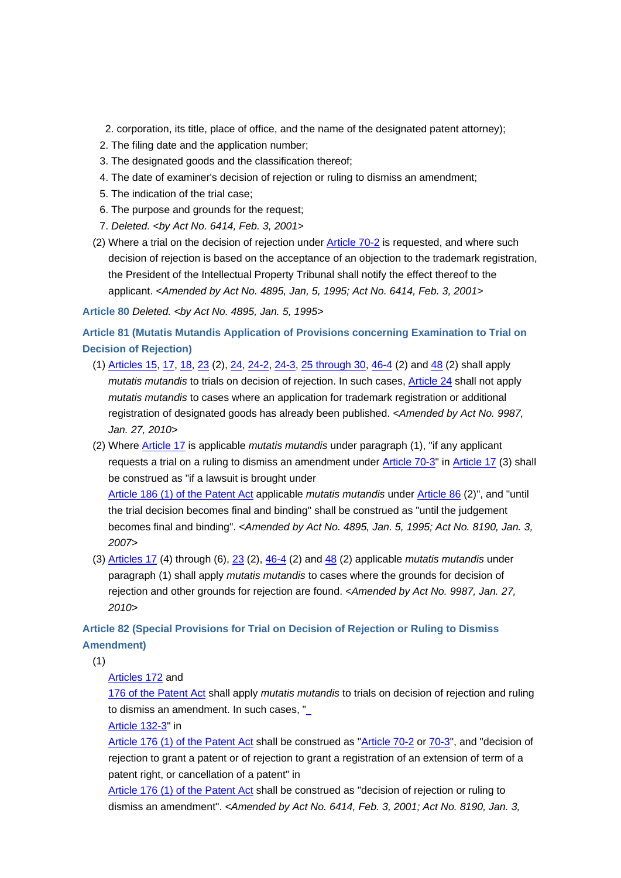- 2. corporation, its title, place of office, and the name of the designated patent attorney);
- 2. The filing date and the application number;
- 3. The designated goods and the classification thereof;
- 4. The date of examiner's decision of rejection or ruling to dismiss an amendment;
- 5. The indication of the trial case;
- 6. The purpose and grounds for the request;
- 7. *Deleted. <by Act No. 6414, Feb. 3, 2001>*
- (2) Where a trial on the decision of rejection under Article 70-2 is requested, and where such decision of rejection is based on the acceptance of an objection to the trademark registration, the President of the Intellectual Property Tribunal shall notify the effect thereof to the applicant. *<Amended by Act No. 4895, Jan, 5, 1995; Act No. 6414, Feb. 3, 2001>*

**Article 80** *Deleted. <by Act No. 4895, Jan. 5, 1995>*

**Article 81 (Mutatis Mutandis Application of Provisions concerning Examination to Trial on Decision of Rejection)**

- (1) Articles 15, 17, 18, 23 (2), 24, 24-2, 24-3, 25 through 30, 46-4 (2) and 48 (2) shall apply *mutatis mutandis* to trials on decision of rejection. In such cases, Article 24 shall not apply *mutatis mutandis* to cases where an application for trademark registration or additional registration of designated goods has already been published. *<Amended by Act No. 9987, Jan. 27, 2010>*
- (2) Where Article 17 is applicable *mutatis mutandis* under paragraph (1), "if any applicant requests a trial on a ruling to dismiss an amendment under Article 70-3" in Article 17 (3) shall be construed as "if a lawsuit is brought under

Article 186 (1) of the Patent Act applicable *mutatis mutandis* under Article 86 (2)", and "until the trial decision becomes final and binding" shall be construed as "until the judgement becomes final and binding". *<Amended by Act No. 4895, Jan. 5, 1995; Act No. 8190, Jan. 3, 2007>*

(3) Articles 17 (4) through (6), 23 (2), 46-4 (2) and 48 (2) applicable *mutatis mutandis* under paragraph (1) shall apply *mutatis mutandis* to cases where the grounds for decision of rejection and other grounds for rejection are found. *<Amended by Act No. 9987, Jan. 27, 2010>*

## **Article 82 (Special Provisions for Trial on Decision of Rejection or Ruling to Dismiss Amendment)**

(1)

### Articles 172 and

176 of the Patent Act shall apply *mutatis mutandis* to trials on decision of rejection and ruling to dismiss an amendment. In such cases, "

Article 132-3" in

Article 176 (1) of the Patent Act shall be construed as "Article 70-2 or 70-3", and "decision of rejection to grant a patent or of rejection to grant a registration of an extension of term of a patent right, or cancellation of a patent" in

Article 176 (1) of the Patent Act shall be construed as "decision of rejection or ruling to dismiss an amendment". *<Amended by Act No. 6414, Feb. 3, 2001; Act No. 8190, Jan. 3,*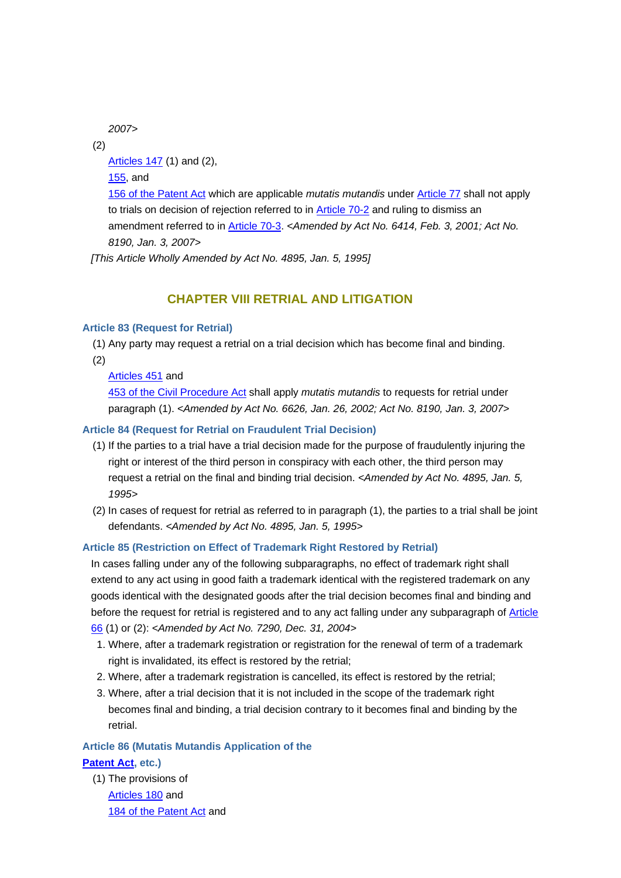*2007>*

(2)

Articles 147 (1) and (2),

155, and

156 of the Patent Act which are applicable *mutatis mutandis* under Article 77 shall not apply to trials on decision of rejection referred to in Article 70-2 and ruling to dismiss an amendment referred to in Article 70-3. *<Amended by Act No. 6414, Feb. 3, 2001; Act No. 8190, Jan. 3, 2007>*

*[This Article Wholly Amended by Act No. 4895, Jan. 5, 1995]*

## **CHAPTER VIII RETRIAL AND LITIGATION**

## **Article 83 (Request for Retrial)**

 (1) Any party may request a retrial on a trial decision which has become final and binding. (2)

Articles 451 and

453 of the Civil Procedure Act shall apply *mutatis mutandis* to requests for retrial under paragraph (1). *<Amended by Act No. 6626, Jan. 26, 2002; Act No. 8190, Jan. 3, 2007>*

## **Article 84 (Request for Retrial on Fraudulent Trial Decision)**

- (1) If the parties to a trial have a trial decision made for the purpose of fraudulently injuring the right or interest of the third person in conspiracy with each other, the third person may request a retrial on the final and binding trial decision. *<Amended by Act No. 4895, Jan. 5, 1995>*
- (2) In cases of request for retrial as referred to in paragraph (1), the parties to a trial shall be joint defendants. *<Amended by Act No. 4895, Jan. 5, 1995>*

## **Article 85 (Restriction on Effect of Trademark Right Restored by Retrial)**

In cases falling under any of the following subparagraphs, no effect of trademark right shall extend to any act using in good faith a trademark identical with the registered trademark on any goods identical with the designated goods after the trial decision becomes final and binding and before the request for retrial is registered and to any act falling under any subparagraph of Article 66 (1) or (2): *<Amended by Act No. 7290, Dec. 31, 2004>*

- 1. Where, after a trademark registration or registration for the renewal of term of a trademark right is invalidated, its effect is restored by the retrial;
- 2. Where, after a trademark registration is cancelled, its effect is restored by the retrial;
- 3. Where, after a trial decision that it is not included in the scope of the trademark right becomes final and binding, a trial decision contrary to it becomes final and binding by the retrial.

## **Article 86 (Mutatis Mutandis Application of the Patent Act, etc.)**

(1) The provisions of Articles 180 and 184 of the Patent Act and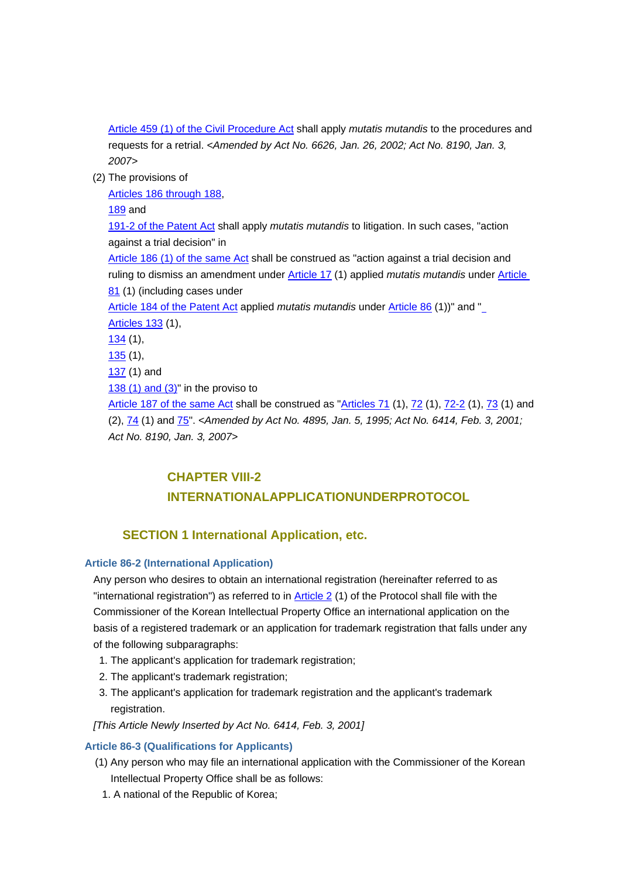Article 459 (1) of the Civil Procedure Act shall apply *mutatis mutandis* to the procedures and requests for a retrial. *<Amended by Act No. 6626, Jan. 26, 2002; Act No. 8190, Jan. 3, 2007>*

(2) The provisions of

Articles 186 through 188,

189 and

191-2 of the Patent Act shall apply *mutatis mutandis* to litigation. In such cases, "action against a trial decision" in

Article 186 (1) of the same Act shall be construed as "action against a trial decision and ruling to dismiss an amendment under Article 17 (1) applied *mutatis mutandis* under Article 81 (1) (including cases under

## Article 184 of the Patent Act applied *mutatis mutandis* under Article 86 (1))" and " Articles 133 (1), 134 (1), 135 (1), 137 (1) and 138 (1) and (3)" in the proviso to Article 187 of the same Act shall be construed as "Articles 71 (1), 72 (1), 72-2 (1), 73 (1) and

(2), 74 (1) and 75". *<Amended by Act No. 4895, Jan. 5, 1995; Act No. 6414, Feb. 3, 2001; Act No. 8190, Jan. 3, 2007>*

## **CHAPTER VIII-2 INTERNATIONALAPPLICATIONUNDERPROTOCOL**

## **SECTION 1 International Application, etc.**

## **Article 86-2 (International Application)**

Any person who desires to obtain an international registration (hereinafter referred to as "international registration") as referred to in  $\frac{\text{Article 2 (1)}}{\text{ Article 2 (1)}}$  of the Protocol shall file with the Commissioner of the Korean Intellectual Property Office an international application on the basis of a registered trademark or an application for trademark registration that falls under any of the following subparagraphs:

- 1. The applicant's application for trademark registration;
- 2. The applicant's trademark registration;
- 3. The applicant's application for trademark registration and the applicant's trademark registration.

*[This Article Newly Inserted by Act No. 6414, Feb. 3, 2001]*

## **Article 86-3 (Qualifications for Applicants)**

- (1) Any person who may file an international application with the Commissioner of the Korean Intellectual Property Office shall be as follows:
- 1. A national of the Republic of Korea;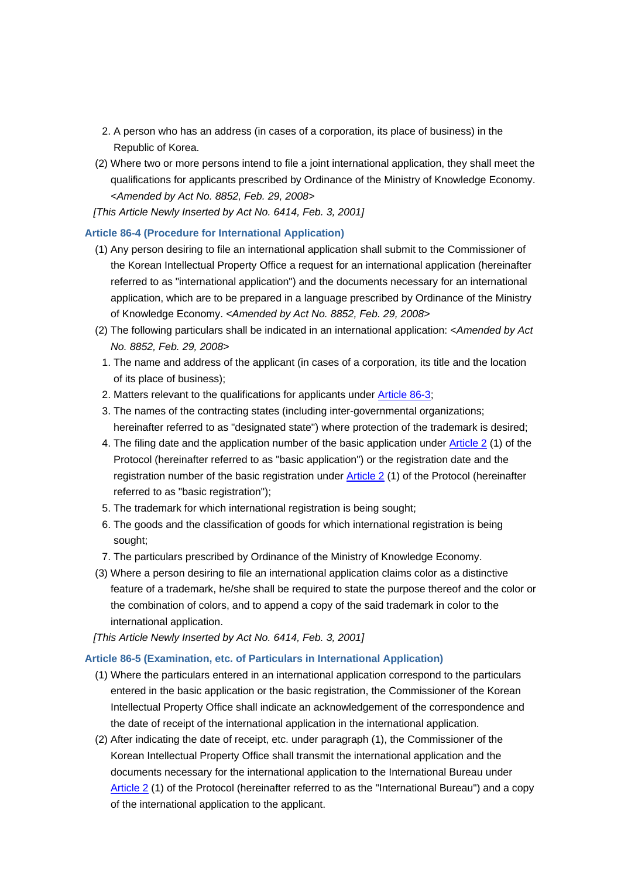- 2. A person who has an address (in cases of a corporation, its place of business) in the Republic of Korea.
- (2) Where two or more persons intend to file a joint international application, they shall meet the qualifications for applicants prescribed by Ordinance of the Ministry of Knowledge Economy. *<Amended by Act No. 8852, Feb. 29, 2008>*
- *[This Article Newly Inserted by Act No. 6414, Feb. 3, 2001]*

## **Article 86-4 (Procedure for International Application)**

- (1) Any person desiring to file an international application shall submit to the Commissioner of the Korean Intellectual Property Office a request for an international application (hereinafter referred to as "international application") and the documents necessary for an international application, which are to be prepared in a language prescribed by Ordinance of the Ministry of Knowledge Economy. *<Amended by Act No. 8852, Feb. 29, 2008>*
- (2) The following particulars shall be indicated in an international application: *<Amended by Act No. 8852, Feb. 29, 2008>*
- 1. The name and address of the applicant (in cases of a corporation, its title and the location of its place of business);
- 2. Matters relevant to the qualifications for applicants under Article 86-3;
- 3. The names of the contracting states (including inter-governmental organizations; hereinafter referred to as "designated state") where protection of the trademark is desired;
- 4. The filing date and the application number of the basic application under Article 2 (1) of the Protocol (hereinafter referred to as "basic application") or the registration date and the registration number of the basic registration under Article 2 (1) of the Protocol (hereinafter referred to as "basic registration");
- 5. The trademark for which international registration is being sought;
- 6. The goods and the classification of goods for which international registration is being sought;
- 7. The particulars prescribed by Ordinance of the Ministry of Knowledge Economy.
- (3) Where a person desiring to file an international application claims color as a distinctive feature of a trademark, he/she shall be required to state the purpose thereof and the color or the combination of colors, and to append a copy of the said trademark in color to the international application.
- *[This Article Newly Inserted by Act No. 6414, Feb. 3, 2001]*

### **Article 86-5 (Examination, etc. of Particulars in International Application)**

- (1) Where the particulars entered in an international application correspond to the particulars entered in the basic application or the basic registration, the Commissioner of the Korean Intellectual Property Office shall indicate an acknowledgement of the correspondence and the date of receipt of the international application in the international application.
- (2) After indicating the date of receipt, etc. under paragraph (1), the Commissioner of the Korean Intellectual Property Office shall transmit the international application and the documents necessary for the international application to the International Bureau under Article 2 (1) of the Protocol (hereinafter referred to as the "International Bureau") and a copy of the international application to the applicant.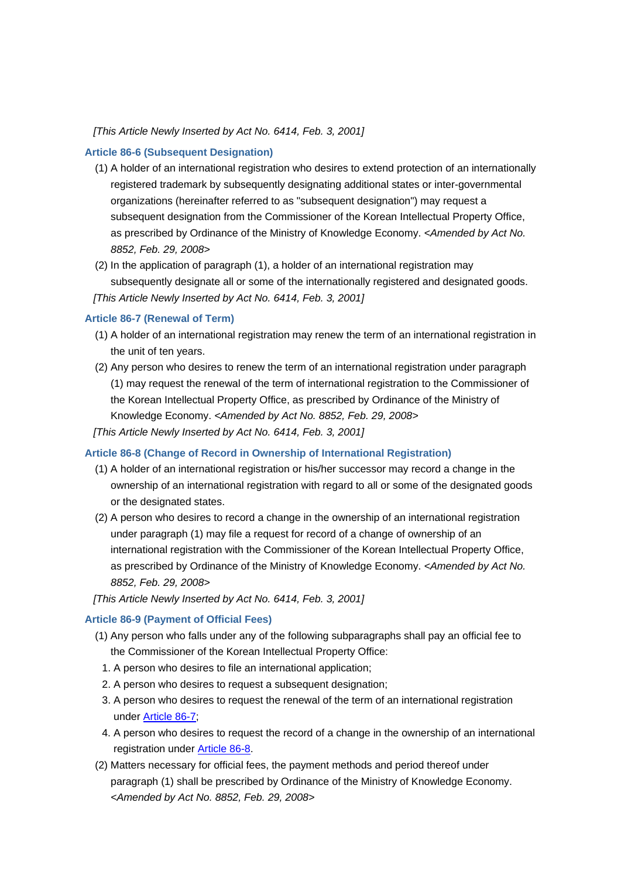#### *[This Article Newly Inserted by Act No. 6414, Feb. 3, 2001]*

#### **Article 86-6 (Subsequent Designation)**

- (1) A holder of an international registration who desires to extend protection of an internationally registered trademark by subsequently designating additional states or inter-governmental organizations (hereinafter referred to as "subsequent designation") may request a subsequent designation from the Commissioner of the Korean Intellectual Property Office, as prescribed by Ordinance of the Ministry of Knowledge Economy. *<Amended by Act No. 8852, Feb. 29, 2008>*
- (2) In the application of paragraph (1), a holder of an international registration may subsequently designate all or some of the internationally registered and designated goods. *[This Article Newly Inserted by Act No. 6414, Feb. 3, 2001]*

#### **Article 86-7 (Renewal of Term)**

- (1) A holder of an international registration may renew the term of an international registration in the unit of ten years.
- (2) Any person who desires to renew the term of an international registration under paragraph (1) may request the renewal of the term of international registration to the Commissioner of the Korean Intellectual Property Office, as prescribed by Ordinance of the Ministry of Knowledge Economy. *<Amended by Act No. 8852, Feb. 29, 2008>*

*[This Article Newly Inserted by Act No. 6414, Feb. 3, 2001]*

### **Article 86-8 (Change of Record in Ownership of International Registration)**

- (1) A holder of an international registration or his/her successor may record a change in the ownership of an international registration with regard to all or some of the designated goods or the designated states.
- (2) A person who desires to record a change in the ownership of an international registration under paragraph (1) may file a request for record of a change of ownership of an international registration with the Commissioner of the Korean Intellectual Property Office, as prescribed by Ordinance of the Ministry of Knowledge Economy. *<Amended by Act No. 8852, Feb. 29, 2008>*

## *[This Article Newly Inserted by Act No. 6414, Feb. 3, 2001]*

## **Article 86-9 (Payment of Official Fees)**

- (1) Any person who falls under any of the following subparagraphs shall pay an official fee to the Commissioner of the Korean Intellectual Property Office:
	- 1. A person who desires to file an international application;
	- 2. A person who desires to request a subsequent designation;
	- 3. A person who desires to request the renewal of the term of an international registration under Article 86-7;
	- 4. A person who desires to request the record of a change in the ownership of an international registration under Article 86-8.
- (2) Matters necessary for official fees, the payment methods and period thereof under paragraph (1) shall be prescribed by Ordinance of the Ministry of Knowledge Economy. *<Amended by Act No. 8852, Feb. 29, 2008>*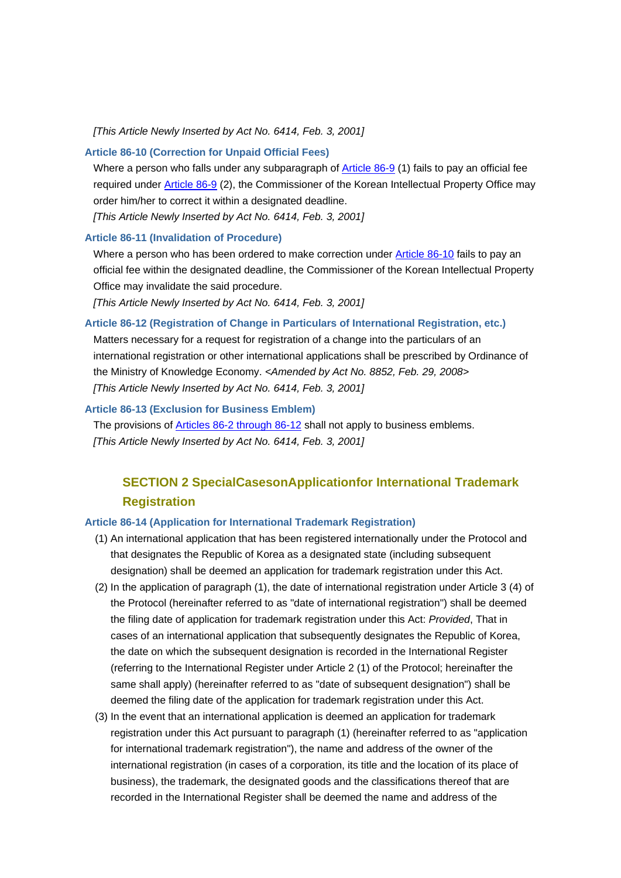#### *[This Article Newly Inserted by Act No. 6414, Feb. 3, 2001]*

#### **Article 86-10 (Correction for Unpaid Official Fees)**

Where a person who falls under any subparagraph of Article 86-9 (1) fails to pay an official fee required under **Article 86-9** (2), the Commissioner of the Korean Intellectual Property Office may order him/her to correct it within a designated deadline.

*[This Article Newly Inserted by Act No. 6414, Feb. 3, 2001]*

#### **Article 86-11 (Invalidation of Procedure)**

Where a person who has been ordered to make correction under Article 86-10 fails to pay an official fee within the designated deadline, the Commissioner of the Korean Intellectual Property Office may invalidate the said procedure.

*[This Article Newly Inserted by Act No. 6414, Feb. 3, 2001]*

#### **Article 86-12 (Registration of Change in Particulars of International Registration, etc.)**

Matters necessary for a request for registration of a change into the particulars of an international registration or other international applications shall be prescribed by Ordinance of the Ministry of Knowledge Economy. *<Amended by Act No. 8852, Feb. 29, 2008> [This Article Newly Inserted by Act No. 6414, Feb. 3, 2001]*

### **Article 86-13 (Exclusion for Business Emblem)**

The provisions of Articles 86-2 through 86-12 shall not apply to business emblems. *[This Article Newly Inserted by Act No. 6414, Feb. 3, 2001]*

## **SECTION 2 SpecialCasesonApplicationfor International Trademark Registration**

#### **Article 86-14 (Application for International Trademark Registration)**

- (1) An international application that has been registered internationally under the Protocol and that designates the Republic of Korea as a designated state (including subsequent designation) shall be deemed an application for trademark registration under this Act.
- (2) In the application of paragraph (1), the date of international registration under Article 3 (4) of the Protocol (hereinafter referred to as "date of international registration") shall be deemed the filing date of application for trademark registration under this Act: *Provided*, That in cases of an international application that subsequently designates the Republic of Korea, the date on which the subsequent designation is recorded in the International Register (referring to the International Register under Article 2 (1) of the Protocol; hereinafter the same shall apply) (hereinafter referred to as "date of subsequent designation") shall be deemed the filing date of the application for trademark registration under this Act.
- (3) In the event that an international application is deemed an application for trademark registration under this Act pursuant to paragraph (1) (hereinafter referred to as "application for international trademark registration"), the name and address of the owner of the international registration (in cases of a corporation, its title and the location of its place of business), the trademark, the designated goods and the classifications thereof that are recorded in the International Register shall be deemed the name and address of the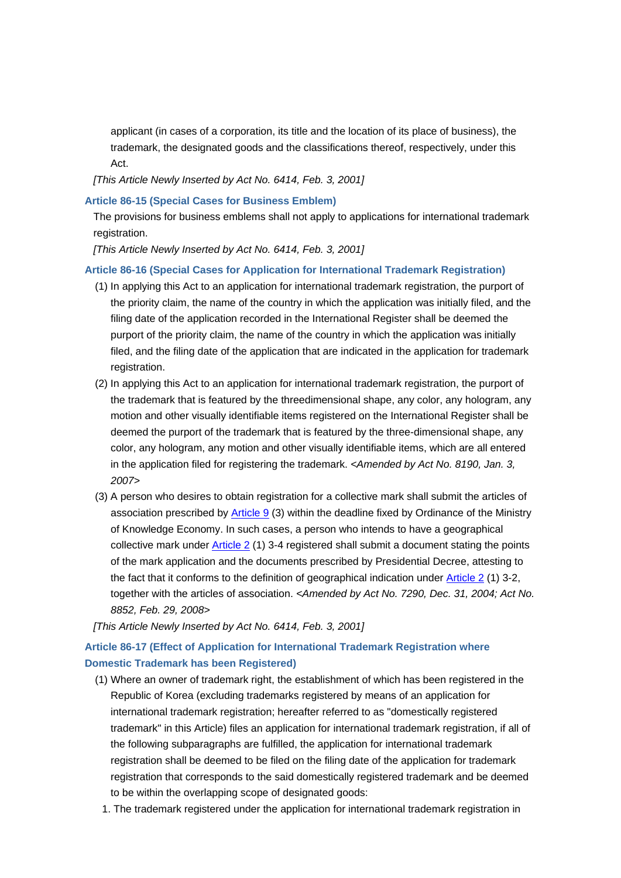applicant (in cases of a corporation, its title and the location of its place of business), the trademark, the designated goods and the classifications thereof, respectively, under this Act.

*[This Article Newly Inserted by Act No. 6414, Feb. 3, 2001]*

## **Article 86-15 (Special Cases for Business Emblem)**

The provisions for business emblems shall not apply to applications for international trademark registration.

*[This Article Newly Inserted by Act No. 6414, Feb. 3, 2001]*

### **Article 86-16 (Special Cases for Application for International Trademark Registration)**

- (1) In applying this Act to an application for international trademark registration, the purport of the priority claim, the name of the country in which the application was initially filed, and the filing date of the application recorded in the International Register shall be deemed the purport of the priority claim, the name of the country in which the application was initially filed, and the filing date of the application that are indicated in the application for trademark registration.
- (2) In applying this Act to an application for international trademark registration, the purport of the trademark that is featured by the threedimensional shape, any color, any hologram, any motion and other visually identifiable items registered on the International Register shall be deemed the purport of the trademark that is featured by the three-dimensional shape, any color, any hologram, any motion and other visually identifiable items, which are all entered in the application filed for registering the trademark. *<Amended by Act No. 8190, Jan. 3, 2007>*
- (3) A person who desires to obtain registration for a collective mark shall submit the articles of association prescribed by  $\triangle$ rticle 9 (3) within the deadline fixed by Ordinance of the Ministry of Knowledge Economy. In such cases, a person who intends to have a geographical collective mark under Article 2 (1) 3-4 registered shall submit a document stating the points of the mark application and the documents prescribed by Presidential Decree, attesting to the fact that it conforms to the definition of geographical indication under Article 2 (1) 3-2, together with the articles of association. *<Amended by Act No. 7290, Dec. 31, 2004; Act No. 8852, Feb. 29, 2008>*

*[This Article Newly Inserted by Act No. 6414, Feb. 3, 2001]*

## **Article 86-17 (Effect of Application for International Trademark Registration where Domestic Trademark has been Registered)**

- (1) Where an owner of trademark right, the establishment of which has been registered in the Republic of Korea (excluding trademarks registered by means of an application for international trademark registration; hereafter referred to as "domestically registered trademark" in this Article) files an application for international trademark registration, if all of the following subparagraphs are fulfilled, the application for international trademark registration shall be deemed to be filed on the filing date of the application for trademark registration that corresponds to the said domestically registered trademark and be deemed to be within the overlapping scope of designated goods:
	- 1. The trademark registered under the application for international trademark registration in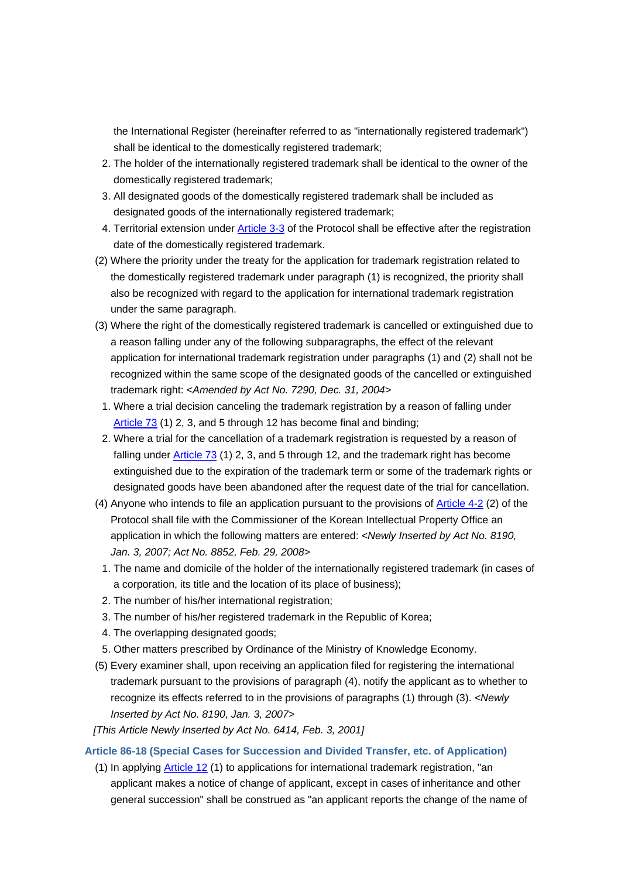the International Register (hereinafter referred to as "internationally registered trademark") shall be identical to the domestically registered trademark;

- 2. The holder of the internationally registered trademark shall be identical to the owner of the domestically registered trademark;
- 3. All designated goods of the domestically registered trademark shall be included as designated goods of the internationally registered trademark;
- 4. Territorial extension under Article 3-3 of the Protocol shall be effective after the registration date of the domestically registered trademark.
- (2) Where the priority under the treaty for the application for trademark registration related to the domestically registered trademark under paragraph (1) is recognized, the priority shall also be recognized with regard to the application for international trademark registration under the same paragraph.
- (3) Where the right of the domestically registered trademark is cancelled or extinguished due to a reason falling under any of the following subparagraphs, the effect of the relevant application for international trademark registration under paragraphs (1) and (2) shall not be recognized within the same scope of the designated goods of the cancelled or extinguished trademark right: *<Amended by Act No. 7290, Dec. 31, 2004>*
- 1. Where a trial decision canceling the trademark registration by a reason of falling under Article 73 (1) 2, 3, and 5 through 12 has become final and binding;
- 2. Where a trial for the cancellation of a trademark registration is requested by a reason of falling under  $Article$  73 (1) 2, 3, and 5 through 12, and the trademark right has become extinguished due to the expiration of the trademark term or some of the trademark rights or designated goods have been abandoned after the request date of the trial for cancellation.
- (4) Anyone who intends to file an application pursuant to the provisions of Article 4-2 (2) of the Protocol shall file with the Commissioner of the Korean Intellectual Property Office an application in which the following matters are entered: *<Newly Inserted by Act No. 8190, Jan. 3, 2007; Act No. 8852, Feb. 29, 2008>*
	- 1. The name and domicile of the holder of the internationally registered trademark (in cases of a corporation, its title and the location of its place of business);
	- 2. The number of his/her international registration;
	- 3. The number of his/her registered trademark in the Republic of Korea;
	- 4. The overlapping designated goods;
	- 5. Other matters prescribed by Ordinance of the Ministry of Knowledge Economy.
- (5) Every examiner shall, upon receiving an application filed for registering the international trademark pursuant to the provisions of paragraph (4), notify the applicant as to whether to recognize its effects referred to in the provisions of paragraphs (1) through (3). *<Newly Inserted by Act No. 8190, Jan. 3, 2007>*
- *[This Article Newly Inserted by Act No. 6414, Feb. 3, 2001]*

### **Article 86-18 (Special Cases for Succession and Divided Transfer, etc. of Application)**

(1) In applying Article 12 (1) to applications for international trademark registration, "an applicant makes a notice of change of applicant, except in cases of inheritance and other general succession" shall be construed as "an applicant reports the change of the name of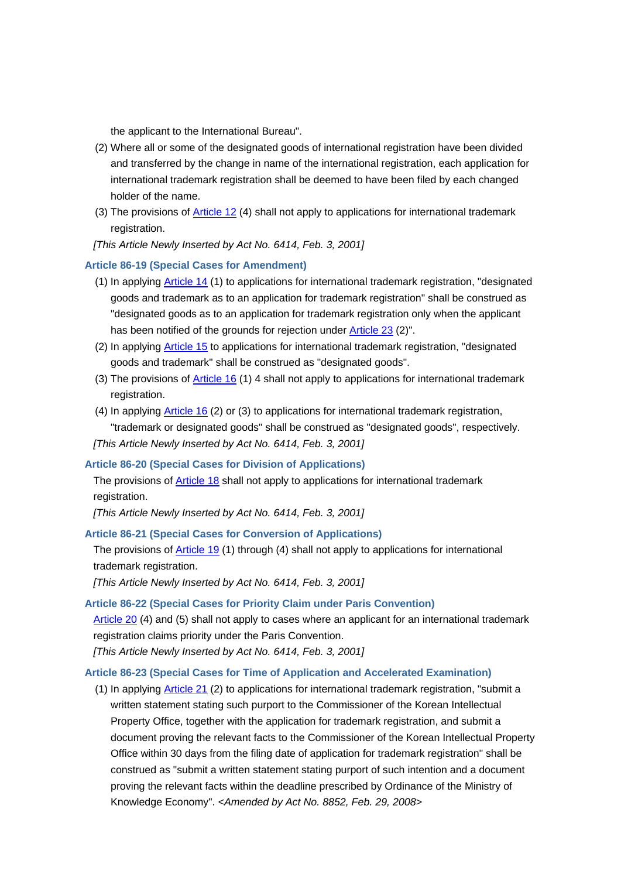the applicant to the International Bureau".

- (2) Where all or some of the designated goods of international registration have been divided and transferred by the change in name of the international registration, each application for international trademark registration shall be deemed to have been filed by each changed holder of the name.
- (3) The provisions of Article 12 (4) shall not apply to applications for international trademark registration.
- *[This Article Newly Inserted by Act No. 6414, Feb. 3, 2001]*

#### **Article 86-19 (Special Cases for Amendment)**

- (1) In applying Article 14 (1) to applications for international trademark registration, "designated goods and trademark as to an application for trademark registration" shall be construed as "designated goods as to an application for trademark registration only when the applicant has been notified of the grounds for rejection under Article 23 (2)".
- (2) In applying Article 15 to applications for international trademark registration, "designated goods and trademark" shall be construed as "designated goods".
- (3) The provisions of Article 16 (1) 4 shall not apply to applications for international trademark registration.
- (4) In applying Article 16 (2) or (3) to applications for international trademark registration, "trademark or designated goods" shall be construed as "designated goods", respectively.

*[This Article Newly Inserted by Act No. 6414, Feb. 3, 2001]*

#### **Article 86-20 (Special Cases for Division of Applications)**

The provisions of Article 18 shall not apply to applications for international trademark registration.

*[This Article Newly Inserted by Act No. 6414, Feb. 3, 2001]*

#### **Article 86-21 (Special Cases for Conversion of Applications)**

The provisions of Article 19 (1) through (4) shall not apply to applications for international trademark registration.

*[This Article Newly Inserted by Act No. 6414, Feb. 3, 2001]*

### **Article 86-22 (Special Cases for Priority Claim under Paris Convention)**

Article 20 (4) and (5) shall not apply to cases where an applicant for an international trademark registration claims priority under the Paris Convention.

*[This Article Newly Inserted by Act No. 6414, Feb. 3, 2001]*

#### **Article 86-23 (Special Cases for Time of Application and Accelerated Examination)**

(1) In applying Article 21 (2) to applications for international trademark registration, "submit a written statement stating such purport to the Commissioner of the Korean Intellectual Property Office, together with the application for trademark registration, and submit a document proving the relevant facts to the Commissioner of the Korean Intellectual Property Office within 30 days from the filing date of application for trademark registration" shall be construed as "submit a written statement stating purport of such intention and a document proving the relevant facts within the deadline prescribed by Ordinance of the Ministry of Knowledge Economy". *<Amended by Act No. 8852, Feb. 29, 2008>*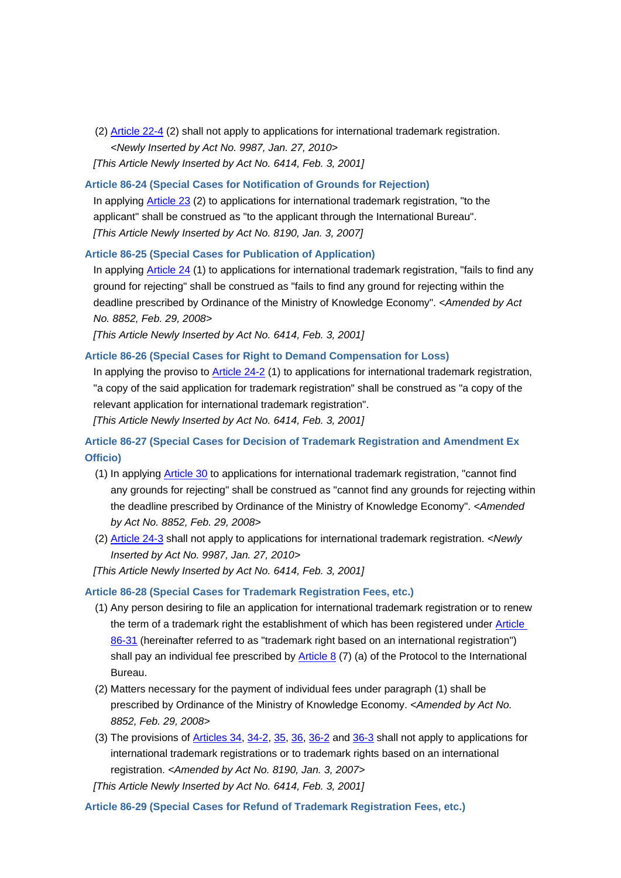- (2) Article 22-4 (2) shall not apply to applications for international trademark registration. *<Newly Inserted by Act No. 9987, Jan. 27, 2010> [This Article Newly Inserted by Act No. 6414, Feb. 3, 2001]*
- **Article 86-24 (Special Cases for Notification of Grounds for Rejection)**

In applying Article 23 (2) to applications for international trademark registration, "to the applicant" shall be construed as "to the applicant through the International Bureau". *[This Article Newly Inserted by Act No. 8190, Jan. 3, 2007]*

#### **Article 86-25 (Special Cases for Publication of Application)**

In applying Article 24 (1) to applications for international trademark registration, "fails to find any ground for rejecting" shall be construed as "fails to find any ground for rejecting within the deadline prescribed by Ordinance of the Ministry of Knowledge Economy". *<Amended by Act No. 8852, Feb. 29, 2008>*

*[This Article Newly Inserted by Act No. 6414, Feb. 3, 2001]*

### **Article 86-26 (Special Cases for Right to Demand Compensation for Loss)**

In applying the proviso to Article 24-2 (1) to applications for international trademark registration, "a copy of the said application for trademark registration" shall be construed as "a copy of the relevant application for international trademark registration".

*[This Article Newly Inserted by Act No. 6414, Feb. 3, 2001]*

## **Article 86-27 (Special Cases for Decision of Trademark Registration and Amendment Ex Officio)**

- (1) In applying Article 30 to applications for international trademark registration, "cannot find any grounds for rejecting" shall be construed as "cannot find any grounds for rejecting within the deadline prescribed by Ordinance of the Ministry of Knowledge Economy". *<Amended by Act No. 8852, Feb. 29, 2008>*
- (2) Article 24-3 shall not apply to applications for international trademark registration. *<Newly Inserted by Act No. 9987, Jan. 27, 2010>*

*[This Article Newly Inserted by Act No. 6414, Feb. 3, 2001]*

#### **Article 86-28 (Special Cases for Trademark Registration Fees, etc.)**

- (1) Any person desiring to file an application for international trademark registration or to renew the term of a trademark right the establishment of which has been registered under Article 86-31 (hereinafter referred to as "trademark right based on an international registration") shall pay an individual fee prescribed by Article 8  $(7)$  (a) of the Protocol to the International Bureau.
- (2) Matters necessary for the payment of individual fees under paragraph (1) shall be prescribed by Ordinance of the Ministry of Knowledge Economy. *<Amended by Act No. 8852, Feb. 29, 2008>*
- (3) The provisions of Articles 34, 34-2, 35, 36, 36-2 and 36-3 shall not apply to applications for international trademark registrations or to trademark rights based on an international registration. *<Amended by Act No. 8190, Jan. 3, 2007>*
- *[This Article Newly Inserted by Act No. 6414, Feb. 3, 2001]*

**Article 86-29 (Special Cases for Refund of Trademark Registration Fees, etc.)**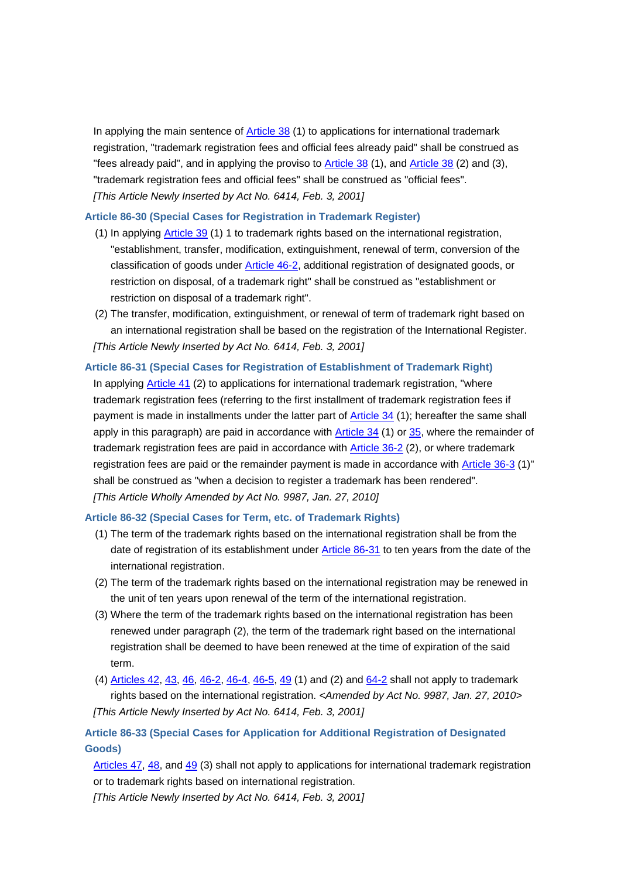In applying the main sentence of  $\overline{\text{Article 38}}$  (1) to applications for international trademark registration, "trademark registration fees and official fees already paid" shall be construed as "fees already paid", and in applying the proviso to Article 38 (1), and Article 38 (2) and (3), "trademark registration fees and official fees" shall be construed as "official fees". *[This Article Newly Inserted by Act No. 6414, Feb. 3, 2001]*

#### **Article 86-30 (Special Cases for Registration in Trademark Register)**

- (1) In applying Article 39 (1) 1 to trademark rights based on the international registration, "establishment, transfer, modification, extinguishment, renewal of term, conversion of the classification of goods under Article 46-2, additional registration of designated goods, or restriction on disposal, of a trademark right" shall be construed as "establishment or restriction on disposal of a trademark right".
- (2) The transfer, modification, extinguishment, or renewal of term of trademark right based on an international registration shall be based on the registration of the International Register. *[This Article Newly Inserted by Act No. 6414, Feb. 3, 2001]*

#### **Article 86-31 (Special Cases for Registration of Establishment of Trademark Right)**

In applying Article 41 (2) to applications for international trademark registration, "where trademark registration fees (referring to the first installment of trademark registration fees if payment is made in installments under the latter part of Article 34 (1); hereafter the same shall apply in this paragraph) are paid in accordance with Article 34 (1) or 35, where the remainder of trademark registration fees are paid in accordance with **Article 36-2** (2), or where trademark registration fees are paid or the remainder payment is made in accordance with Article 36-3 (1)" shall be construed as "when a decision to register a trademark has been rendered". *[This Article Wholly Amended by Act No. 9987, Jan. 27, 2010]*

#### **Article 86-32 (Special Cases for Term, etc. of Trademark Rights)**

- (1) The term of the trademark rights based on the international registration shall be from the date of registration of its establishment under Article 86-31 to ten years from the date of the international registration.
- (2) The term of the trademark rights based on the international registration may be renewed in the unit of ten years upon renewal of the term of the international registration.
- (3) Where the term of the trademark rights based on the international registration has been renewed under paragraph (2), the term of the trademark right based on the international registration shall be deemed to have been renewed at the time of expiration of the said term.
- (4) Articles 42, 43, 46, 46-2, 46-4, 46-5, 49 (1) and (2) and 64-2 shall not apply to trademark rights based on the international registration. *<Amended by Act No. 9987, Jan. 27, 2010> [This Article Newly Inserted by Act No. 6414, Feb. 3, 2001]*

## **Article 86-33 (Special Cases for Application for Additional Registration of Designated Goods)**

Articles 47, 48, and 49 (3) shall not apply to applications for international trademark registration or to trademark rights based on international registration.

*[This Article Newly Inserted by Act No. 6414, Feb. 3, 2001]*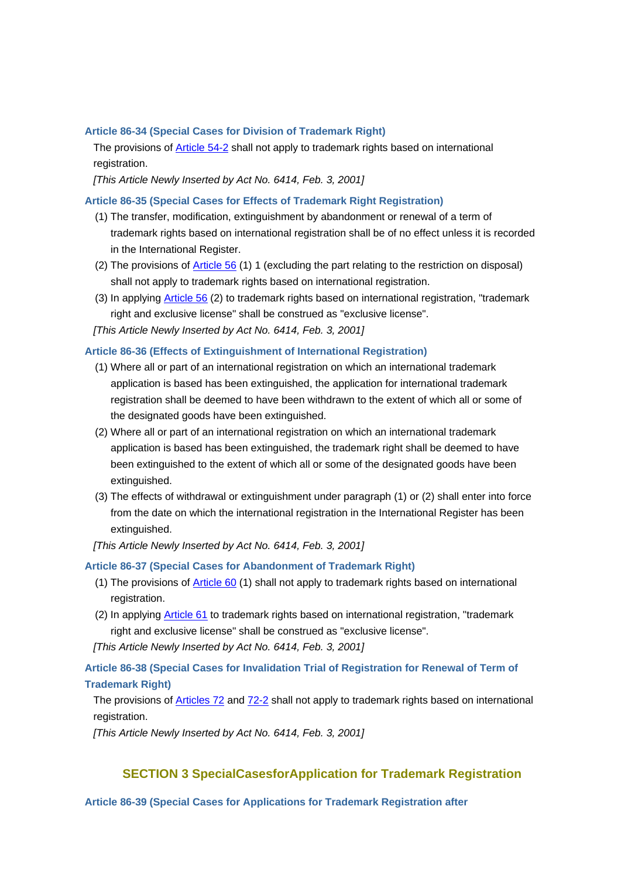#### **Article 86-34 (Special Cases for Division of Trademark Right)**

The provisions of **Article 54-2** shall not apply to trademark rights based on international registration.

*[This Article Newly Inserted by Act No. 6414, Feb. 3, 2001]*

## **Article 86-35 (Special Cases for Effects of Trademark Right Registration)**

- (1) The transfer, modification, extinguishment by abandonment or renewal of a term of trademark rights based on international registration shall be of no effect unless it is recorded in the International Register.
- (2) The provisions of Article 56 (1) 1 (excluding the part relating to the restriction on disposal) shall not apply to trademark rights based on international registration.
- (3) In applying Article 56 (2) to trademark rights based on international registration, "trademark right and exclusive license" shall be construed as "exclusive license".

*[This Article Newly Inserted by Act No. 6414, Feb. 3, 2001]*

### **Article 86-36 (Effects of Extinguishment of International Registration)**

- (1) Where all or part of an international registration on which an international trademark application is based has been extinguished, the application for international trademark registration shall be deemed to have been withdrawn to the extent of which all or some of the designated goods have been extinguished.
- (2) Where all or part of an international registration on which an international trademark application is based has been extinguished, the trademark right shall be deemed to have been extinguished to the extent of which all or some of the designated goods have been extinguished.
- (3) The effects of withdrawal or extinguishment under paragraph (1) or (2) shall enter into force from the date on which the international registration in the International Register has been extinguished.
- *[This Article Newly Inserted by Act No. 6414, Feb. 3, 2001]*

#### **Article 86-37 (Special Cases for Abandonment of Trademark Right)**

- (1) The provisions of Article 60 (1) shall not apply to trademark rights based on international registration.
- (2) In applying Article 61 to trademark rights based on international registration, "trademark right and exclusive license" shall be construed as "exclusive license".

*[This Article Newly Inserted by Act No. 6414, Feb. 3, 2001]*

## **Article 86-38 (Special Cases for Invalidation Trial of Registration for Renewal of Term of Trademark Right)**

The provisions of **Articles 72** and 72-2 shall not apply to trademark rights based on international registration.

*[This Article Newly Inserted by Act No. 6414, Feb. 3, 2001]*

## **SECTION 3 SpecialCasesforApplication for Trademark Registration**

#### **Article 86-39 (Special Cases for Applications for Trademark Registration after**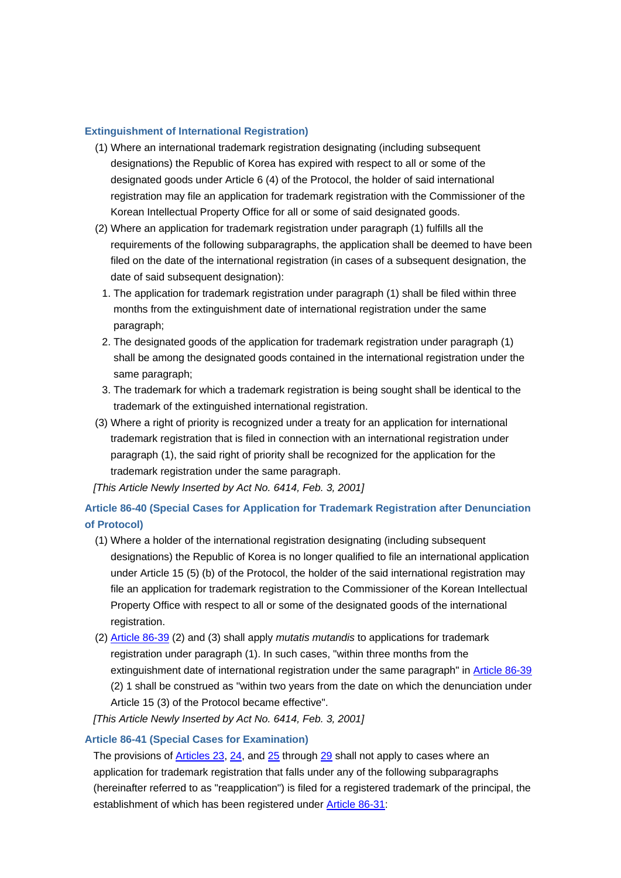## **Extinguishment of International Registration)**

- (1) Where an international trademark registration designating (including subsequent designations) the Republic of Korea has expired with respect to all or some of the designated goods under Article 6 (4) of the Protocol, the holder of said international registration may file an application for trademark registration with the Commissioner of the Korean Intellectual Property Office for all or some of said designated goods.
- (2) Where an application for trademark registration under paragraph (1) fulfills all the requirements of the following subparagraphs, the application shall be deemed to have been filed on the date of the international registration (in cases of a subsequent designation, the date of said subsequent designation):
	- 1. The application for trademark registration under paragraph (1) shall be filed within three months from the extinguishment date of international registration under the same paragraph;
	- 2. The designated goods of the application for trademark registration under paragraph (1) shall be among the designated goods contained in the international registration under the same paragraph;
- 3. The trademark for which a trademark registration is being sought shall be identical to the trademark of the extinguished international registration.
- (3) Where a right of priority is recognized under a treaty for an application for international trademark registration that is filed in connection with an international registration under paragraph (1), the said right of priority shall be recognized for the application for the trademark registration under the same paragraph.

*[This Article Newly Inserted by Act No. 6414, Feb. 3, 2001]*

## **Article 86-40 (Special Cases for Application for Trademark Registration after Denunciation of Protocol)**

- (1) Where a holder of the international registration designating (including subsequent designations) the Republic of Korea is no longer qualified to file an international application under Article 15 (5) (b) of the Protocol, the holder of the said international registration may file an application for trademark registration to the Commissioner of the Korean Intellectual Property Office with respect to all or some of the designated goods of the international registration.
- (2) Article 86-39 (2) and (3) shall apply *mutatis mutandis* to applications for trademark registration under paragraph (1). In such cases, "within three months from the extinguishment date of international registration under the same paragraph" in Article 86-39 (2) 1 shall be construed as "within two years from the date on which the denunciation under Article 15 (3) of the Protocol became effective".

## *[This Article Newly Inserted by Act No. 6414, Feb. 3, 2001]*

### **Article 86-41 (Special Cases for Examination)**

The provisions of  $\frac{\text{Articles } 23, 24, \text{ and } 25 \text{ through } 29}{}$  shall not apply to cases where an application for trademark registration that falls under any of the following subparagraphs (hereinafter referred to as "reapplication") is filed for a registered trademark of the principal, the establishment of which has been registered under Article 86-31: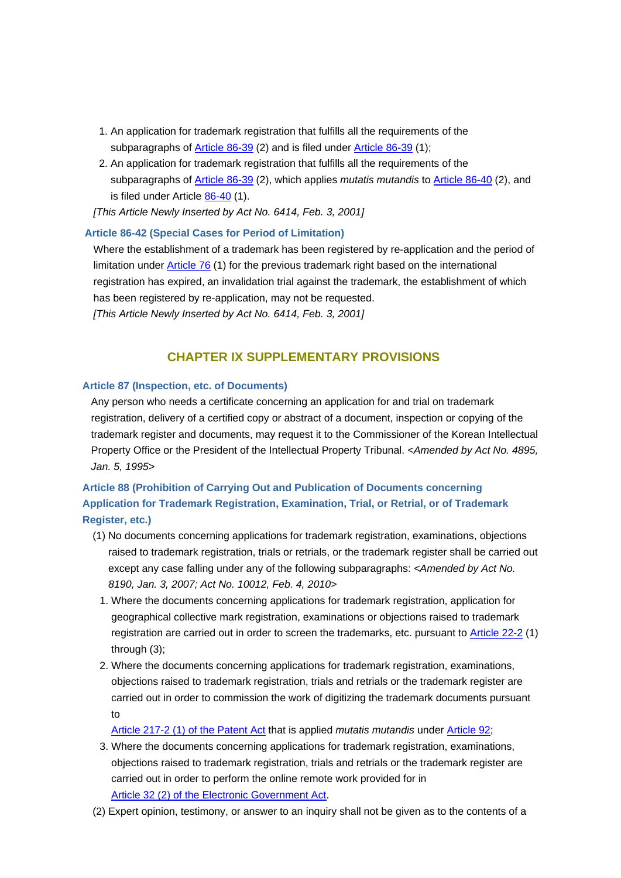- 1. An application for trademark registration that fulfills all the requirements of the subparagraphs of Article 86-39 (2) and is filed under Article 86-39 (1);
- 2. An application for trademark registration that fulfills all the requirements of the subparagraphs of Article 86-39 (2), which applies *mutatis mutandis* to Article 86-40 (2), and is filed under Article 86-40 (1).

*[This Article Newly Inserted by Act No. 6414, Feb. 3, 2001]*

## **Article 86-42 (Special Cases for Period of Limitation)**

Where the establishment of a trademark has been registered by re-application and the period of limitation under Article 76 (1) for the previous trademark right based on the international registration has expired, an invalidation trial against the trademark, the establishment of which has been registered by re-application, may not be requested. *[This Article Newly Inserted by Act No. 6414, Feb. 3, 2001]*

## **CHAPTER IX SUPPLEMENTARY PROVISIONS**

### **Article 87 (Inspection, etc. of Documents)**

Any person who needs a certificate concerning an application for and trial on trademark registration, delivery of a certified copy or abstract of a document, inspection or copying of the trademark register and documents, may request it to the Commissioner of the Korean Intellectual Property Office or the President of the Intellectual Property Tribunal. *<Amended by Act No. 4895, Jan. 5, 1995>*

## **Article 88 (Prohibition of Carrying Out and Publication of Documents concerning Application for Trademark Registration, Examination, Trial, or Retrial, or of Trademark Register, etc.)**

- (1) No documents concerning applications for trademark registration, examinations, objections raised to trademark registration, trials or retrials, or the trademark register shall be carried out except any case falling under any of the following subparagraphs: *<Amended by Act No. 8190, Jan. 3, 2007; Act No. 10012, Feb. 4, 2010>*
	- 1. Where the documents concerning applications for trademark registration, application for geographical collective mark registration, examinations or objections raised to trademark registration are carried out in order to screen the trademarks, etc. pursuant to Article 22-2 (1) through (3);
	- 2. Where the documents concerning applications for trademark registration, examinations, objections raised to trademark registration, trials and retrials or the trademark register are carried out in order to commission the work of digitizing the trademark documents pursuant to

Article 217-2 (1) of the Patent Act that is applied *mutatis mutandis* under Article 92;

- 3. Where the documents concerning applications for trademark registration, examinations, objections raised to trademark registration, trials and retrials or the trademark register are carried out in order to perform the online remote work provided for in Article 32 (2) of the Electronic Government Act.
- (2) Expert opinion, testimony, or answer to an inquiry shall not be given as to the contents of a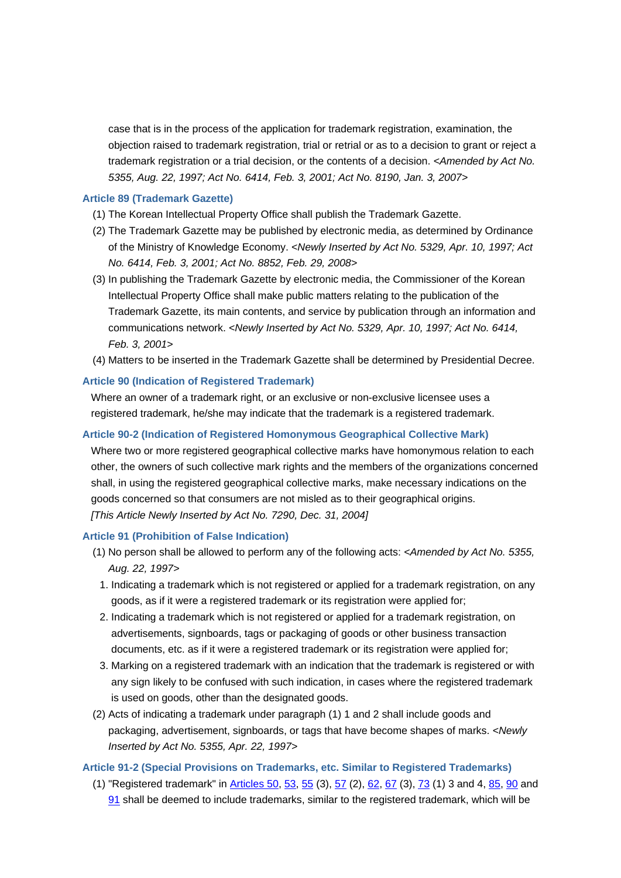case that is in the process of the application for trademark registration, examination, the objection raised to trademark registration, trial or retrial or as to a decision to grant or reject a trademark registration or a trial decision, or the contents of a decision. *<Amended by Act No. 5355, Aug. 22, 1997; Act No. 6414, Feb. 3, 2001; Act No. 8190, Jan. 3, 2007>*

### **Article 89 (Trademark Gazette)**

- (1) The Korean Intellectual Property Office shall publish the Trademark Gazette.
- (2) The Trademark Gazette may be published by electronic media, as determined by Ordinance of the Ministry of Knowledge Economy. *<Newly Inserted by Act No. 5329, Apr. 10, 1997; Act No. 6414, Feb. 3, 2001; Act No. 8852, Feb. 29, 2008>*
- (3) In publishing the Trademark Gazette by electronic media, the Commissioner of the Korean Intellectual Property Office shall make public matters relating to the publication of the Trademark Gazette, its main contents, and service by publication through an information and communications network. *<Newly Inserted by Act No. 5329, Apr. 10, 1997; Act No. 6414, Feb. 3, 2001>*
- (4) Matters to be inserted in the Trademark Gazette shall be determined by Presidential Decree.

## **Article 90 (Indication of Registered Trademark)**

Where an owner of a trademark right, or an exclusive or non-exclusive licensee uses a registered trademark, he/she may indicate that the trademark is a registered trademark.

## **Article 90-2 (Indication of Registered Homonymous Geographical Collective Mark)**

Where two or more registered geographical collective marks have homonymous relation to each other, the owners of such collective mark rights and the members of the organizations concerned shall, in using the registered geographical collective marks, make necessary indications on the goods concerned so that consumers are not misled as to their geographical origins. *[This Article Newly Inserted by Act No. 7290, Dec. 31, 2004]*

### **Article 91 (Prohibition of False Indication)**

- (1) No person shall be allowed to perform any of the following acts: *<Amended by Act No. 5355, Aug. 22, 1997>*
	- 1. Indicating a trademark which is not registered or applied for a trademark registration, on any goods, as if it were a registered trademark or its registration were applied for;
	- 2. Indicating a trademark which is not registered or applied for a trademark registration, on advertisements, signboards, tags or packaging of goods or other business transaction documents, etc. as if it were a registered trademark or its registration were applied for;
- 3. Marking on a registered trademark with an indication that the trademark is registered or with any sign likely to be confused with such indication, in cases where the registered trademark is used on goods, other than the designated goods.
- (2) Acts of indicating a trademark under paragraph (1) 1 and 2 shall include goods and packaging, advertisement, signboards, or tags that have become shapes of marks. *<Newly Inserted by Act No. 5355, Apr. 22, 1997>*

## **Article 91-2 (Special Provisions on Trademarks, etc. Similar to Registered Trademarks)**

(1) "Registered trademark" in Articles 50, 53, 55 (3), 57 (2), 62, 67 (3), 73 (1) 3 and 4, 85, 90 and 91 shall be deemed to include trademarks, similar to the registered trademark, which will be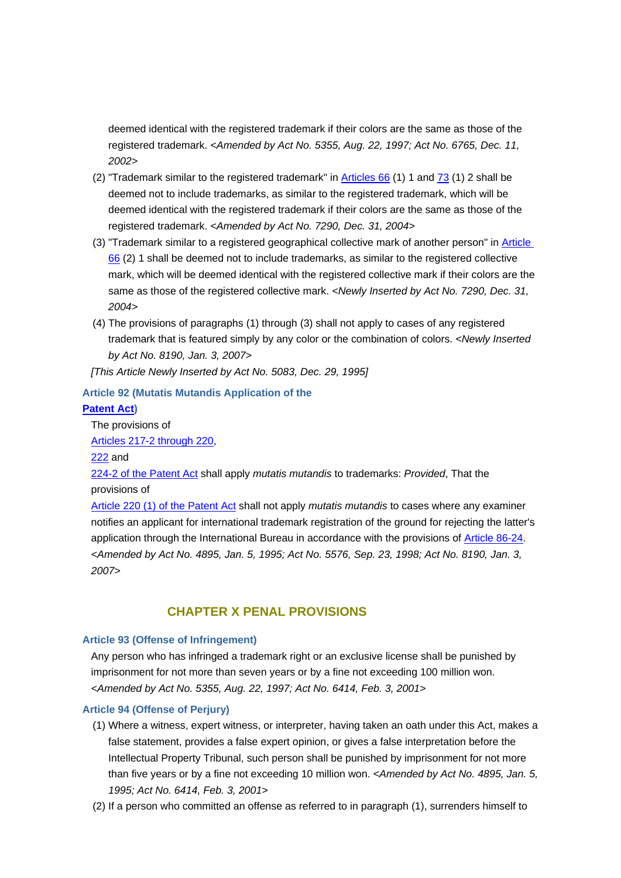deemed identical with the registered trademark if their colors are the same as those of the registered trademark. *<Amended by Act No. 5355, Aug. 22, 1997; Act No. 6765, Dec. 11, 2002>*

- (2) "Trademark similar to the registered trademark" in Articles 66 (1) 1 and 73 (1) 2 shall be deemed not to include trademarks, as similar to the registered trademark, which will be deemed identical with the registered trademark if their colors are the same as those of the registered trademark. *<Amended by Act No. 7290, Dec. 31, 2004>*
- (3) "Trademark similar to a registered geographical collective mark of another person" in Article 66 (2) 1 shall be deemed not to include trademarks, as similar to the registered collective mark, which will be deemed identical with the registered collective mark if their colors are the same as those of the registered collective mark. <Newly Inserted by Act No. 7290, Dec. 31, *2004>*
- (4) The provisions of paragraphs (1) through (3) shall not apply to cases of any registered trademark that is featured simply by any color or the combination of colors. *<Newly Inserted by Act No. 8190, Jan. 3, 2007>*
- *[This Article Newly Inserted by Act No. 5083, Dec. 29, 1995]*

## **Article 92 (Mutatis Mutandis Application of the**

## **Patent Act)**

The provisions of

Articles 217-2 through 220,

222 and

224-2 of the Patent Act shall apply *mutatis mutandis* to trademarks: *Provided*, That the provisions of

Article 220 (1) of the Patent Act shall not apply *mutatis mutandis* to cases where any examiner notifies an applicant for international trademark registration of the ground for rejecting the latter's application through the International Bureau in accordance with the provisions of Article 86-24. *<Amended by Act No. 4895, Jan. 5, 1995; Act No. 5576, Sep. 23, 1998; Act No. 8190, Jan. 3, 2007>*

## **CHAPTER X PENAL PROVISIONS**

## **Article 93 (Offense of Infringement)**

Any person who has infringed a trademark right or an exclusive license shall be punished by imprisonment for not more than seven years or by a fine not exceeding 100 million won. *<Amended by Act No. 5355, Aug. 22, 1997; Act No. 6414, Feb. 3, 2001>*

## **Article 94 (Offense of Perjury)**

- (1) Where a witness, expert witness, or interpreter, having taken an oath under this Act, makes a false statement, provides a false expert opinion, or gives a false interpretation before the Intellectual Property Tribunal, such person shall be punished by imprisonment for not more than five years or by a fine not exceeding 10 million won. *<Amended by Act No. 4895, Jan. 5, 1995; Act No. 6414, Feb. 3, 2001>*
- (2) If a person who committed an offense as referred to in paragraph (1), surrenders himself to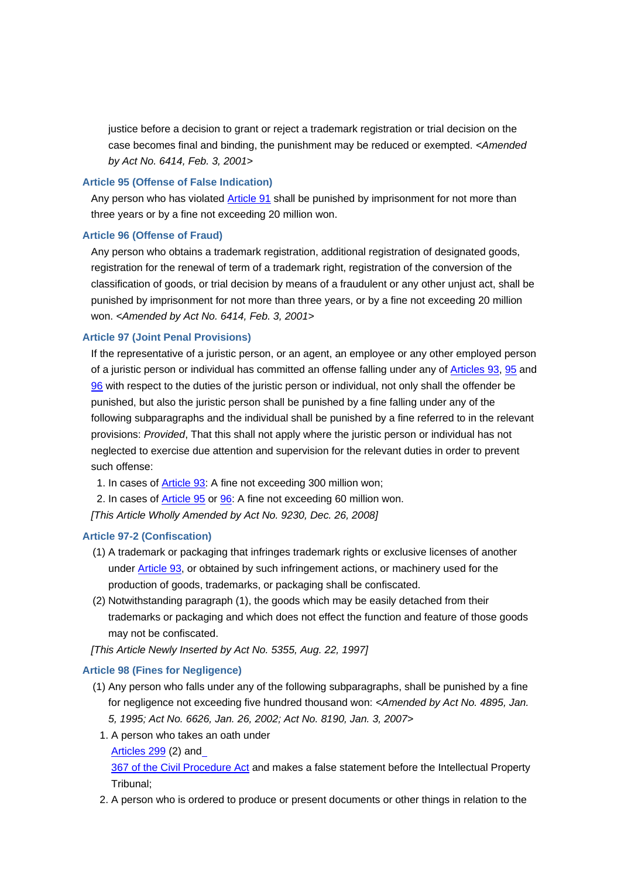justice before a decision to grant or reject a trademark registration or trial decision on the case becomes final and binding, the punishment may be reduced or exempted. *<Amended by Act No. 6414, Feb. 3, 2001>*

#### **Article 95 (Offense of False Indication)**

Any person who has violated Article 91 shall be punished by imprisonment for not more than three years or by a fine not exceeding 20 million won.

#### **Article 96 (Offense of Fraud)**

Any person who obtains a trademark registration, additional registration of designated goods, registration for the renewal of term of a trademark right, registration of the conversion of the classification of goods, or trial decision by means of a fraudulent or any other unjust act, shall be punished by imprisonment for not more than three years, or by a fine not exceeding 20 million won. *<Amended by Act No. 6414, Feb. 3, 2001>*

## **Article 97 (Joint Penal Provisions)**

If the representative of a juristic person, or an agent, an employee or any other employed person of a juristic person or individual has committed an offense falling under any of Articles 93, 95 and 96 with respect to the duties of the juristic person or individual, not only shall the offender be punished, but also the juristic person shall be punished by a fine falling under any of the following subparagraphs and the individual shall be punished by a fine referred to in the relevant provisions: *Provided*, That this shall not apply where the juristic person or individual has not neglected to exercise due attention and supervision for the relevant duties in order to prevent such offense:

1. In cases of Article 93: A fine not exceeding 300 million won;

2. In cases of Article 95 or 96: A fine not exceeding 60 million won.

*[This Article Wholly Amended by Act No. 9230, Dec. 26, 2008]*

### **Article 97-2 (Confiscation)**

- (1) A trademark or packaging that infringes trademark rights or exclusive licenses of another under Article 93, or obtained by such infringement actions, or machinery used for the production of goods, trademarks, or packaging shall be confiscated.
- (2) Notwithstanding paragraph (1), the goods which may be easily detached from their trademarks or packaging and which does not effect the function and feature of those goods may not be confiscated.

*[This Article Newly Inserted by Act No. 5355, Aug. 22, 1997]*

#### **Article 98 (Fines for Negligence)**

- (1) Any person who falls under any of the following subparagraphs, shall be punished by a fine for negligence not exceeding five hundred thousand won: *<Amended by Act No. 4895, Jan. 5, 1995; Act No. 6626, Jan. 26, 2002; Act No. 8190, Jan. 3, 2007>*
	- 1. A person who takes an oath under

#### Articles 299 (2) and

367 of the Civil Procedure Act and makes a false statement before the Intellectual Property Tribunal;

2. A person who is ordered to produce or present documents or other things in relation to the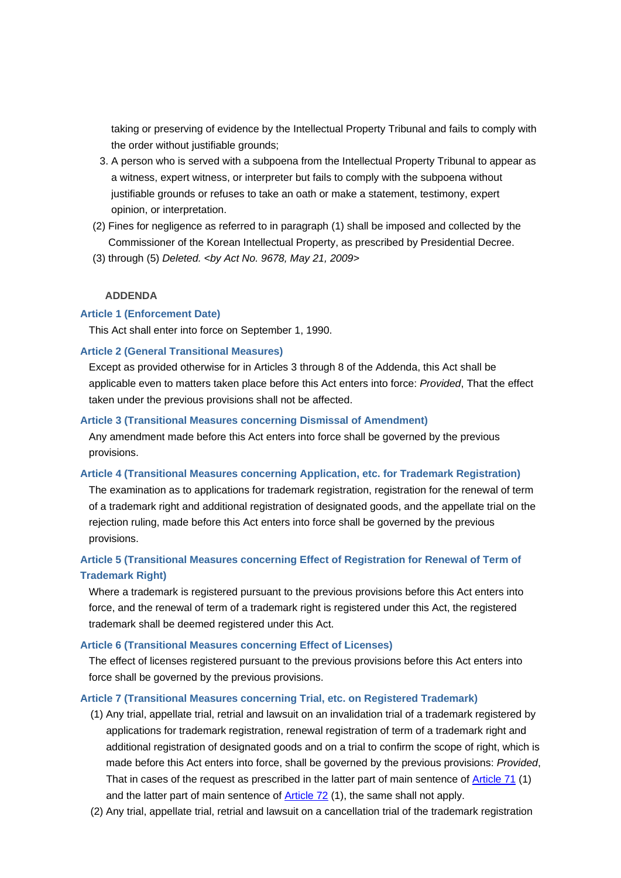taking or preserving of evidence by the Intellectual Property Tribunal and fails to comply with the order without justifiable grounds:

- 3. A person who is served with a subpoena from the Intellectual Property Tribunal to appear as a witness, expert witness, or interpreter but fails to comply with the subpoena without justifiable grounds or refuses to take an oath or make a statement, testimony, expert opinion, or interpretation.
- (2) Fines for negligence as referred to in paragraph (1) shall be imposed and collected by the Commissioner of the Korean Intellectual Property, as prescribed by Presidential Decree.
- (3) through (5) *Deleted. <by Act No. 9678, May 21, 2009>*

#### **ADDENDA**

## **Article 1 (Enforcement Date)**

This Act shall enter into force on September 1, 1990.

#### **Article 2 (General Transitional Measures)**

Except as provided otherwise for in Articles 3 through 8 of the Addenda, this Act shall be applicable even to matters taken place before this Act enters into force: *Provided*, That the effect taken under the previous provisions shall not be affected.

#### **Article 3 (Transitional Measures concerning Dismissal of Amendment)**

Any amendment made before this Act enters into force shall be governed by the previous provisions.

## **Article 4 (Transitional Measures concerning Application, etc. for Trademark Registration)**

The examination as to applications for trademark registration, registration for the renewal of term of a trademark right and additional registration of designated goods, and the appellate trial on the rejection ruling, made before this Act enters into force shall be governed by the previous provisions.

## **Article 5 (Transitional Measures concerning Effect of Registration for Renewal of Term of Trademark Right)**

Where a trademark is registered pursuant to the previous provisions before this Act enters into force, and the renewal of term of a trademark right is registered under this Act, the registered trademark shall be deemed registered under this Act.

#### **Article 6 (Transitional Measures concerning Effect of Licenses)**

The effect of licenses registered pursuant to the previous provisions before this Act enters into force shall be governed by the previous provisions.

#### **Article 7 (Transitional Measures concerning Trial, etc. on Registered Trademark)**

- (1) Any trial, appellate trial, retrial and lawsuit on an invalidation trial of a trademark registered by applications for trademark registration, renewal registration of term of a trademark right and additional registration of designated goods and on a trial to confirm the scope of right, which is made before this Act enters into force, shall be governed by the previous provisions: *Provided*, That in cases of the request as prescribed in the latter part of main sentence of Article 71 (1) and the latter part of main sentence of Article 72 (1), the same shall not apply.
- (2) Any trial, appellate trial, retrial and lawsuit on a cancellation trial of the trademark registration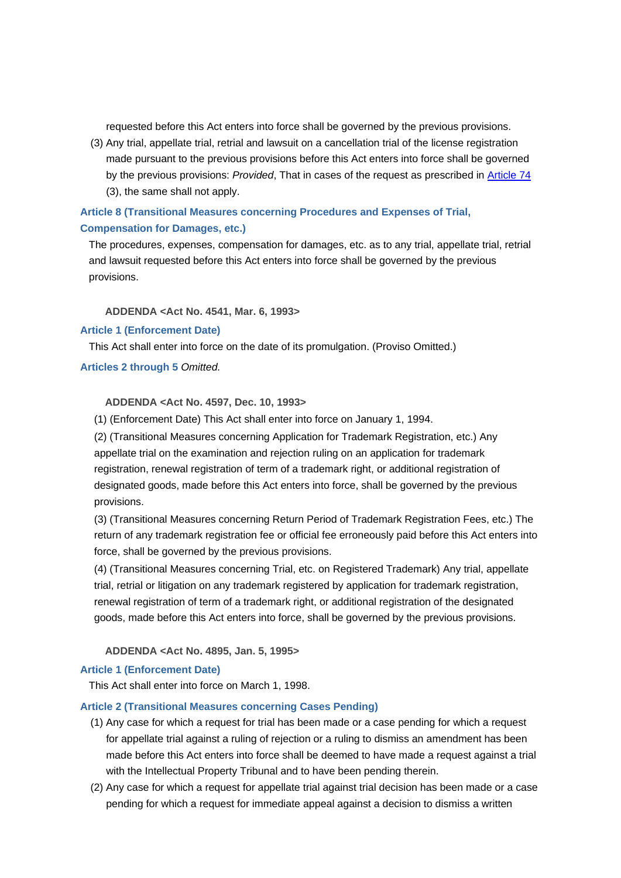requested before this Act enters into force shall be governed by the previous provisions.

(3) Any trial, appellate trial, retrial and lawsuit on a cancellation trial of the license registration made pursuant to the previous provisions before this Act enters into force shall be governed by the previous provisions: *Provided*, That in cases of the request as prescribed in Article 74 (3), the same shall not apply.

## **Article 8 (Transitional Measures concerning Procedures and Expenses of Trial, Compensation for Damages, etc.)**

The procedures, expenses, compensation for damages, etc. as to any trial, appellate trial, retrial and lawsuit requested before this Act enters into force shall be governed by the previous provisions.

## **ADDENDA <Act No. 4541, Mar. 6, 1993>**

## **Article 1 (Enforcement Date)**

This Act shall enter into force on the date of its promulgation. (Proviso Omitted.)

## **Articles 2 through 5** *Omitted.*

## **ADDENDA <Act No. 4597, Dec. 10, 1993>**

(1) (Enforcement Date) This Act shall enter into force on January 1, 1994.

(2) (Transitional Measures concerning Application for Trademark Registration, etc.) Any appellate trial on the examination and rejection ruling on an application for trademark registration, renewal registration of term of a trademark right, or additional registration of designated goods, made before this Act enters into force, shall be governed by the previous provisions.

(3) (Transitional Measures concerning Return Period of Trademark Registration Fees, etc.) The return of any trademark registration fee or official fee erroneously paid before this Act enters into force, shall be governed by the previous provisions.

(4) (Transitional Measures concerning Trial, etc. on Registered Trademark) Any trial, appellate trial, retrial or litigation on any trademark registered by application for trademark registration, renewal registration of term of a trademark right, or additional registration of the designated goods, made before this Act enters into force, shall be governed by the previous provisions.

### **ADDENDA <Act No. 4895, Jan. 5, 1995>**

### **Article 1 (Enforcement Date)**

This Act shall enter into force on March 1, 1998.

### **Article 2 (Transitional Measures concerning Cases Pending)**

- (1) Any case for which a request for trial has been made or a case pending for which a request for appellate trial against a ruling of rejection or a ruling to dismiss an amendment has been made before this Act enters into force shall be deemed to have made a request against a trial with the Intellectual Property Tribunal and to have been pending therein.
- (2) Any case for which a request for appellate trial against trial decision has been made or a case pending for which a request for immediate appeal against a decision to dismiss a written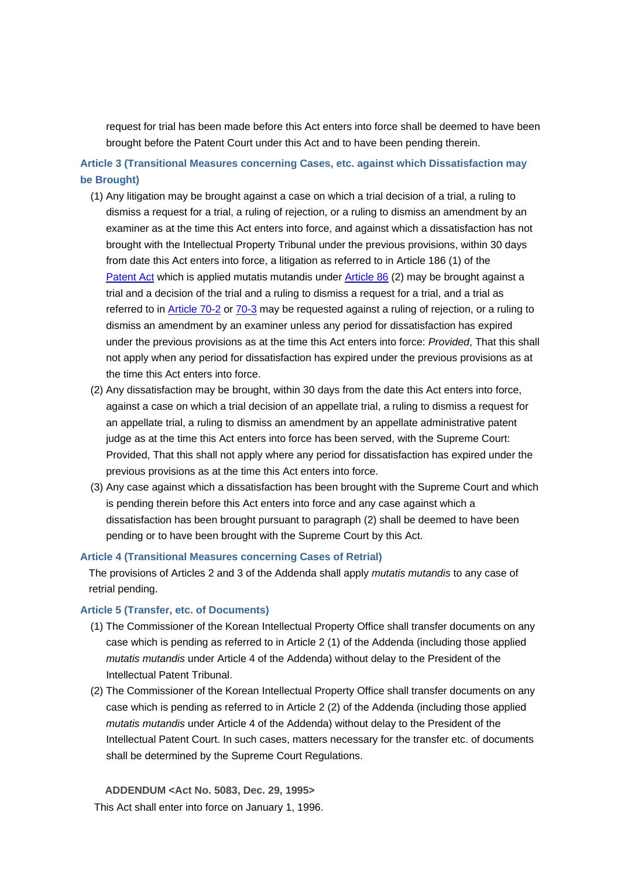request for trial has been made before this Act enters into force shall be deemed to have been brought before the Patent Court under this Act and to have been pending therein.

**Article 3 (Transitional Measures concerning Cases, etc. against which Dissatisfaction may be Brought)**

- (1) Any litigation may be brought against a case on which a trial decision of a trial, a ruling to dismiss a request for a trial, a ruling of rejection, or a ruling to dismiss an amendment by an examiner as at the time this Act enters into force, and against which a dissatisfaction has not brought with the Intellectual Property Tribunal under the previous provisions, within 30 days from date this Act enters into force, a litigation as referred to in Article 186 (1) of the Patent Act which is applied mutatis mutandis under Article 86 (2) may be brought against a trial and a decision of the trial and a ruling to dismiss a request for a trial, and a trial as referred to in Article 70-2 or 70-3 may be requested against a ruling of rejection, or a ruling to dismiss an amendment by an examiner unless any period for dissatisfaction has expired under the previous provisions as at the time this Act enters into force: *Provided*, That this shall not apply when any period for dissatisfaction has expired under the previous provisions as at the time this Act enters into force.
- (2) Any dissatisfaction may be brought, within 30 days from the date this Act enters into force, against a case on which a trial decision of an appellate trial, a ruling to dismiss a request for an appellate trial, a ruling to dismiss an amendment by an appellate administrative patent judge as at the time this Act enters into force has been served, with the Supreme Court: Provided, That this shall not apply where any period for dissatisfaction has expired under the previous provisions as at the time this Act enters into force.
- (3) Any case against which a dissatisfaction has been brought with the Supreme Court and which is pending therein before this Act enters into force and any case against which a dissatisfaction has been brought pursuant to paragraph (2) shall be deemed to have been pending or to have been brought with the Supreme Court by this Act.

#### **Article 4 (Transitional Measures concerning Cases of Retrial)**

The provisions of Articles 2 and 3 of the Addenda shall apply *mutatis mutandis* to any case of retrial pending.

#### **Article 5 (Transfer, etc. of Documents)**

- (1) The Commissioner of the Korean Intellectual Property Office shall transfer documents on any case which is pending as referred to in Article 2 (1) of the Addenda (including those applied *mutatis mutandis* under Article 4 of the Addenda) without delay to the President of the Intellectual Patent Tribunal.
- (2) The Commissioner of the Korean Intellectual Property Office shall transfer documents on any case which is pending as referred to in Article 2 (2) of the Addenda (including those applied *mutatis mutandis* under Article 4 of the Addenda) without delay to the President of the Intellectual Patent Court. In such cases, matters necessary for the transfer etc. of documents shall be determined by the Supreme Court Regulations.

 **ADDENDUM <Act No. 5083, Dec. 29, 1995>** This Act shall enter into force on January 1, 1996.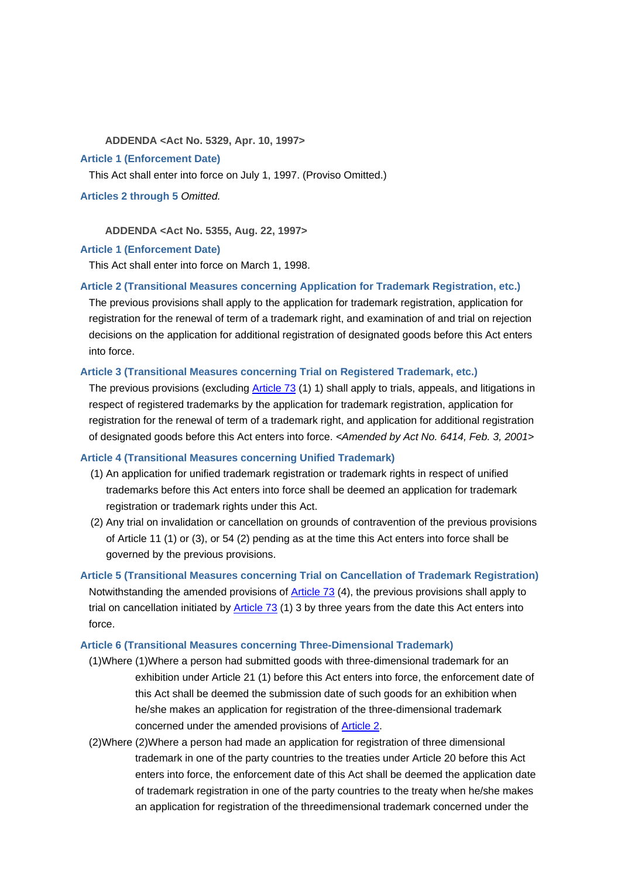#### **ADDENDA <Act No. 5329, Apr. 10, 1997>**

#### **Article 1 (Enforcement Date)**

This Act shall enter into force on July 1, 1997. (Proviso Omitted.)

**Articles 2 through 5** *Omitted.*

 **ADDENDA <Act No. 5355, Aug. 22, 1997>**

#### **Article 1 (Enforcement Date)**

This Act shall enter into force on March 1, 1998.

#### **Article 2 (Transitional Measures concerning Application for Trademark Registration, etc.)**

The previous provisions shall apply to the application for trademark registration, application for registration for the renewal of term of a trademark right, and examination of and trial on rejection decisions on the application for additional registration of designated goods before this Act enters into force.

#### **Article 3 (Transitional Measures concerning Trial on Registered Trademark, etc.)**

The previous provisions (excluding Article 73 (1) 1) shall apply to trials, appeals, and litigations in respect of registered trademarks by the application for trademark registration, application for registration for the renewal of term of a trademark right, and application for additional registration of designated goods before this Act enters into force. *<Amended by Act No. 6414, Feb. 3, 2001>*

#### **Article 4 (Transitional Measures concerning Unified Trademark)**

- (1) An application for unified trademark registration or trademark rights in respect of unified trademarks before this Act enters into force shall be deemed an application for trademark registration or trademark rights under this Act.
- (2) Any trial on invalidation or cancellation on grounds of contravention of the previous provisions of Article 11 (1) or (3), or 54 (2) pending as at the time this Act enters into force shall be governed by the previous provisions.

**Article 5 (Transitional Measures concerning Trial on Cancellation of Trademark Registration)** Notwithstanding the amended provisions of **Article 73** (4), the previous provisions shall apply to trial on cancellation initiated by  $\frac{\text{Article } 73}{\text{ (1) 3}}$  by three years from the date this Act enters into force.

## **Article 6 (Transitional Measures concerning Three-Dimensional Trademark)**

- (1)Where (1)Where a person had submitted goods with three-dimensional trademark for an exhibition under Article 21 (1) before this Act enters into force, the enforcement date of this Act shall be deemed the submission date of such goods for an exhibition when he/she makes an application for registration of the three-dimensional trademark concerned under the amended provisions of Article 2.
- (2)Where (2)Where a person had made an application for registration of three dimensional trademark in one of the party countries to the treaties under Article 20 before this Act enters into force, the enforcement date of this Act shall be deemed the application date of trademark registration in one of the party countries to the treaty when he/she makes an application for registration of the threedimensional trademark concerned under the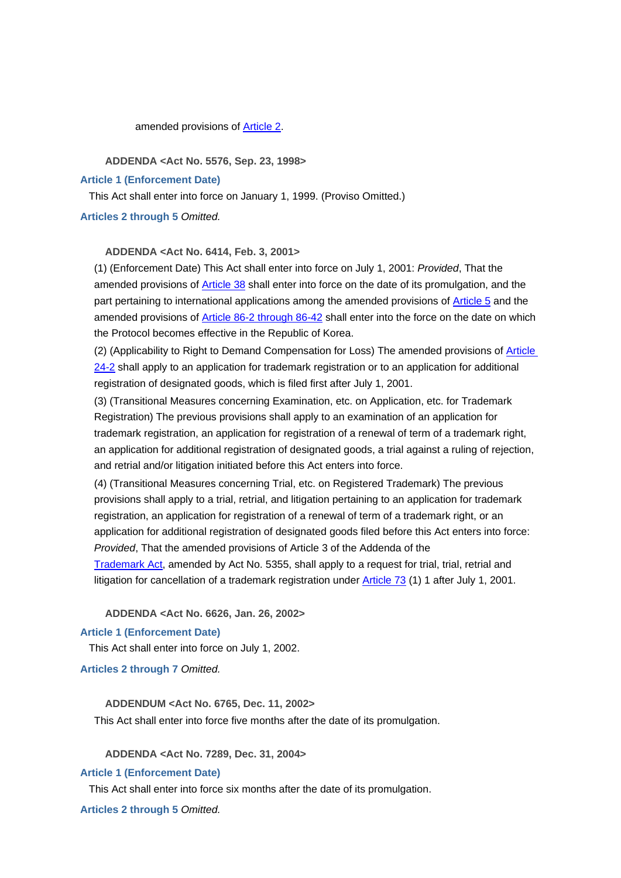amended provisions of Article 2.

 **ADDENDA <Act No. 5576, Sep. 23, 1998>**

**Article 1 (Enforcement Date)**

This Act shall enter into force on January 1, 1999. (Proviso Omitted.)

**Articles 2 through 5** *Omitted.*

 **ADDENDA <Act No. 6414, Feb. 3, 2001>**

(1) (Enforcement Date) This Act shall enter into force on July 1, 2001: *Provided*, That the amended provisions of **Article 38** shall enter into force on the date of its promulgation, and the part pertaining to international applications among the amended provisions of Article 5 and the amended provisions of Article 86-2 through 86-42 shall enter into the force on the date on which the Protocol becomes effective in the Republic of Korea.

(2) (Applicability to Right to Demand Compensation for Loss) The amended provisions of Article 24-2 shall apply to an application for trademark registration or to an application for additional registration of designated goods, which is filed first after July 1, 2001.

(3) (Transitional Measures concerning Examination, etc. on Application, etc. for Trademark Registration) The previous provisions shall apply to an examination of an application for trademark registration, an application for registration of a renewal of term of a trademark right, an application for additional registration of designated goods, a trial against a ruling of rejection, and retrial and/or litigation initiated before this Act enters into force.

(4) (Transitional Measures concerning Trial, etc. on Registered Trademark) The previous provisions shall apply to a trial, retrial, and litigation pertaining to an application for trademark registration, an application for registration of a renewal of term of a trademark right, or an application for additional registration of designated goods filed before this Act enters into force: *Provided*, That the amended provisions of Article 3 of the Addenda of the

Trademark Act, amended by Act No. 5355, shall apply to a request for trial, trial, retrial and litigation for cancellation of a trademark registration under Article 73 (1) 1 after July 1, 2001.

 **ADDENDA <Act No. 6626, Jan. 26, 2002>**

### **Article 1 (Enforcement Date)**

This Act shall enter into force on July 1, 2002.

**Articles 2 through 7** *Omitted.*

 **ADDENDUM <Act No. 6765, Dec. 11, 2002>** This Act shall enter into force five months after the date of its promulgation.

 **ADDENDA <Act No. 7289, Dec. 31, 2004>**

**Article 1 (Enforcement Date)**

This Act shall enter into force six months after the date of its promulgation.

**Articles 2 through 5** *Omitted.*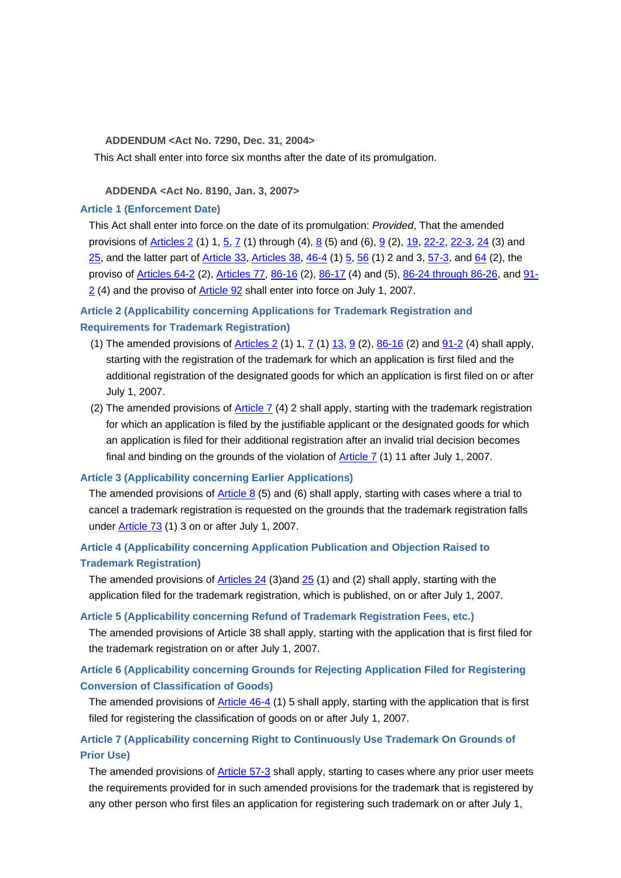#### **ADDENDUM <Act No. 7290, Dec. 31, 2004>**

This Act shall enter into force six months after the date of its promulgation.

### **ADDENDA <Act No. 8190, Jan. 3, 2007>**

#### **Article 1 (Enforcement Date)**

This Act shall enter into force on the date of its promulgation: *Provided*, That the amended provisions of  $\frac{\text{Articles } 2 (1) 1, 5, 7 (1) }{ \text{(hrough (4), 8 (5) and (6), 9 (2), 19, 22-2, 22-3, 24 (3) and}}$ 25, and the latter part of Article 33, Articles 38, 46-4 (1) 5, 56 (1) 2 and 3, 57-3, and 64 (2), the proviso of Articles 64-2 (2), Articles 77, 86-16 (2), 86-17 (4) and (5), 86-24 through 86-26, and 91- 2 (4) and the proviso of **Article 92** shall enter into force on July 1, 2007.

## **Article 2 (Applicability concerning Applications for Trademark Registration and Requirements for Trademark Registration)**

- (1) The amended provisions of  $\frac{\text{Articles } 2}{1, 7}$  (1) 1,  $\frac{7}{1, 8}$  (2),  $\frac{86-16}{1, 8}$  (2) and  $\frac{91-2}{1, 2}$  (4) shall apply, starting with the registration of the trademark for which an application is first filed and the additional registration of the designated goods for which an application is first filed on or after July 1, 2007.
- (2) The amended provisions of Article  $7$  (4) 2 shall apply, starting with the trademark registration for which an application is filed by the justifiable applicant or the designated goods for which an application is filed for their additional registration after an invalid trial decision becomes final and binding on the grounds of the violation of Article 7 (1) 11 after July 1, 2007.

### **Article 3 (Applicability concerning Earlier Applications)**

The amended provisions of Article 8 (5) and (6) shall apply, starting with cases where a trial to cancel a trademark registration is requested on the grounds that the trademark registration falls under **Article 73** (1) 3 on or after July 1, 2007.

## **Article 4 (Applicability concerning Application Publication and Objection Raised to Trademark Registration)**

The amended provisions of Articles  $24$  (3)and  $25$  (1) and (2) shall apply, starting with the application filed for the trademark registration, which is published, on or after July 1, 2007.

### **Article 5 (Applicability concerning Refund of Trademark Registration Fees, etc.)**

The amended provisions of Article 38 shall apply, starting with the application that is first filed for the trademark registration on or after July 1, 2007.

## **Article 6 (Applicability concerning Grounds for Rejecting Application Filed for Registering Conversion of Classification of Goods)**

The amended provisions of Article 46-4 (1) 5 shall apply, starting with the application that is first filed for registering the classification of goods on or after July 1, 2007.

## **Article 7 (Applicability concerning Right to Continuously Use Trademark On Grounds of Prior Use)**

The amended provisions of Article 57-3 shall apply, starting to cases where any prior user meets the requirements provided for in such amended provisions for the trademark that is registered by any other person who first files an application for registering such trademark on or after July 1,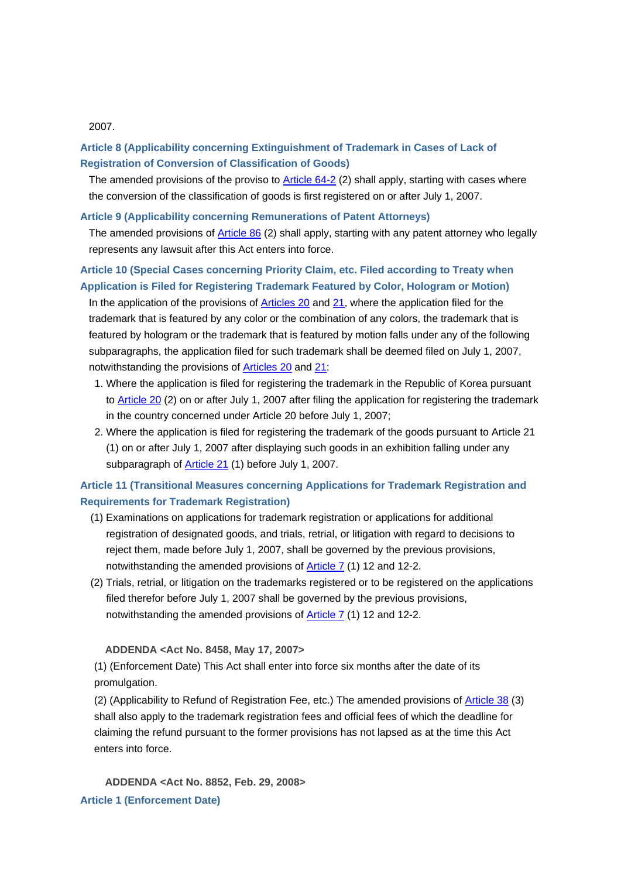#### 2007.

## **Article 8 (Applicability concerning Extinguishment of Trademark in Cases of Lack of Registration of Conversion of Classification of Goods)**

The amended provisions of the proviso to Article 64-2 (2) shall apply, starting with cases where the conversion of the classification of goods is first registered on or after July 1, 2007.

### **Article 9 (Applicability concerning Remunerations of Patent Attorneys)**

The amended provisions of Article 86 (2) shall apply, starting with any patent attorney who legally represents any lawsuit after this Act enters into force.

## **Article 10 (Special Cases concerning Priority Claim, etc. Filed according to Treaty when Application is Filed for Registering Trademark Featured by Color, Hologram or Motion)**

In the application of the provisions of Articles 20 and 21, where the application filed for the trademark that is featured by any color or the combination of any colors, the trademark that is featured by hologram or the trademark that is featured by motion falls under any of the following subparagraphs, the application filed for such trademark shall be deemed filed on July 1, 2007, notwithstanding the provisions of Articles 20 and 21:

- 1. Where the application is filed for registering the trademark in the Republic of Korea pursuant to **Article 20** (2) on or after July 1, 2007 after filing the application for registering the trademark in the country concerned under Article 20 before July 1, 2007;
- 2. Where the application is filed for registering the trademark of the goods pursuant to Article 21 (1) on or after July 1, 2007 after displaying such goods in an exhibition falling under any subparagraph of Article 21 (1) before July 1, 2007.

## **Article 11 (Transitional Measures concerning Applications for Trademark Registration and Requirements for Trademark Registration)**

- (1) Examinations on applications for trademark registration or applications for additional registration of designated goods, and trials, retrial, or litigation with regard to decisions to reject them, made before July 1, 2007, shall be governed by the previous provisions, notwithstanding the amended provisions of Article 7 (1) 12 and 12-2.
- (2) Trials, retrial, or litigation on the trademarks registered or to be registered on the applications filed therefor before July 1, 2007 shall be governed by the previous provisions, notwithstanding the amended provisions of  $\frac{\text{Article 7}}{\text{ (1)}}$  12 and 12-2.

 **ADDENDA <Act No. 8458, May 17, 2007>**

 (1) (Enforcement Date) This Act shall enter into force six months after the date of its promulgation.

(2) (Applicability to Refund of Registration Fee, etc.) The amended provisions of Article 38 (3) shall also apply to the trademark registration fees and official fees of which the deadline for claiming the refund pursuant to the former provisions has not lapsed as at the time this Act enters into force.

 **ADDENDA <Act No. 8852, Feb. 29, 2008>**

**Article 1 (Enforcement Date)**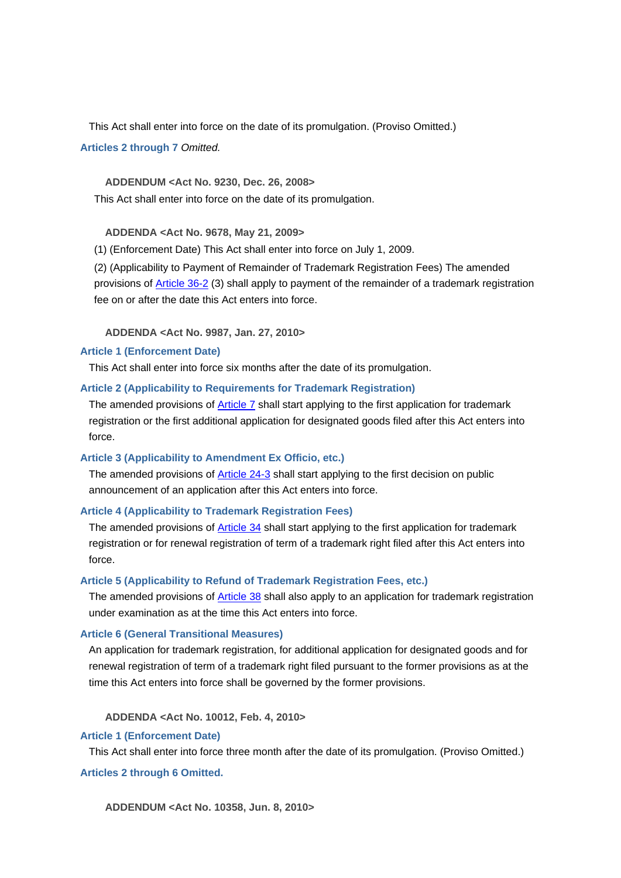This Act shall enter into force on the date of its promulgation. (Proviso Omitted.)

**Articles 2 through 7** *Omitted.*

 **ADDENDUM <Act No. 9230, Dec. 26, 2008>**

This Act shall enter into force on the date of its promulgation.

 **ADDENDA <Act No. 9678, May 21, 2009>**

(1) (Enforcement Date) This Act shall enter into force on July 1, 2009.

(2) (Applicability to Payment of Remainder of Trademark Registration Fees) The amended provisions of Article 36-2 (3) shall apply to payment of the remainder of a trademark registration fee on or after the date this Act enters into force.

 **ADDENDA <Act No. 9987, Jan. 27, 2010>**

## **Article 1 (Enforcement Date)**

This Act shall enter into force six months after the date of its promulgation.

## **Article 2 (Applicability to Requirements for Trademark Registration)**

The amended provisions of **Article 7** shall start applying to the first application for trademark registration or the first additional application for designated goods filed after this Act enters into force.

## **Article 3 (Applicability to Amendment Ex Officio, etc.)**

The amended provisions of Article 24-3 shall start applying to the first decision on public announcement of an application after this Act enters into force.

## **Article 4 (Applicability to Trademark Registration Fees)**

The amended provisions of Article 34 shall start applying to the first application for trademark registration or for renewal registration of term of a trademark right filed after this Act enters into force.

## **Article 5 (Applicability to Refund of Trademark Registration Fees, etc.)**

The amended provisions of Article 38 shall also apply to an application for trademark registration under examination as at the time this Act enters into force.

## **Article 6 (General Transitional Measures)**

An application for trademark registration, for additional application for designated goods and for renewal registration of term of a trademark right filed pursuant to the former provisions as at the time this Act enters into force shall be governed by the former provisions.

 **ADDENDA <Act No. 10012, Feb. 4, 2010>**

## **Article 1 (Enforcement Date)**

This Act shall enter into force three month after the date of its promulgation. (Proviso Omitted.)

**Articles 2 through 6 Omitted.**

 **ADDENDUM <Act No. 10358, Jun. 8, 2010>**